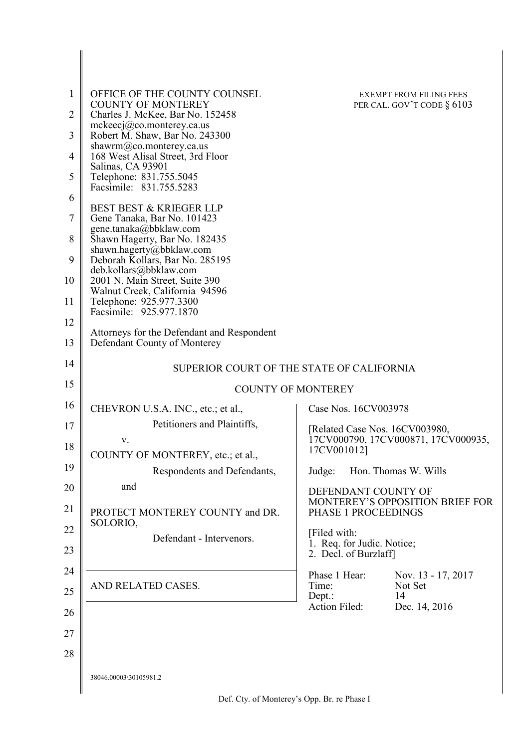| 1<br>$\overline{2}$<br>3<br>4<br>5 | OFFICE OF THE COUNTY COUNSEL<br><b>COUNTY OF MONTEREY</b><br>Charles J. McKee, Bar No. 152458<br>$m$ ckeecj $@$ co.monterey.ca.us<br>Robert M. Shaw, Bar No. 243300<br>shawrm@co.monterey.ca.us<br>168 West Alisal Street, 3rd Floor<br>Salinas, CA 93901<br>Telephone: 831.755.5045<br>Facsimile: 831.755.5283 | <b>EXEMPT FROM FILING FEES</b><br>PER CAL. GOV'T CODE $\S 6103$ |
|------------------------------------|-----------------------------------------------------------------------------------------------------------------------------------------------------------------------------------------------------------------------------------------------------------------------------------------------------------------|-----------------------------------------------------------------|
| 6                                  | <b>BEST BEST &amp; KRIEGER LLP</b>                                                                                                                                                                                                                                                                              |                                                                 |
| 7<br>8                             | Gene Tanaka, Bar No. 101423<br>gene.tanaka@bbklaw.com<br>Shawn Hagerty, Bar No. 182435                                                                                                                                                                                                                          |                                                                 |
| 9                                  | shawn.hagerty@bbklaw.com<br>Deborah Kollars, Bar No. 285195                                                                                                                                                                                                                                                     |                                                                 |
| 10                                 | deb.kollars@bbklaw.com<br>2001 N. Main Street, Suite 390                                                                                                                                                                                                                                                        |                                                                 |
| 11                                 | Walnut Creek, California 94596<br>Telephone: 925.977.3300                                                                                                                                                                                                                                                       |                                                                 |
| 12                                 | Facsimile: 925.977.1870                                                                                                                                                                                                                                                                                         |                                                                 |
| 13                                 | Attorneys for the Defendant and Respondent<br>Defendant County of Monterey                                                                                                                                                                                                                                      |                                                                 |
| 14                                 | SUPERIOR COURT OF THE STATE OF CALIFORNIA                                                                                                                                                                                                                                                                       |                                                                 |
| 15                                 |                                                                                                                                                                                                                                                                                                                 | <b>COUNTY OF MONTEREY</b>                                       |
| 16                                 | CHEVRON U.S.A. INC., etc.; et al.,                                                                                                                                                                                                                                                                              | Case Nos. 16CV003978                                            |
| 17                                 | Petitioners and Plaintiffs,                                                                                                                                                                                                                                                                                     | [Related Case Nos. 16CV003980,                                  |
| 18                                 | V.<br>COUNTY OF MONTEREY, etc.; et al.,                                                                                                                                                                                                                                                                         | 17CV000790, 17CV000871, 17CV000935,<br>17CV001012]              |
| 19                                 | Respondents and Defendants,                                                                                                                                                                                                                                                                                     | Hon. Thomas W. Wills<br>Judge:                                  |
| 20                                 | and                                                                                                                                                                                                                                                                                                             | DEFENDANT COUNTY OF                                             |
| 21                                 | PROTECT MONTEREY COUNTY and DR.                                                                                                                                                                                                                                                                                 | MONTEREY'S OPPOSITION BRIEF FOR<br>PHASE 1 PROCEEDINGS          |
| 22                                 | SOLORIO,<br>Defendant - Intervenors.                                                                                                                                                                                                                                                                            | [Filed with:<br>1. Req. for Judic. Notice;                      |
| 23                                 |                                                                                                                                                                                                                                                                                                                 | 2. Decl. of Burzlaff                                            |
| 24                                 | AND RELATED CASES.                                                                                                                                                                                                                                                                                              | Phase 1 Hear:<br>Nov. 13 - 17, 2017<br>Not Set<br>Time:         |
| 25                                 |                                                                                                                                                                                                                                                                                                                 | 14<br>Dept.:<br>Action Filed:                                   |
| 26                                 |                                                                                                                                                                                                                                                                                                                 | Dec. 14, 2016                                                   |
| 27                                 |                                                                                                                                                                                                                                                                                                                 |                                                                 |
| 28                                 |                                                                                                                                                                                                                                                                                                                 |                                                                 |
|                                    | 38046.00003\30105981.2                                                                                                                                                                                                                                                                                          |                                                                 |
|                                    |                                                                                                                                                                                                                                                                                                                 |                                                                 |

 $\overline{\phantom{a}}$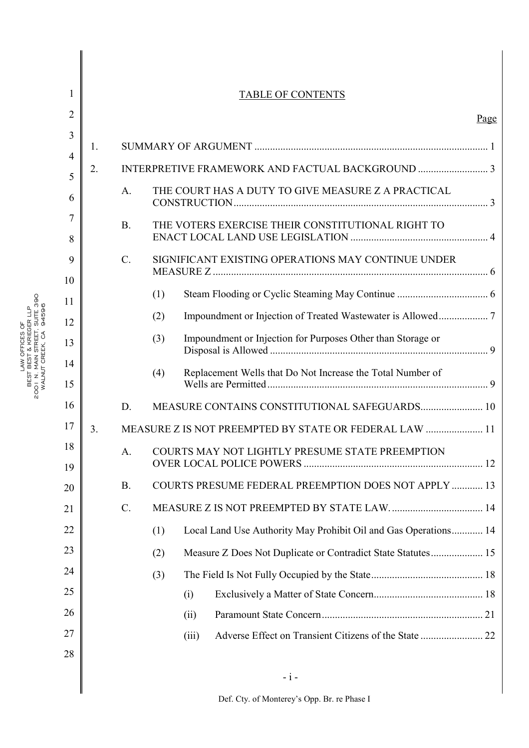|                |           | <b>TABLE OF CONTENTS</b>                                               |      |
|----------------|-----------|------------------------------------------------------------------------|------|
|                |           |                                                                        | Page |
| 1.             |           |                                                                        |      |
| 2.             |           |                                                                        |      |
|                | A.        | THE COURT HAS A DUTY TO GIVE MEASURE Z A PRACTICAL                     |      |
|                | <b>B.</b> | THE VOTERS EXERCISE THEIR CONSTITUTIONAL RIGHT TO                      |      |
|                | $C$ .     | SIGNIFICANT EXISTING OPERATIONS MAY CONTINUE UNDER                     |      |
|                |           | (1)                                                                    |      |
|                |           | (2)                                                                    |      |
|                |           | Impoundment or Injection for Purposes Other than Storage or<br>(3)     |      |
|                |           | Replacement Wells that Do Not Increase the Total Number of<br>(4)      |      |
|                | D.        | MEASURE CONTAINS CONSTITUTIONAL SAFEGUARDS 10                          |      |
| 3 <sub>1</sub> |           | MEASURE Z IS NOT PREEMPTED BY STATE OR FEDERAL LAW  11                 |      |
|                | A.        | COURTS MAY NOT LIGHTLY PRESUME STATE PREEMPTION                        |      |
|                | <b>B.</b> | COURTS PRESUME FEDERAL PREEMPTION DOES NOT APPLY  13                   |      |
|                | $C$ .     | MEASURE Z IS NOT PREEMPTED BY STATE LAW 14                             |      |
|                |           | Local Land Use Authority May Prohibit Oil and Gas Operations 14<br>(1) |      |
|                |           | Measure Z Does Not Duplicate or Contradict State Statutes 15<br>(2)    |      |
|                |           | (3)                                                                    |      |
|                |           | (i)                                                                    |      |
|                |           | (ii)                                                                   |      |
|                |           | (iii)                                                                  |      |
|                |           |                                                                        |      |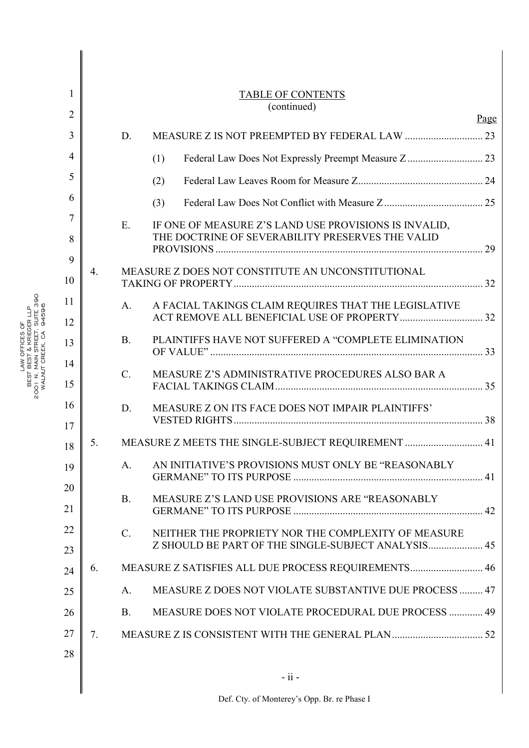| 1              |    |             | <b>TABLE OF CONTENTS</b>                               |      |
|----------------|----|-------------|--------------------------------------------------------|------|
| $\overline{2}$ |    |             | (continued)                                            | Page |
| 3              |    | D.          |                                                        |      |
| $\overline{4}$ |    |             | (1)                                                    |      |
| 5              |    |             | (2)                                                    |      |
| 6              |    |             | (3)                                                    |      |
| 7              |    | $E_{\cdot}$ | IF ONE OF MEASURE Z'S LAND USE PROVISIONS IS INVALID,  |      |
| 8              |    |             | THE DOCTRINE OF SEVERABILITY PRESERVES THE VALID       |      |
| 9              |    |             |                                                        |      |
| 10             | 4. |             | MEASURE Z DOES NOT CONSTITUTE AN UNCONSTITUTIONAL      |      |
| 11             |    | A.          | A FACIAL TAKINGS CLAIM REQUIRES THAT THE LEGISLATIVE   |      |
| 12             |    |             |                                                        |      |
| 13             |    | <b>B</b> .  | PLAINTIFFS HAVE NOT SUFFERED A "COMPLETE ELIMINATION   |      |
| 14             |    | $C_{\cdot}$ |                                                        |      |
| 15             |    |             | MEASURE Z'S ADMINISTRATIVE PROCEDURES ALSO BAR A       |      |
| 16<br>17       |    | D.          | MEASURE Z ON ITS FACE DOES NOT IMPAIR PLAINTIFFS'      |      |
| 18             | 5. |             | MEASURE Z MEETS THE SINGLE-SUBJECT REQUIREMENT  41     |      |
| 19             |    | A.          | AN INITIATIVE'S PROVISIONS MUST ONLY BE "REASONABLY    |      |
| 20<br>21       |    | <b>B</b> .  | MEASURE Z'S LAND USE PROVISIONS ARE "REASONABLY        |      |
| 22             |    | $C_{\cdot}$ | NEITHER THE PROPRIETY NOR THE COMPLEXITY OF MEASURE    |      |
| 23             |    |             |                                                        |      |
| 24             | 6. |             | MEASURE Z SATISFIES ALL DUE PROCESS REQUIREMENTS 46    |      |
| 25             |    | A.          | MEASURE Z DOES NOT VIOLATE SUBSTANTIVE DUE PROCESS  47 |      |
| 26             |    | <b>B.</b>   | MEASURE DOES NOT VIOLATE PROCEDURAL DUE PROCESS  49    |      |
| 27             | 7. |             |                                                        |      |
| 28             |    |             |                                                        |      |
|                |    |             | $-ii -$                                                |      |
|                |    |             |                                                        |      |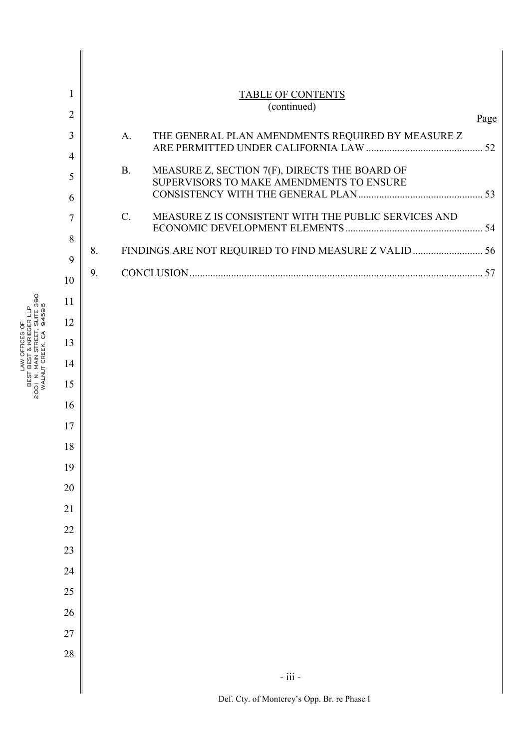| 1                   |    |                | <b>TABLE OF CONTENTS</b>                                                                  |      |
|---------------------|----|----------------|-------------------------------------------------------------------------------------------|------|
| $\overline{2}$      |    |                | (continued)                                                                               | Page |
| 3<br>$\overline{4}$ |    | A <sub>1</sub> | THE GENERAL PLAN AMENDMENTS REQUIRED BY MEASURE Z                                         |      |
| 5                   |    | <b>B.</b>      | MEASURE Z, SECTION 7(F), DIRECTS THE BOARD OF<br>SUPERVISORS TO MAKE AMENDMENTS TO ENSURE |      |
| 6<br>7              |    | $C_{\cdot}$    | MEASURE Z IS CONSISTENT WITH THE PUBLIC SERVICES AND                                      |      |
| 8                   | 8. |                | FINDINGS ARE NOT REQUIRED TO FIND MEASURE Z VALID  56                                     |      |
| 9<br>10             | 9. |                |                                                                                           |      |
| 11                  |    |                |                                                                                           |      |
| 12                  |    |                |                                                                                           |      |
| 13                  |    |                |                                                                                           |      |
| 14                  |    |                |                                                                                           |      |
| 15                  |    |                |                                                                                           |      |
| 16                  |    |                |                                                                                           |      |
| 17                  |    |                |                                                                                           |      |
| 18                  |    |                |                                                                                           |      |
| 19                  |    |                |                                                                                           |      |
| $20\,$              |    |                |                                                                                           |      |
| 21                  |    |                |                                                                                           |      |
| 22                  |    |                |                                                                                           |      |
| 23                  |    |                |                                                                                           |      |
| 24                  |    |                |                                                                                           |      |
| 25                  |    |                |                                                                                           |      |
| 26                  |    |                |                                                                                           |      |
| $27\,$              |    |                |                                                                                           |      |
| 28                  |    |                |                                                                                           |      |
|                     |    |                | $\textbf{-}$ iii $\textbf{-}$                                                             |      |
|                     |    |                |                                                                                           |      |

LAW OFFICES OF BEST BEST & KRIEGER LLP LAW OFFICES OF<br>2001 N. MAIN STRECER LLP<br>2001 N. MAIN STRECT, SUITE 390<br>WALNUT CREEK, CA 94596 01 N. MAIN STREET, SUITE 390 WALNUT CREEK, CA 94596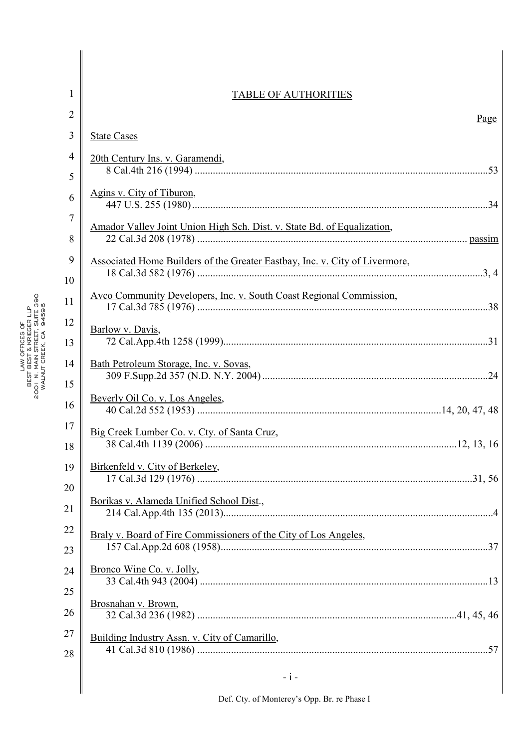| $\overline{2}$<br><b>State Cases</b><br>4<br>20th Century Ins. v. Garamendi,<br>Agins v. City of Tiburon,<br>6<br>Amador Valley Joint Union High Sch. Dist. v. State Bd. of Equalization,<br>9<br>Associated Home Builders of the Greater Eastbay, Inc. v. City of Livermore,<br>10<br>Avco Community Developers, Inc. v. South Coast Regional Commission,<br>12 | Page  |
|------------------------------------------------------------------------------------------------------------------------------------------------------------------------------------------------------------------------------------------------------------------------------------------------------------------------------------------------------------------|-------|
|                                                                                                                                                                                                                                                                                                                                                                  |       |
|                                                                                                                                                                                                                                                                                                                                                                  |       |
|                                                                                                                                                                                                                                                                                                                                                                  |       |
|                                                                                                                                                                                                                                                                                                                                                                  |       |
|                                                                                                                                                                                                                                                                                                                                                                  |       |
|                                                                                                                                                                                                                                                                                                                                                                  |       |
|                                                                                                                                                                                                                                                                                                                                                                  |       |
| Barlow v. Davis,                                                                                                                                                                                                                                                                                                                                                 |       |
| Bath Petroleum Storage, Inc. v. Sovas,                                                                                                                                                                                                                                                                                                                           |       |
| Beverly Oil Co. v. Los Angeles,                                                                                                                                                                                                                                                                                                                                  |       |
|                                                                                                                                                                                                                                                                                                                                                                  |       |
| Birkenfeld v. City of Berkeley,                                                                                                                                                                                                                                                                                                                                  |       |
| Borikas v. Alameda Unified School Dist.,                                                                                                                                                                                                                                                                                                                         |       |
|                                                                                                                                                                                                                                                                                                                                                                  |       |
| <u>Bronco Wine Co. v. Jolly,</u>                                                                                                                                                                                                                                                                                                                                 |       |
| Brosnahan v. Brown,                                                                                                                                                                                                                                                                                                                                              |       |
| Building Industry Assn. v. City of Camarillo,                                                                                                                                                                                                                                                                                                                    |       |
|                                                                                                                                                                                                                                                                                                                                                                  | $-i-$ |

# LAW OFFICES OF BEST BEST & KRIEGER LLP LAW OFFICES OF<br>2001 N. MAIN STRECER LLP<br>2001 N. MAIN STRECT, SUITE 390<br>WALNUT CREEK, CA 94596 01 N. MAIN STREET, SUITE 390 WALNUT CREEK, CA 94596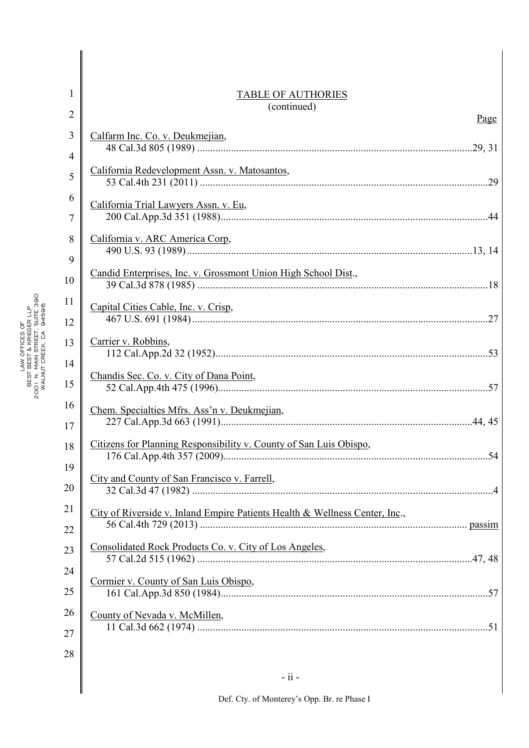| 1              | <b>TABLE OF AUTHORIES</b>                                                   |
|----------------|-----------------------------------------------------------------------------|
| $\overline{2}$ | (continued)<br>Page                                                         |
| 3              | Calfarm Inc. Co. v. Deukmejian,                                             |
| 4              |                                                                             |
| 5              | California Redevelopment Assn. v. Matosantos,                               |
| 6              | California Trial Lawyers Assn. v. Eu,                                       |
| 7              |                                                                             |
| 8              | California v. ARC America Corp,                                             |
| 9              |                                                                             |
| 10             | Candid Enterprises, Inc. v. Grossmont Union High School Dist.,              |
| 11             | Capital Cities Cable, Inc. v. Crisp,                                        |
| 12             |                                                                             |
| 13             | Carrier v. Robbins,                                                         |
| 14<br>15       | Chandis Sec. Co. v. City of Dana Point,                                     |
| 16             | Chem. Specialties Mfrs. Ass'n v. Deukmejian,                                |
| 17             |                                                                             |
| 18             | Citizens for Planning Responsibility v. County of San Luis Obispo,          |
| 19             | City and County of San Francisco v. Farrell,                                |
| $20\,$         |                                                                             |
| 21             | City of Riverside v. Inland Empire Patients Health & Wellness Center, Inc., |
| 22             |                                                                             |
| 23             | Consolidated Rock Products Co. v. City of Los Angeles,                      |
| 24             |                                                                             |
| 25             | Cormier v. County of San Luis Obispo,                                       |
| 26             | County of Nevada v. McMillen,                                               |
| 27             |                                                                             |
| 28             |                                                                             |
|                | $-ii$                                                                       |
|                |                                                                             |

 $\parallel$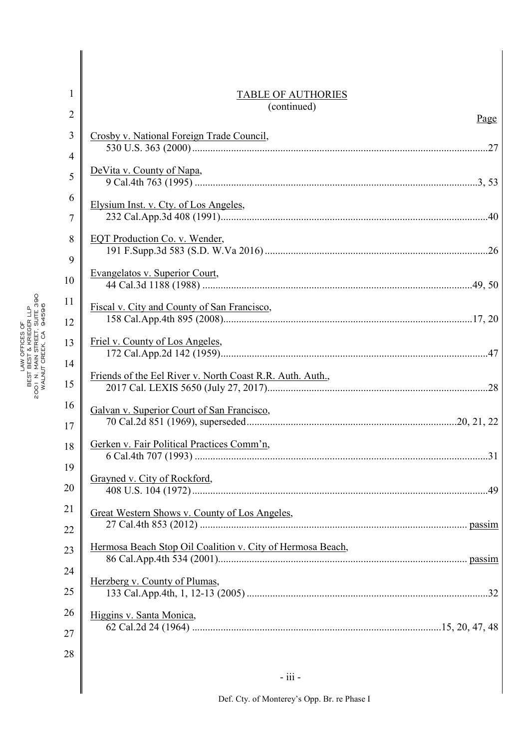| 1                   | <b>TABLE OF AUTHORIES</b>                                  |  |
|---------------------|------------------------------------------------------------|--|
| $\overline{2}$      | (continued)<br>Page                                        |  |
| 3<br>$\overline{4}$ | Crosby v. National Foreign Trade Council,                  |  |
| 5                   | DeVita v. County of Napa,                                  |  |
| 6<br>$\overline{7}$ | Elysium Inst. v. Cty. of Los Angeles,                      |  |
| 8<br>9              | EQT Production Co. v. Wender,                              |  |
| 10                  | Evangelatos v. Superior Court,                             |  |
| 11<br>12            | Fiscal v. City and County of San Francisco,                |  |
| 13                  | Friel v. County of Los Angeles,                            |  |
| 14<br>15            | Friends of the Eel River v. North Coast R.R. Auth. Auth.,  |  |
| 16<br>17            | Galvan v. Superior Court of San Francisco,                 |  |
| 18                  | Gerken v. Fair Political Practices Comm'n,                 |  |
| 19<br>20            | Grayned v. City of Rockford,                               |  |
| 21<br>22            | Great Western Shows v. County of Los Angeles,              |  |
| 23                  | Hermosa Beach Stop Oil Coalition v. City of Hermosa Beach, |  |
| 24<br>25            | Herzberg v. County of Plumas,                              |  |
| 26                  | Higgins v. Santa Monica,                                   |  |
| 27<br>28            |                                                            |  |
|                     | - iii -                                                    |  |
|                     |                                                            |  |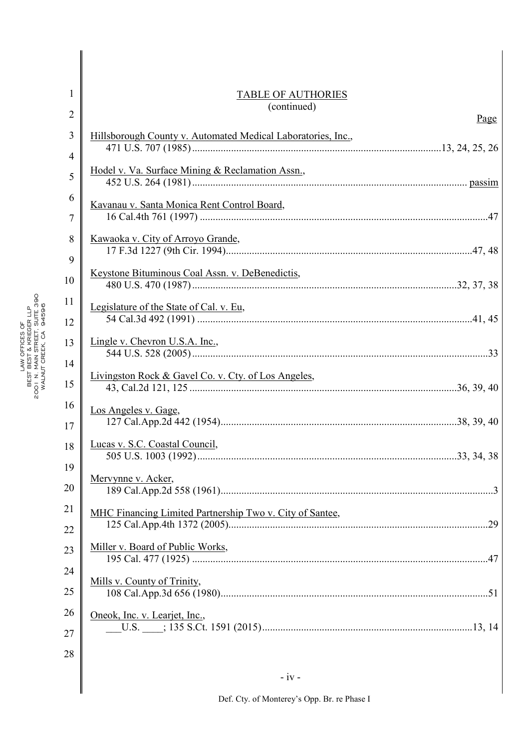| 1              | <b>TABLE OF AUTHORIES</b>                                    |  |
|----------------|--------------------------------------------------------------|--|
| $\overline{2}$ | (continued)<br>Page                                          |  |
| 3              | Hillsborough County v. Automated Medical Laboratories, Inc., |  |
| $\overline{4}$ |                                                              |  |
| 5              | Hodel v. Va. Surface Mining & Reclamation Assn.,             |  |
| 6              | Kavanau v. Santa Monica Rent Control Board,                  |  |
| 7              |                                                              |  |
| 8              | Kawaoka v. City of Arroyo Grande,                            |  |
| 9              |                                                              |  |
| 10             | Keystone Bituminous Coal Assn. v. DeBenedictis,              |  |
| 11             | Legislature of the State of Cal. v. Eu,                      |  |
| 12             |                                                              |  |
| 13             | Lingle v. Chevron U.S.A. Inc.,                               |  |
| 14             |                                                              |  |
| 15             | Livingston Rock & Gavel Co. v. Cty. of Los Angeles,          |  |
| 16<br>17       | Los Angeles v. Gage,                                         |  |
| 18             | Lucas v. S.C. Coastal Council,                               |  |
| 19             | Mervynne v. Acker,                                           |  |
| 20             |                                                              |  |
| 21             | MHC Financing Limited Partnership Two v. City of Santee,     |  |
| 22             |                                                              |  |
| 23             | Miller v. Board of Public Works,                             |  |
| 24             |                                                              |  |
| 25             | Mills v. County of Trinity,                                  |  |
| 26             | Oneok, Inc. v. Learjet, Inc.,                                |  |
| 27             |                                                              |  |
| 28             |                                                              |  |
|                | $-iv -$                                                      |  |
|                |                                                              |  |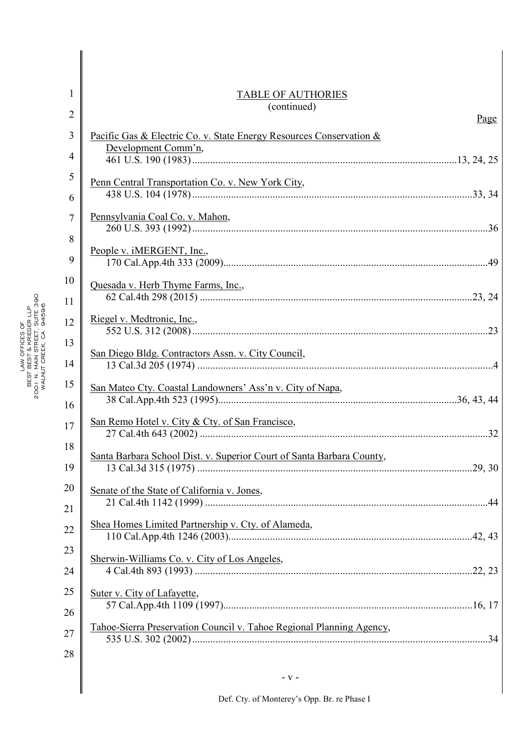| 1              | <b>TABLE OF AUTHORIES</b>                                             |  |
|----------------|-----------------------------------------------------------------------|--|
| $\overline{2}$ | (continued)<br>Page                                                   |  |
| 3              | Pacific Gas & Electric Co. v. State Energy Resources Conservation &   |  |
| 4              | Development Comm'n,                                                   |  |
| 5              | Penn Central Transportation Co. v. New York City,                     |  |
| 6              |                                                                       |  |
| 7              | Pennsylvania Coal Co. v. Mahon,                                       |  |
| 8              | People v. iMERGENT, Inc.,                                             |  |
| 9              |                                                                       |  |
| 10             | Quesada v. Herb Thyme Farms, Inc.,                                    |  |
| 11             |                                                                       |  |
| 12             | Riegel v. Medtronic, Inc.,                                            |  |
| 13             | San Diego Bldg. Contractors Assn. v. City Council,                    |  |
| 14             |                                                                       |  |
| 15             | San Mateo Cty. Coastal Landowners' Ass'n v. City of Napa,             |  |
| 16             | San Remo Hotel v. City & Cty. of San Francisco,                       |  |
| 17             |                                                                       |  |
| 18<br>19       | Santa Barbara School Dist. v. Superior Court of Santa Barbara County, |  |
| 20             |                                                                       |  |
| 21             | Senate of the State of California v. Jones,                           |  |
| 22             | Shea Homes Limited Partnership v. Cty. of Alameda,                    |  |
| 23             |                                                                       |  |
| 24             | Sherwin-Williams Co. v. City of Los Angeles,                          |  |
| 25             | Suter v. City of Lafayette,                                           |  |
| 26             |                                                                       |  |
| 27             | Tahoe-Sierra Preservation Council v. Tahoe Regional Planning Agency,  |  |
| 28             |                                                                       |  |
|                |                                                                       |  |

 $\parallel$ 

- v -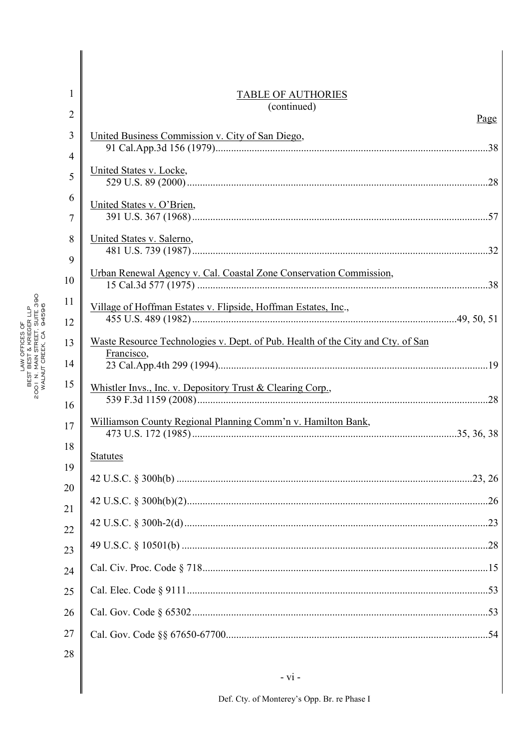| 1              | <b>TABLE OF AUTHORIES</b>                                                                     |  |
|----------------|-----------------------------------------------------------------------------------------------|--|
| $\overline{2}$ | (continued)<br><u>Page</u>                                                                    |  |
| $\overline{3}$ | United Business Commission v. City of San Diego,                                              |  |
| $\overline{4}$ |                                                                                               |  |
| 5              | United States v. Locke,                                                                       |  |
| 6              | United States v. O'Brien,                                                                     |  |
| $\overline{7}$ |                                                                                               |  |
| 8<br>9         | United States v. Salerno,                                                                     |  |
| 10             | Urban Renewal Agency v. Cal. Coastal Zone Conservation Commission,                            |  |
| 11             |                                                                                               |  |
| 12             | Village of Hoffman Estates v. Flipside, Hoffman Estates, Inc.,                                |  |
| 13             | Waste Resource Technologies v. Dept. of Pub. Health of the City and Cty. of San<br>Francisco, |  |
| 14             |                                                                                               |  |
| 15             | Whistler Invs., Inc. v. Depository Trust & Clearing Corp.,                                    |  |
| 16             | Williamson County Regional Planning Comm'n v. Hamilton Bank,                                  |  |
| 17             |                                                                                               |  |
| 18             | <b>Statutes</b>                                                                               |  |
| 19             |                                                                                               |  |
| 20<br>21       |                                                                                               |  |
| 22             |                                                                                               |  |
| 23             |                                                                                               |  |
| 24             |                                                                                               |  |
| 25             |                                                                                               |  |
| 26             |                                                                                               |  |
| 27             |                                                                                               |  |
| 28             |                                                                                               |  |

 $\mathsf{l}$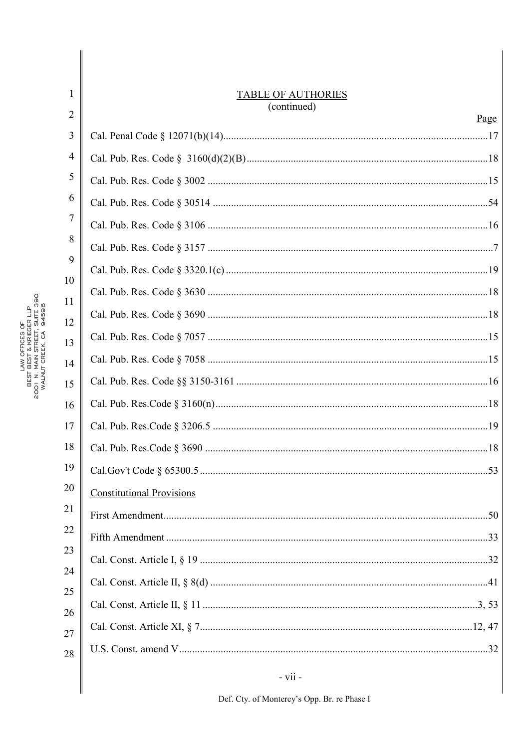| 1        | <b>TABLE OF AUTHORIES</b>        |
|----------|----------------------------------|
| 2        | (continued)<br><u>Page</u>       |
| 3        |                                  |
| 4        |                                  |
| 5        |                                  |
| 6        |                                  |
| 7        |                                  |
| 8        |                                  |
| 9        |                                  |
| 10       |                                  |
| 11<br>12 |                                  |
| 13       |                                  |
| 14       |                                  |
| 15       |                                  |
| 16       |                                  |
| 17       |                                  |
| 18       |                                  |
| 19       |                                  |
| 20       | <b>Constitutional Provisions</b> |
| 21       |                                  |
| 22       |                                  |
| 23       |                                  |
| 24       |                                  |
| 25       |                                  |
| 26       |                                  |
| 27<br>28 |                                  |
|          | $- vii -$                        |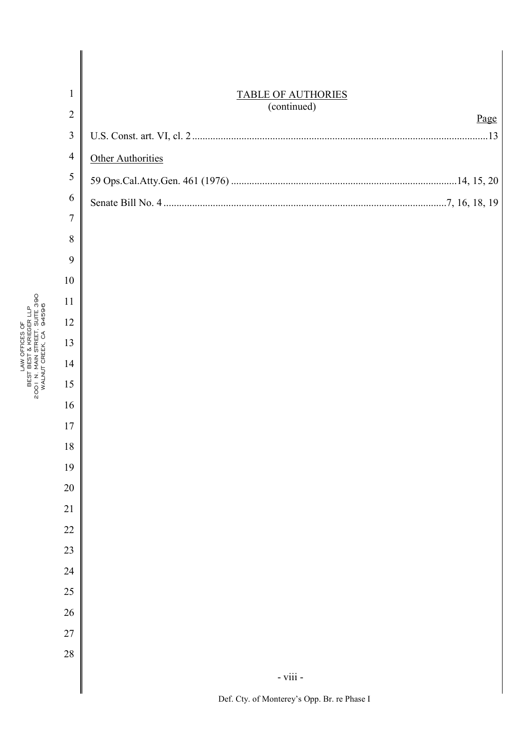| $\mathbf{1}$   | <b>TABLE OF AUTHORIES</b><br>(continued) |  |
|----------------|------------------------------------------|--|
| $\overline{2}$ | Page                                     |  |
| $\mathfrak{Z}$ |                                          |  |
| $\overline{4}$ | Other Authorities                        |  |
| 5              |                                          |  |
| 6              |                                          |  |
| 7              |                                          |  |
| 8              |                                          |  |
| 9              |                                          |  |
| 10             |                                          |  |
| 11             |                                          |  |
| 12             |                                          |  |
| 13             |                                          |  |
| 14<br>15       |                                          |  |
| 16             |                                          |  |
| 17             |                                          |  |
| 18             |                                          |  |
| 19             |                                          |  |
| 20             |                                          |  |
| 21             |                                          |  |
| 22             |                                          |  |
| 23             |                                          |  |
| 24             |                                          |  |
| 25             |                                          |  |
| 26             |                                          |  |
| 27             |                                          |  |
| 28             |                                          |  |
|                | - viii - $\,$                            |  |
|                |                                          |  |

LAW OFFICES OF BEST BEST & KRIEGER LLP LAW OFFICES OF<br>2001 N. MAIN STRECER LLP<br>2001 N. MAIN STRECT, SUITE 390<br>WALNUT CREEK, CA 94596 01 N. MAIN STREET, SUITE 390 WALNUT CREEK, CA 94596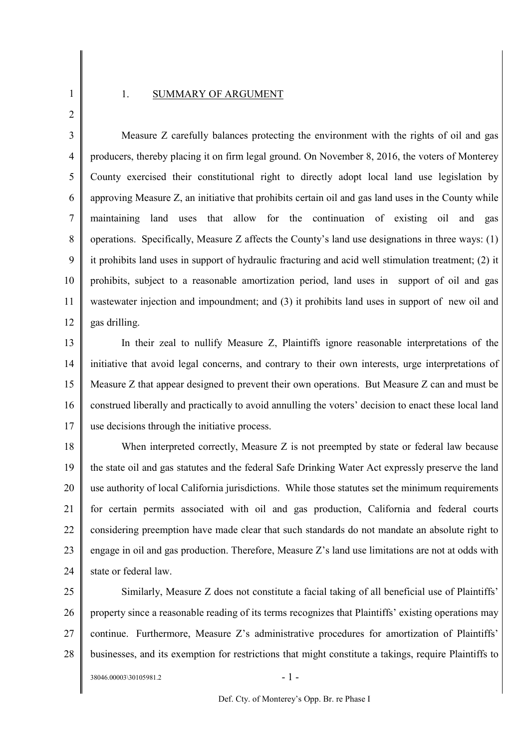## 1 2

### 1. SUMMARY OF ARGUMENT

3 4 5 6 7 8 9 10 11 12 Measure Z carefully balances protecting the environment with the rights of oil and gas producers, thereby placing it on firm legal ground. On November 8, 2016, the voters of Monterey County exercised their constitutional right to directly adopt local land use legislation by approving Measure Z, an initiative that prohibits certain oil and gas land uses in the County while maintaining land uses that allow for the continuation of existing oil and gas operations. Specifically, Measure Z affects the County's land use designations in three ways: (1) it prohibits land uses in support of hydraulic fracturing and acid well stimulation treatment; (2) it prohibits, subject to a reasonable amortization period, land uses in support of oil and gas wastewater injection and impoundment; and (3) it prohibits land uses in support of new oil and gas drilling.

13 14 15 16 17 In their zeal to nullify Measure Z, Plaintiffs ignore reasonable interpretations of the initiative that avoid legal concerns, and contrary to their own interests, urge interpretations of Measure Z that appear designed to prevent their own operations. But Measure Z can and must be construed liberally and practically to avoid annulling the voters' decision to enact these local land use decisions through the initiative process.

18 19 20 21 22 23 24 When interpreted correctly, Measure Z is not preempted by state or federal law because the state oil and gas statutes and the federal Safe Drinking Water Act expressly preserve the land use authority of local California jurisdictions. While those statutes set the minimum requirements for certain permits associated with oil and gas production, California and federal courts considering preemption have made clear that such standards do not mandate an absolute right to engage in oil and gas production. Therefore, Measure Z's land use limitations are not at odds with state or federal law.

25 26 27 28 Similarly, Measure Z does not constitute a facial taking of all beneficial use of Plaintiffs' property since a reasonable reading of its terms recognizes that Plaintiffs' existing operations may continue. Furthermore, Measure Z's administrative procedures for amortization of Plaintiffs' businesses, and its exemption for restrictions that might constitute a takings, require Plaintiffs to

 $38046.00003\backslash30105981.2$  - 1 -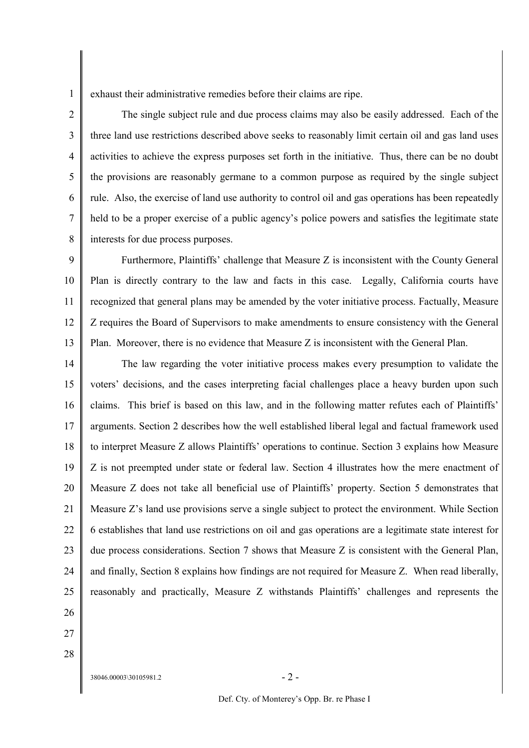1 exhaust their administrative remedies before their claims are ripe.

2 3 4 5 6 7 8 The single subject rule and due process claims may also be easily addressed. Each of the three land use restrictions described above seeks to reasonably limit certain oil and gas land uses activities to achieve the express purposes set forth in the initiative. Thus, there can be no doubt the provisions are reasonably germane to a common purpose as required by the single subject rule. Also, the exercise of land use authority to control oil and gas operations has been repeatedly held to be a proper exercise of a public agency's police powers and satisfies the legitimate state interests for due process purposes.

9 10 11 12 13 Furthermore, Plaintiffs' challenge that Measure Z is inconsistent with the County General Plan is directly contrary to the law and facts in this case. Legally, California courts have recognized that general plans may be amended by the voter initiative process. Factually, Measure Z requires the Board of Supervisors to make amendments to ensure consistency with the General Plan. Moreover, there is no evidence that Measure Z is inconsistent with the General Plan.

14 15 16 17 18 19 20 21 22 23 24 25 The law regarding the voter initiative process makes every presumption to validate the voters' decisions, and the cases interpreting facial challenges place a heavy burden upon such claims. This brief is based on this law, and in the following matter refutes each of Plaintiffs' arguments. Section 2 describes how the well established liberal legal and factual framework used to interpret Measure Z allows Plaintiffs' operations to continue. Section 3 explains how Measure Z is not preempted under state or federal law. Section 4 illustrates how the mere enactment of Measure Z does not take all beneficial use of Plaintiffs' property. Section 5 demonstrates that Measure Z's land use provisions serve a single subject to protect the environment. While Section 6 establishes that land use restrictions on oil and gas operations are a legitimate state interest for due process considerations. Section 7 shows that Measure Z is consistent with the General Plan, and finally, Section 8 explains how findings are not required for Measure Z. When read liberally, reasonably and practically, Measure Z withstands Plaintiffs' challenges and represents the

- 26
- 27
- 28

 $38046.00003\backslash30105981.2$  - 2 -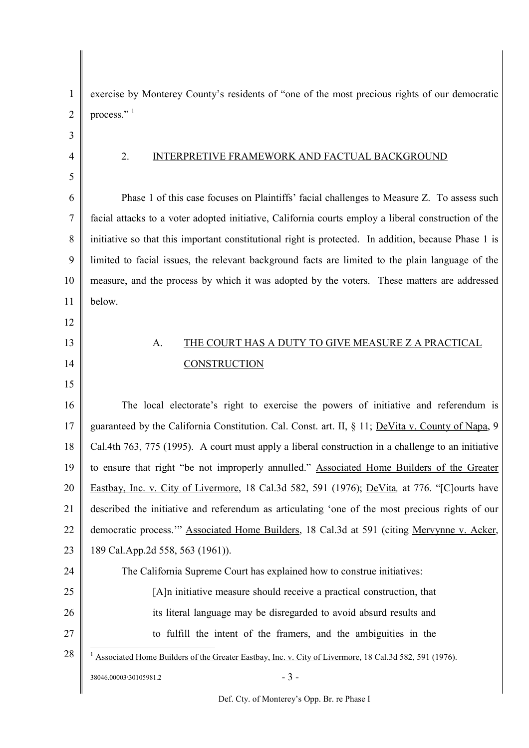| 1  | exercise by Monterey County's residents of "one of the most precious rights of our democratic          |
|----|--------------------------------------------------------------------------------------------------------|
| 2  | process." <sup>1</sup>                                                                                 |
| 3  |                                                                                                        |
| 4  | 2.<br>INTERPRETIVE FRAMEWORK AND FACTUAL BACKGROUND                                                    |
| 5  |                                                                                                        |
| 6  | Phase 1 of this case focuses on Plaintiffs' facial challenges to Measure Z. To assess such             |
| 7  | facial attacks to a voter adopted initiative, California courts employ a liberal construction of the   |
| 8  | initiative so that this important constitutional right is protected. In addition, because Phase 1 is   |
| 9  | limited to facial issues, the relevant background facts are limited to the plain language of the       |
| 10 | measure, and the process by which it was adopted by the voters. These matters are addressed            |
| 11 | below.                                                                                                 |
| 12 |                                                                                                        |
| 13 | THE COURT HAS A DUTY TO GIVE MEASURE Z A PRACTICAL<br>A.                                               |
| 14 | CONSTRUCTION                                                                                           |
| 15 |                                                                                                        |
| 16 | The local electorate's right to exercise the powers of initiative and referendum is                    |
| 17 | guaranteed by the California Constitution. Cal. Const. art. II, § 11; DeVita v. County of Napa, 9      |
| 18 | Cal.4th 763, 775 (1995). A court must apply a liberal construction in a challenge to an initiative     |
| 19 | to ensure that right "be not improperly annulled." Associated Home Builders of the Greater             |
| 20 | Eastbay, Inc. v. City of Livermore, 18 Cal.3d 582, 591 (1976); DeVita, at 776. "[C]ourts have          |
| 21 | described the initiative and referendum as articulating 'one of the most precious rights of our        |
| 22 | democratic process." Associated Home Builders, 18 Cal.3d at 591 (citing Mervynne v. Acker,             |
| 23 | 189 Cal.App.2d 558, 563 (1961)).                                                                       |
| 24 | The California Supreme Court has explained how to construe initiatives:                                |
| 25 | [A] n initiative measure should receive a practical construction, that                                 |
| 26 | its literal language may be disregarded to avoid absurd results and                                    |
| 27 | to fulfill the intent of the framers, and the ambiguities in the                                       |
| 28 | Associated Home Builders of the Greater Eastbay, Inc. v. City of Livermore, 18 Cal.3d 582, 591 (1976). |
|    | $-3-$<br>38046.00003\30105981.2                                                                        |
|    |                                                                                                        |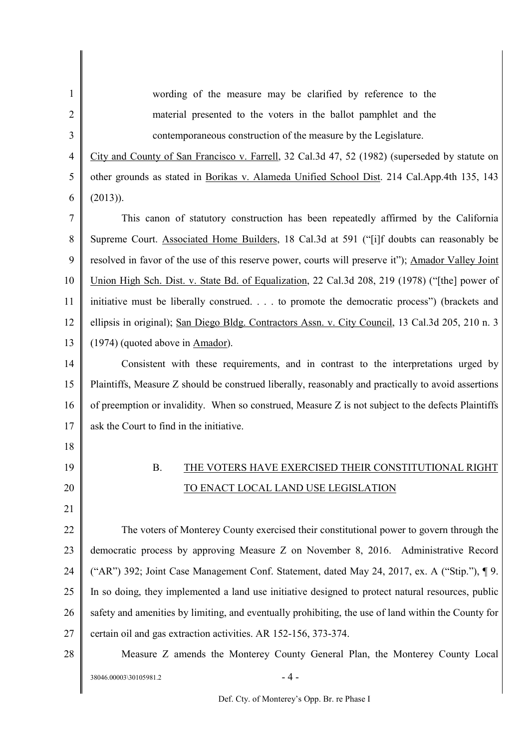1 2 3 4 5 6 7 8 9 10 11 12 13 14 15 16 17 18 19 20 21 22 23 24 25 26 27 28 wording of the measure may be clarified by reference to the material presented to the voters in the ballot pamphlet and the contemporaneous construction of the measure by the Legislature. City and County of San Francisco v. Farrell, 32 Cal.3d 47, 52 (1982) (superseded by statute on other grounds as stated in Borikas v. Alameda Unified School Dist. 214 Cal.App.4th 135, 143 (2013)). This canon of statutory construction has been repeatedly affirmed by the California Supreme Court. Associated Home Builders, 18 Cal.3d at 591 ("[i]f doubts can reasonably be resolved in favor of the use of this reserve power, courts will preserve it"); Amador Valley Joint Union High Sch. Dist. v. State Bd. of Equalization, 22 Cal.3d 208, 219 (1978) ("[the] power of initiative must be liberally construed. . . . to promote the democratic process") (brackets and ellipsis in original); San Diego Bldg. Contractors Assn. v. City Council, 13 Cal.3d 205, 210 n. 3 (1974) (quoted above in Amador). Consistent with these requirements, and in contrast to the interpretations urged by Plaintiffs, Measure Z should be construed liberally, reasonably and practically to avoid assertions of preemption or invalidity. When so construed, Measure Z is not subject to the defects Plaintiffs ask the Court to find in the initiative. B. THE VOTERS HAVE EXERCISED THEIR CONSTITUTIONAL RIGHT TO ENACT LOCAL LAND USE LEGISLATION The voters of Monterey County exercised their constitutional power to govern through the democratic process by approving Measure Z on November 8, 2016. Administrative Record ("AR") 392; Joint Case Management Conf. Statement, dated May 24, 2017, ex. A ("Stip."), ¶ 9. In so doing, they implemented a land use initiative designed to protect natural resources, public safety and amenities by limiting, and eventually prohibiting, the use of land within the County for certain oil and gas extraction activities. AR 152-156, 373-374. Measure Z amends the Monterey County General Plan, the Monterey County Local

 $38046.00003\backslash30105981.2$  - 4 -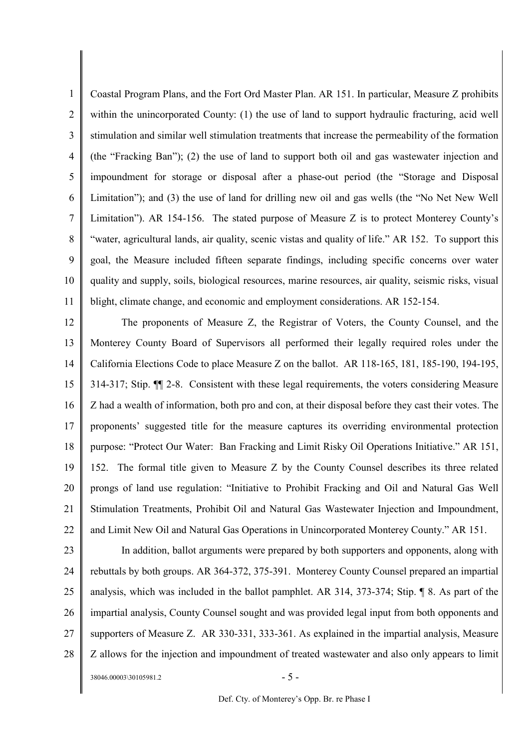1 2 3 4 5 6 7 8 9 10 11 Coastal Program Plans, and the Fort Ord Master Plan. AR 151. In particular, Measure Z prohibits within the unincorporated County: (1) the use of land to support hydraulic fracturing, acid well stimulation and similar well stimulation treatments that increase the permeability of the formation (the "Fracking Ban"); (2) the use of land to support both oil and gas wastewater injection and impoundment for storage or disposal after a phase-out period (the "Storage and Disposal Limitation"); and (3) the use of land for drilling new oil and gas wells (the "No Net New Well Limitation"). AR 154-156. The stated purpose of Measure Z is to protect Monterey County's "water, agricultural lands, air quality, scenic vistas and quality of life." AR 152. To support this goal, the Measure included fifteen separate findings, including specific concerns over water quality and supply, soils, biological resources, marine resources, air quality, seismic risks, visual blight, climate change, and economic and employment considerations. AR 152-154.

12 13 14 15 16 17 18 19 20 21 22 The proponents of Measure Z, the Registrar of Voters, the County Counsel, and the Monterey County Board of Supervisors all performed their legally required roles under the California Elections Code to place Measure Z on the ballot. AR 118-165, 181, 185-190, 194-195, 314-317; Stip. ¶¶ 2-8. Consistent with these legal requirements, the voters considering Measure Z had a wealth of information, both pro and con, at their disposal before they cast their votes. The proponents' suggested title for the measure captures its overriding environmental protection purpose: "Protect Our Water: Ban Fracking and Limit Risky Oil Operations Initiative." AR 151, 152. The formal title given to Measure Z by the County Counsel describes its three related prongs of land use regulation: "Initiative to Prohibit Fracking and Oil and Natural Gas Well Stimulation Treatments, Prohibit Oil and Natural Gas Wastewater Injection and Impoundment, and Limit New Oil and Natural Gas Operations in Unincorporated Monterey County." AR 151.

23 24 25 26 27 28  $38046.00003\backslash30105981.2$  - 5 -In addition, ballot arguments were prepared by both supporters and opponents, along with rebuttals by both groups. AR 364-372, 375-391. Monterey County Counsel prepared an impartial analysis, which was included in the ballot pamphlet. AR 314, 373-374; Stip. ¶ 8. As part of the impartial analysis, County Counsel sought and was provided legal input from both opponents and supporters of Measure Z. AR 330-331, 333-361. As explained in the impartial analysis, Measure Z allows for the injection and impoundment of treated wastewater and also only appears to limit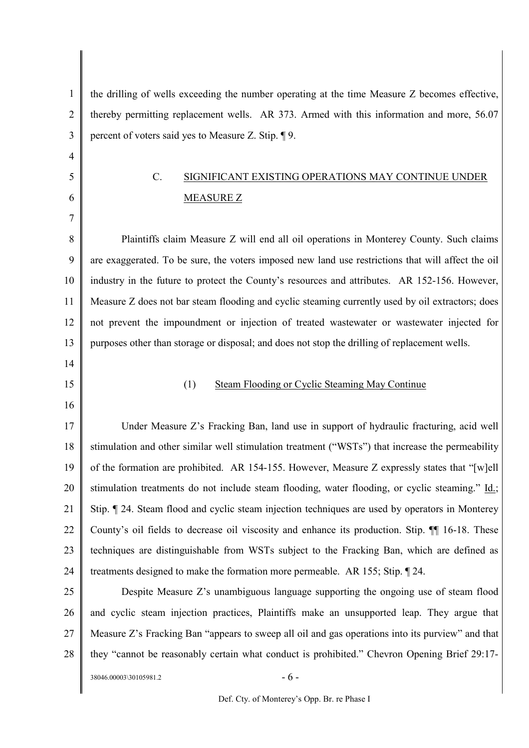1 2 3 the drilling of wells exceeding the number operating at the time Measure Z becomes effective, thereby permitting replacement wells. AR 373. Armed with this information and more, 56.07 percent of voters said yes to Measure Z. Stip. ¶ 9.

# C. SIGNIFICANT EXISTING OPERATIONS MAY CONTINUE UNDER MEASURE Z

8 9 10 11 12 13 Plaintiffs claim Measure Z will end all oil operations in Monterey County. Such claims are exaggerated. To be sure, the voters imposed new land use restrictions that will affect the oil industry in the future to protect the County's resources and attributes. AR 152-156. However, Measure Z does not bar steam flooding and cyclic steaming currently used by oil extractors; does not prevent the impoundment or injection of treated wastewater or wastewater injected for purposes other than storage or disposal; and does not stop the drilling of replacement wells.

14

4

5

6

7

15

### (1) Steam Flooding or Cyclic Steaming May Continue

16

17 18 19 20 21 22 23 24 Under Measure Z's Fracking Ban, land use in support of hydraulic fracturing, acid well stimulation and other similar well stimulation treatment ("WSTs") that increase the permeability of the formation are prohibited. AR 154-155. However, Measure Z expressly states that "[w]ell stimulation treatments do not include steam flooding, water flooding, or cyclic steaming." Id.; Stip. ¶ 24. Steam flood and cyclic steam injection techniques are used by operators in Monterey County's oil fields to decrease oil viscosity and enhance its production. Stip. ¶¶ 16-18. These techniques are distinguishable from WSTs subject to the Fracking Ban, which are defined as treatments designed to make the formation more permeable. AR 155; Stip. ¶ 24.

25 26 27 28 Despite Measure Z's unambiguous language supporting the ongoing use of steam flood and cyclic steam injection practices, Plaintiffs make an unsupported leap. They argue that Measure Z's Fracking Ban "appears to sweep all oil and gas operations into its purview" and that they "cannot be reasonably certain what conduct is prohibited." Chevron Opening Brief 29:17-

 $38046.00003\backslash30105981.2$  - 6 -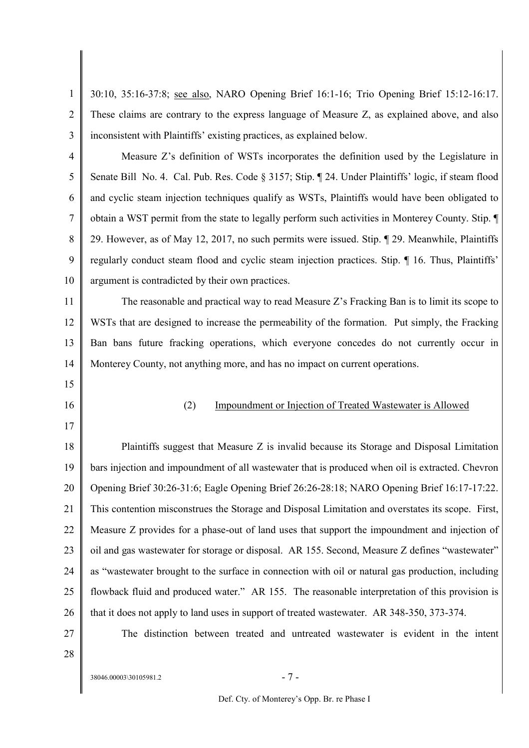1 2 3 30:10, 35:16-37:8; see also, NARO Opening Brief 16:1-16; Trio Opening Brief 15:12-16:17. These claims are contrary to the express language of Measure Z, as explained above, and also inconsistent with Plaintiffs' existing practices, as explained below.

4 5 6 7 8 9 10 Measure Z's definition of WSTs incorporates the definition used by the Legislature in Senate Bill No. 4. Cal. Pub. Res. Code § 3157; Stip. ¶ 24. Under Plaintiffs' logic, if steam flood and cyclic steam injection techniques qualify as WSTs, Plaintiffs would have been obligated to obtain a WST permit from the state to legally perform such activities in Monterey County. Stip. ¶ 29. However, as of May 12, 2017, no such permits were issued. Stip. ¶ 29. Meanwhile, Plaintiffs regularly conduct steam flood and cyclic steam injection practices. Stip. ¶ 16. Thus, Plaintiffs' argument is contradicted by their own practices.

11 12 13 14 The reasonable and practical way to read Measure  $Z$ 's Fracking Ban is to limit its scope to WSTs that are designed to increase the permeability of the formation. Put simply, the Fracking Ban bans future fracking operations, which everyone concedes do not currently occur in Monterey County, not anything more, and has no impact on current operations.

- 15
- 16

17

(2) Impoundment or Injection of Treated Wastewater is Allowed

18 19 20 21 22 23 24 25 26 Plaintiffs suggest that Measure Z is invalid because its Storage and Disposal Limitation bars injection and impoundment of all wastewater that is produced when oil is extracted. Chevron Opening Brief 30:26-31:6; Eagle Opening Brief 26:26-28:18; NARO Opening Brief 16:17-17:22. This contention misconstrues the Storage and Disposal Limitation and overstates its scope. First, Measure Z provides for a phase-out of land uses that support the impoundment and injection of oil and gas wastewater for storage or disposal. AR 155. Second, Measure Z defines "wastewater" as "wastewater brought to the surface in connection with oil or natural gas production, including flowback fluid and produced water." AR 155. The reasonable interpretation of this provision is that it does not apply to land uses in support of treated wastewater. AR 348-350, 373-374.

27 28

The distinction between treated and untreated wastewater is evident in the intent

 $38046.00003\backslash30105981.2$  - 7 -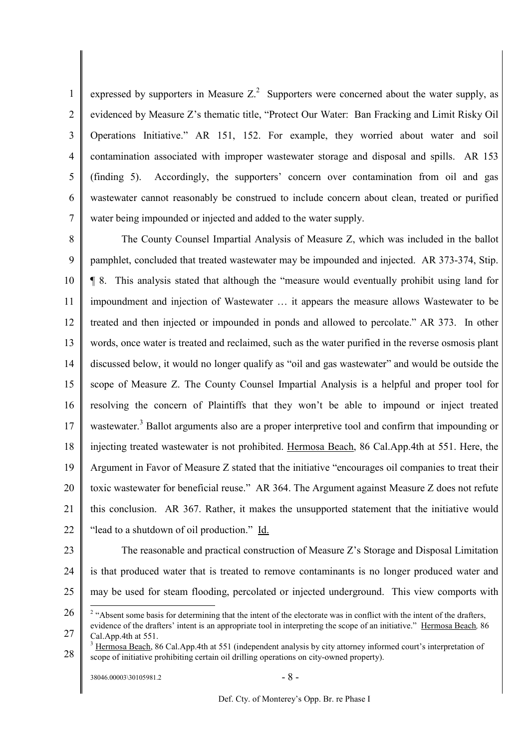1  $\overline{2}$ 3 4 5 6 7 expressed by supporters in Measure  $Z<sup>2</sup>$  Supporters were concerned about the water supply, as evidenced by Measure Z's thematic title, "Protect Our Water: Ban Fracking and Limit Risky Oil Operations Initiative." AR 151, 152. For example, they worried about water and soil contamination associated with improper wastewater storage and disposal and spills. AR 153 (finding 5). Accordingly, the supporters' concern over contamination from oil and gas wastewater cannot reasonably be construed to include concern about clean, treated or purified water being impounded or injected and added to the water supply.

8 9 10 11 12 13 14 15 16 17 18 19 20 21 22 The County Counsel Impartial Analysis of Measure Z, which was included in the ballot pamphlet, concluded that treated wastewater may be impounded and injected. AR 373-374, Stip. ¶ 8. This analysis stated that although the "measure would eventually prohibit using land for impoundment and injection of Wastewater … it appears the measure allows Wastewater to be treated and then injected or impounded in ponds and allowed to percolate." AR 373. In other words, once water is treated and reclaimed, such as the water purified in the reverse osmosis plant discussed below, it would no longer qualify as "oil and gas wastewater" and would be outside the scope of Measure Z. The County Counsel Impartial Analysis is a helpful and proper tool for resolving the concern of Plaintiffs that they won't be able to impound or inject treated wastewater.<sup>3</sup> Ballot arguments also are a proper interpretive tool and confirm that impounding or injecting treated wastewater is not prohibited. Hermosa Beach, 86 Cal.App.4th at 551. Here, the Argument in Favor of Measure Z stated that the initiative "encourages oil companies to treat their toxic wastewater for beneficial reuse." AR 364. The Argument against Measure Z does not refute this conclusion. AR 367. Rather, it makes the unsupported statement that the initiative would "lead to a shutdown of oil production." Id.

23 24 25 The reasonable and practical construction of Measure Z's Storage and Disposal Limitation is that produced water that is treated to remove contaminants is no longer produced water and may be used for steam flooding, percolated or injected underground. This view comports with

<sup>26</sup> <sup>2</sup> "Absent some basis for determining that the intent of the electorate was in conflict with the intent of the drafters,

<sup>27</sup> evidence of the drafters' intent is an appropriate tool in interpreting the scope of an initiative." Hermosa Beach*,* 86 Cal.App.4th at 551.

<sup>28</sup> <sup>3</sup> Hermosa Beach, 86 Cal.App.4th at 551 (independent analysis by city attorney informed court's interpretation of scope of initiative prohibiting certain oil drilling operations on city-owned property).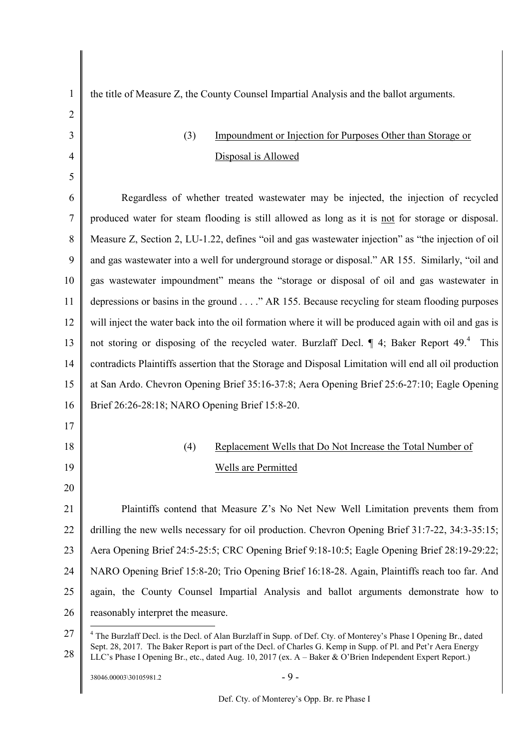| 1              | the title of Measure Z, the County Counsel Impartial Analysis and the ballot arguments.                                      |
|----------------|------------------------------------------------------------------------------------------------------------------------------|
| $\overline{2}$ |                                                                                                                              |
| 3              | Impoundment or Injection for Purposes Other than Storage or<br>(3)                                                           |
| $\overline{4}$ | Disposal is Allowed                                                                                                          |
| 5              |                                                                                                                              |
| 6              | Regardless of whether treated wastewater may be injected, the injection of recycled                                          |
| 7              | produced water for steam flooding is still allowed as long as it is not for storage or disposal.                             |
| 8              | Measure Z, Section 2, LU-1.22, defines "oil and gas wastewater injection" as "the injection of oil                           |
| 9              | and gas wastewater into a well for underground storage or disposal." AR 155. Similarly, "oil and                             |
| 10             | gas wastewater impoundment" means the "storage or disposal of oil and gas wastewater in                                      |
| 11             | depressions or basins in the ground" AR 155. Because recycling for steam flooding purposes                                   |
| 12             | will inject the water back into the oil formation where it will be produced again with oil and gas is                        |
| 13             | not storing or disposing of the recycled water. Burzlaff Decl. ¶ 4; Baker Report 49. <sup>4</sup> This                       |
| 14             | contradicts Plaintiffs assertion that the Storage and Disposal Limitation will end all oil production                        |
| 15             | at San Ardo. Chevron Opening Brief 35:16-37:8; Aera Opening Brief 25:6-27:10; Eagle Opening                                  |
| 16             | Brief 26:26-28:18; NARO Opening Brief 15:8-20.                                                                               |
| 17             |                                                                                                                              |
| 18             | Replacement Wells that Do Not Increase the Total Number of<br>(4)                                                            |
| 19             | <b>Wells are Permitted</b>                                                                                                   |
| 20             |                                                                                                                              |
| 21             | Plaintiffs contend that Measure Z's No Net New Well Limitation prevents them from                                            |
| 22             | drilling the new wells necessary for oil production. Chevron Opening Brief 31:7-22, 34:3-35:15;                              |
| 23             | Aera Opening Brief 24:5-25:5; CRC Opening Brief 9:18-10:5; Eagle Opening Brief 28:19-29:22;                                  |
| 24             | NARO Opening Brief 15:8-20; Trio Opening Brief 16:18-28. Again, Plaintiffs reach too far. And                                |
| 25             | again, the County Counsel Impartial Analysis and ballot arguments demonstrate how to                                         |
| 26             | reasonably interpret the measure.                                                                                            |
| 27             | <sup>4</sup> The Burzlaff Decl. is the Decl. of Alan Burzlaff in Supp. of Def. Cty. of Monterey's Phase I Opening Br., dated |

<sup>28</sup> Sept. 28, 2017. The Baker Report is part of the Decl. of Charles G. Kemp in Supp. of Pl. and Pet'r Aera Energy LLC's Phase I Opening Br., etc., dated Aug. 10, 2017 (ex. A – Baker & O'Brien Independent Expert Report.)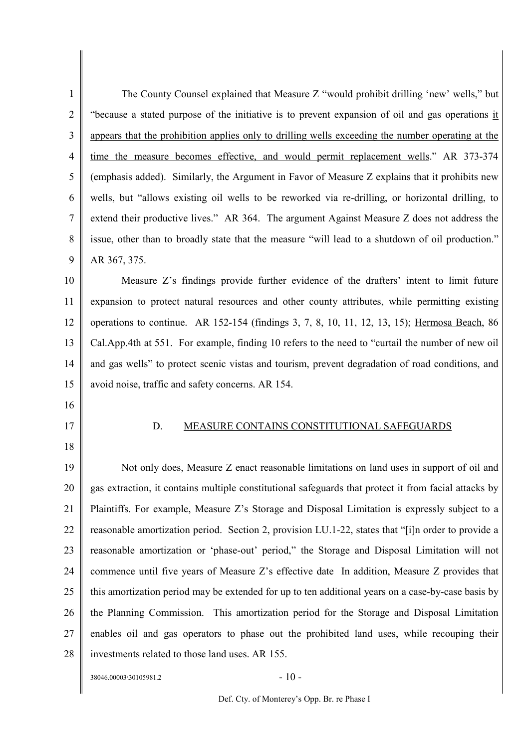1 2 3 4 5 6 7 8 9 The County Counsel explained that Measure Z "would prohibit drilling 'new' wells," but "because a stated purpose of the initiative is to prevent expansion of oil and gas operations it appears that the prohibition applies only to drilling wells exceeding the number operating at the time the measure becomes effective, and would permit replacement wells." AR 373-374 (emphasis added). Similarly, the Argument in Favor of Measure Z explains that it prohibits new wells, but "allows existing oil wells to be reworked via re-drilling, or horizontal drilling, to extend their productive lives." AR 364. The argument Against Measure Z does not address the issue, other than to broadly state that the measure "will lead to a shutdown of oil production." AR 367, 375.

10 11 12 13 14 15 Measure Z's findings provide further evidence of the drafters' intent to limit future expansion to protect natural resources and other county attributes, while permitting existing operations to continue. AR 152-154 (findings 3, 7, 8, 10, 11, 12, 13, 15); Hermosa Beach, 86 Cal.App.4th at 551. For example, finding 10 refers to the need to "curtail the number of new oil and gas wells" to protect scenic vistas and tourism, prevent degradation of road conditions, and avoid noise, traffic and safety concerns. AR 154.

- 16
- 17
- 18

### D. MEASURE CONTAINS CONSTITUTIONAL SAFEGUARDS

19 20 21 22 23 24 25 26 27 28 Not only does, Measure Z enact reasonable limitations on land uses in support of oil and gas extraction, it contains multiple constitutional safeguards that protect it from facial attacks by Plaintiffs. For example, Measure Z's Storage and Disposal Limitation is expressly subject to a reasonable amortization period. Section 2, provision LU.1-22, states that "[i]n order to provide a reasonable amortization or 'phase-out' period," the Storage and Disposal Limitation will not commence until five years of Measure Z's effective date In addition, Measure Z provides that this amortization period may be extended for up to ten additional years on a case-by-case basis by the Planning Commission. This amortization period for the Storage and Disposal Limitation enables oil and gas operators to phase out the prohibited land uses, while recouping their investments related to those land uses. AR 155.

 $38046.00003\backslash30105981.2$  - 10 -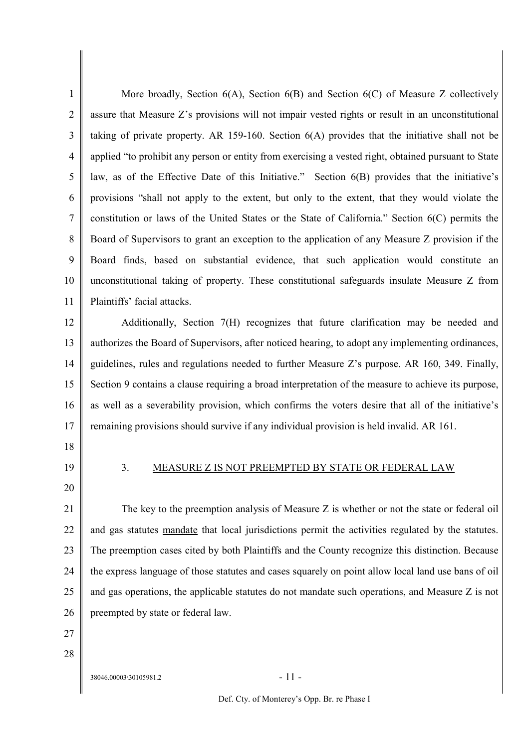1 2 3 4 5 6 7 8 9 10 11 More broadly, Section 6(A), Section 6(B) and Section 6(C) of Measure Z collectively assure that Measure Z's provisions will not impair vested rights or result in an unconstitutional taking of private property. AR 159-160. Section 6(A) provides that the initiative shall not be applied "to prohibit any person or entity from exercising a vested right, obtained pursuant to State law, as of the Effective Date of this Initiative." Section 6(B) provides that the initiative's provisions "shall not apply to the extent, but only to the extent, that they would violate the constitution or laws of the United States or the State of California." Section 6(C) permits the Board of Supervisors to grant an exception to the application of any Measure Z provision if the Board finds, based on substantial evidence, that such application would constitute an unconstitutional taking of property. These constitutional safeguards insulate Measure Z from Plaintiffs' facial attacks.

12 13 14 15 16 17 Additionally, Section 7(H) recognizes that future clarification may be needed and authorizes the Board of Supervisors, after noticed hearing, to adopt any implementing ordinances, guidelines, rules and regulations needed to further Measure Z's purpose. AR 160, 349. Finally, Section 9 contains a clause requiring a broad interpretation of the measure to achieve its purpose, as well as a severability provision, which confirms the voters desire that all of the initiative's remaining provisions should survive if any individual provision is held invalid. AR 161.

- 18
- 19 20

### 3. MEASURE Z IS NOT PREEMPTED BY STATE OR FEDERAL LAW

21 22 23 24 25 26 The key to the preemption analysis of Measure Z is whether or not the state or federal oil and gas statutes mandate that local jurisdictions permit the activities regulated by the statutes. The preemption cases cited by both Plaintiffs and the County recognize this distinction. Because the express language of those statutes and cases squarely on point allow local land use bans of oil and gas operations, the applicable statutes do not mandate such operations, and Measure Z is not preempted by state or federal law.

- 27
- 28

 $38046.00003\backslash30105981.2$  - 11 -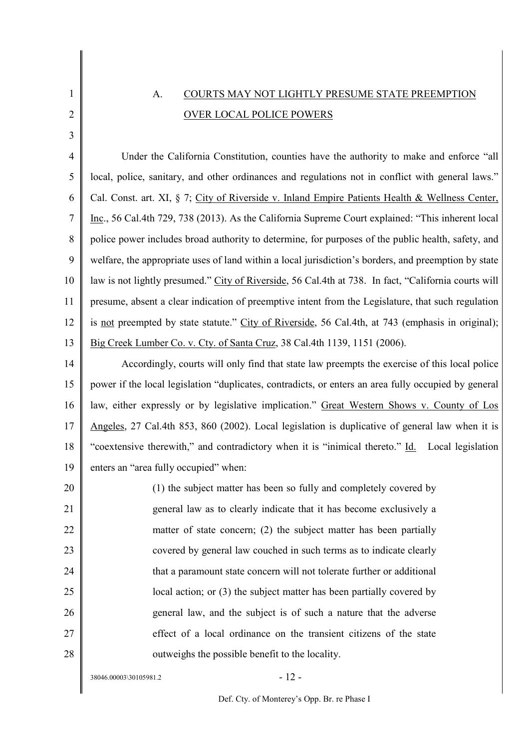# A. COURTS MAY NOT LIGHTLY PRESUME STATE PREEMPTION OVER LOCAL POLICE POWERS

4 5 6 7 8 9 10 11 12 13 Under the California Constitution, counties have the authority to make and enforce "all local, police, sanitary, and other ordinances and regulations not in conflict with general laws." Cal. Const. art. XI, § 7; City of Riverside v. Inland Empire Patients Health & Wellness Center, Inc., 56 Cal.4th 729, 738 (2013). As the California Supreme Court explained: "This inherent local police power includes broad authority to determine, for purposes of the public health, safety, and welfare, the appropriate uses of land within a local jurisdiction's borders, and preemption by state law is not lightly presumed." City of Riverside, 56 Cal.4th at 738. In fact, "California courts will presume, absent a clear indication of preemptive intent from the Legislature, that such regulation is not preempted by state statute." City of Riverside, 56 Cal.4th, at 743 (emphasis in original); Big Creek Lumber Co. v. Cty. of Santa Cruz, 38 Cal.4th 1139, 1151 (2006).

14 15 16 17 18 19 Accordingly, courts will only find that state law preempts the exercise of this local police power if the local legislation "duplicates, contradicts, or enters an area fully occupied by general law, either expressly or by legislative implication." Great Western Shows v. County of Los Angeles, 27 Cal.4th 853, 860 (2002). Local legislation is duplicative of general law when it is "coextensive therewith," and contradictory when it is "inimical thereto." Id. Local legislation enters an "area fully occupied" when:

20 21 22 23 24 25 26 27 28 (1) the subject matter has been so fully and completely covered by general law as to clearly indicate that it has become exclusively a matter of state concern; (2) the subject matter has been partially covered by general law couched in such terms as to indicate clearly that a paramount state concern will not tolerate further or additional local action; or (3) the subject matter has been partially covered by general law, and the subject is of such a nature that the adverse effect of a local ordinance on the transient citizens of the state outweighs the possible benefit to the locality.

 $38046.00003\backslash30105981.2$  - 12 -

1

2

3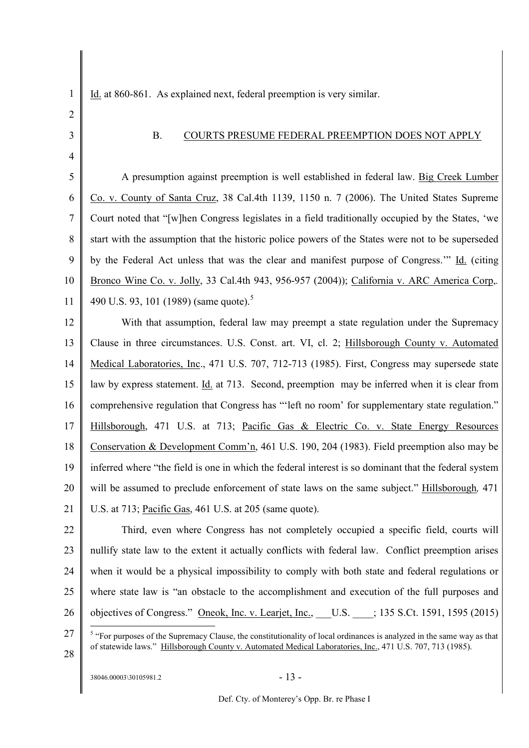Id. at 860-861. As explained next, federal preemption is very similar.

2 3

4

1

### B. COURTS PRESUME FEDERAL PREEMPTION DOES NOT APPLY

5 6 7 8 9 10 11 A presumption against preemption is well established in federal law. Big Creek Lumber Co. v. County of Santa Cruz, 38 Cal.4th 1139, 1150 n. 7 (2006). The United States Supreme Court noted that "[w]hen Congress legislates in a field traditionally occupied by the States, 'we start with the assumption that the historic police powers of the States were not to be superseded by the Federal Act unless that was the clear and manifest purpose of Congress.'" Id. (citing Bronco Wine Co. v. Jolly, 33 Cal.4th 943, 956-957 (2004)); California v. ARC America Corp,*.* 490 U.S. 93, 101 (1989) (same quote).<sup>5</sup>

12 13 14 15 16 17 18 19 20 21 With that assumption, federal law may preempt a state regulation under the Supremacy Clause in three circumstances. U.S. Const. art. VI, cl. 2; Hillsborough County v. Automated Medical Laboratories, Inc., 471 U.S. 707, 712-713 (1985). First, Congress may supersede state law by express statement. Id. at 713. Second, preemption may be inferred when it is clear from comprehensive regulation that Congress has "'left no room' for supplementary state regulation." Hillsborough, 471 U.S. at 713; Pacific Gas & Electric Co. v. State Energy Resources Conservation & Development Comm'n, 461 U.S. 190, 204 (1983). Field preemption also may be inferred where "the field is one in which the federal interest is so dominant that the federal system will be assumed to preclude enforcement of state laws on the same subject." Hillsborough*,* 471 U.S. at 713; Pacific Gas, 461 U.S. at 205 (same quote).

22 23 24 25 26 Third, even where Congress has not completely occupied a specific field, courts will nullify state law to the extent it actually conflicts with federal law. Conflict preemption arises when it would be a physical impossibility to comply with both state and federal regulations or where state law is "an obstacle to the accomplishment and execution of the full purposes and objectives of Congress." Oneok, Inc. v. Learjet, Inc., \_\_\_U.S. \_\_\_\_; 135 S.Ct. 1591, 1595 (2015)

27

28

 $38046.00003\backslash30105981.2$  - 13 -

 $<sup>5</sup>$  "For purposes of the Supremacy Clause, the constitutionality of local ordinances is analyzed in the same way as that</sup> of statewide laws." Hillsborough County v. Automated Medical Laboratories, Inc., 471 U.S. 707, 713 (1985).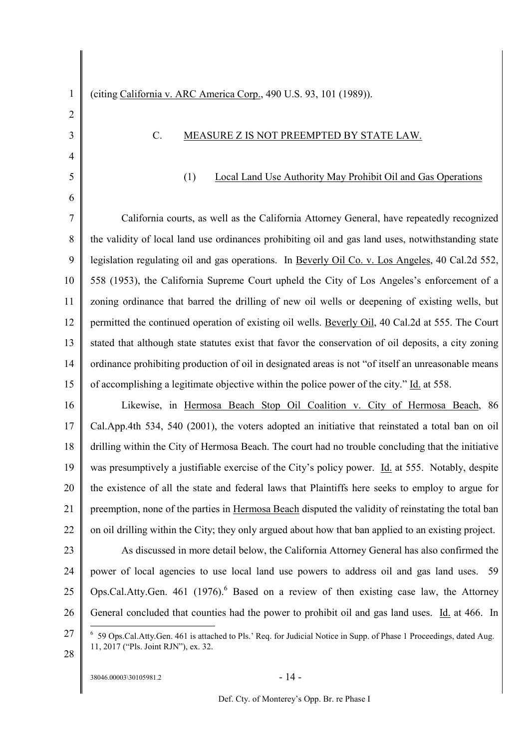### C. MEASURE Z IS NOT PREEMPTED BY STATE LAW.

### (1) Local Land Use Authority May Prohibit Oil and Gas Operations

7 8 9 10 11 12 13 14 15 California courts, as well as the California Attorney General, have repeatedly recognized the validity of local land use ordinances prohibiting oil and gas land uses, notwithstanding state legislation regulating oil and gas operations. In Beverly Oil Co. v. Los Angeles, 40 Cal.2d 552, 558 (1953), the California Supreme Court upheld the City of Los Angeles's enforcement of a zoning ordinance that barred the drilling of new oil wells or deepening of existing wells, but permitted the continued operation of existing oil wells. Beverly Oil, 40 Cal.2d at 555. The Court stated that although state statutes exist that favor the conservation of oil deposits, a city zoning ordinance prohibiting production of oil in designated areas is not "of itself an unreasonable means of accomplishing a legitimate objective within the police power of the city." Id. at 558.

16 17 18 19 20 21 22 Likewise, in Hermosa Beach Stop Oil Coalition v. City of Hermosa Beach, 86 Cal.App.4th 534, 540 (2001), the voters adopted an initiative that reinstated a total ban on oil drilling within the City of Hermosa Beach. The court had no trouble concluding that the initiative was presumptively a justifiable exercise of the City's policy power. Id. at 555. Notably, despite the existence of all the state and federal laws that Plaintiffs here seeks to employ to argue for preemption, none of the parties in Hermosa Beach disputed the validity of reinstating the total ban on oil drilling within the City; they only argued about how that ban applied to an existing project.

23 24 25 26 As discussed in more detail below, the California Attorney General has also confirmed the power of local agencies to use local land use powers to address oil and gas land uses. 59 Ops.Cal.Atty.Gen. 461 (1976). $^{6}$  Based on a review of then existing case law, the Attorney General concluded that counties had the power to prohibit oil and gas land uses. Id. at 466. In

27

1

2

3

4

5

6

<sup>6</sup> 59 Ops.Cal.Atty.Gen. 461 is attached to Pls.' Req. for Judicial Notice in Supp. of Phase 1 Proceedings, dated Aug. 11, 2017 ("Pls. Joint RJN"), ex. 32.

28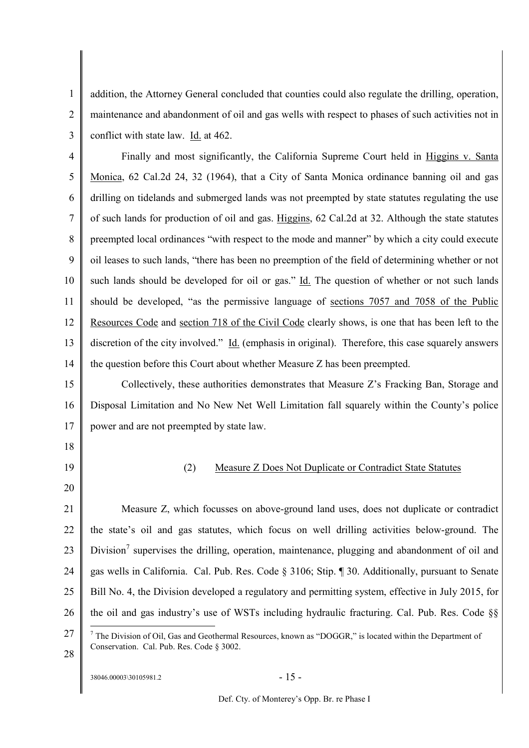1 2 3 addition, the Attorney General concluded that counties could also regulate the drilling, operation, maintenance and abandonment of oil and gas wells with respect to phases of such activities not in conflict with state law. Id. at 462.

4 5 6 7 8 9 10 11 12 13 14 Finally and most significantly, the California Supreme Court held in Higgins v. Santa Monica, 62 Cal.2d 24, 32 (1964), that a City of Santa Monica ordinance banning oil and gas drilling on tidelands and submerged lands was not preempted by state statutes regulating the use of such lands for production of oil and gas. Higgins, 62 Cal.2d at 32. Although the state statutes preempted local ordinances "with respect to the mode and manner" by which a city could execute oil leases to such lands, "there has been no preemption of the field of determining whether or not such lands should be developed for oil or gas." Id. The question of whether or not such lands should be developed, "as the permissive language of sections 7057 and 7058 of the Public Resources Code and section 718 of the Civil Code clearly shows, is one that has been left to the discretion of the city involved." Id. (emphasis in original). Therefore, this case squarely answers the question before this Court about whether Measure Z has been preempted.

15 16 17 Collectively, these authorities demonstrates that Measure Z's Fracking Ban, Storage and Disposal Limitation and No New Net Well Limitation fall squarely within the County's police power and are not preempted by state law.

- 18
- 19 20

## (2) Measure Z Does Not Duplicate or Contradict State Statutes

21 22 23 24 25 26 Measure Z, which focusses on above-ground land uses, does not duplicate or contradict the state's oil and gas statutes, which focus on well drilling activities below-ground. The Division<sup>7</sup> supervises the drilling, operation, maintenance, plugging and abandonment of oil and gas wells in California. Cal. Pub. Res. Code § 3106; Stip. ¶ 30. Additionally, pursuant to Senate Bill No. 4, the Division developed a regulatory and permitting system, effective in July 2015, for the oil and gas industry's use of WSTs including hydraulic fracturing. Cal. Pub. Res. Code §§

- 27  $<sup>7</sup>$  The Division of Oil, Gas and Geothermal Resources, known as "DOGGR," is located within the Department of</sup> Conservation. Cal. Pub. Res. Code § 3002.
- 28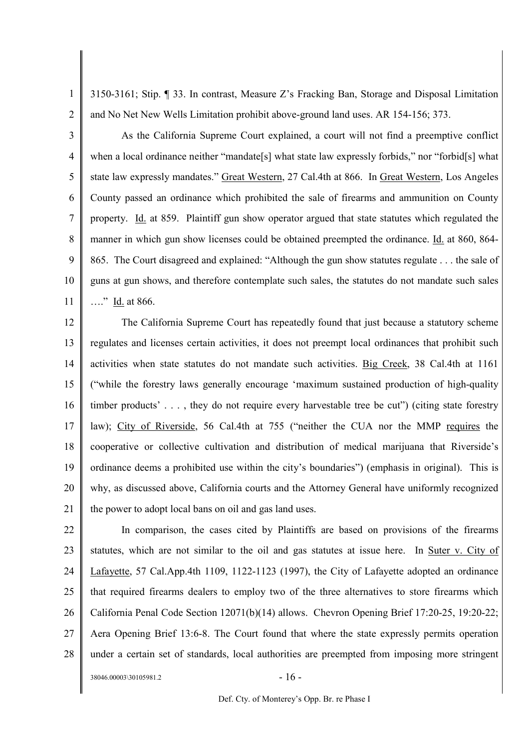1 2 3150-3161; Stip. ¶ 33. In contrast, Measure Z's Fracking Ban, Storage and Disposal Limitation and No Net New Wells Limitation prohibit above-ground land uses. AR 154-156; 373.

3 4 5 6 7 8 9 10 11 As the California Supreme Court explained, a court will not find a preemptive conflict when a local ordinance neither "mandate<sup>[5]</sup> what state law expressly forbids," nor "forbid[5] what state law expressly mandates." Great Western, 27 Cal.4th at 866. In Great Western, Los Angeles County passed an ordinance which prohibited the sale of firearms and ammunition on County property. Id. at 859. Plaintiff gun show operator argued that state statutes which regulated the manner in which gun show licenses could be obtained preempted the ordinance. Id. at 860, 864- 865. The Court disagreed and explained: "Although the gun show statutes regulate . . . the sale of guns at gun shows, and therefore contemplate such sales, the statutes do not mandate such sales …." Id. at 866.

12 13 14 15 16 17 18 19 20 21 The California Supreme Court has repeatedly found that just because a statutory scheme regulates and licenses certain activities, it does not preempt local ordinances that prohibit such activities when state statutes do not mandate such activities. Big Creek, 38 Cal.4th at 1161 ("while the forestry laws generally encourage 'maximum sustained production of high-quality timber products' . . . , they do not require every harvestable tree be cut") (citing state forestry law); City of Riverside, 56 Cal.4th at 755 ("neither the CUA nor the MMP requires the cooperative or collective cultivation and distribution of medical marijuana that Riverside's ordinance deems a prohibited use within the city's boundaries") (emphasis in original). This is why, as discussed above, California courts and the Attorney General have uniformly recognized the power to adopt local bans on oil and gas land uses.

22 23 24 25 26 27 28 In comparison, the cases cited by Plaintiffs are based on provisions of the firearms statutes, which are not similar to the oil and gas statutes at issue here. In Suter v. City of Lafayette, 57 Cal.App.4th 1109, 1122-1123 (1997), the City of Lafayette adopted an ordinance that required firearms dealers to employ two of the three alternatives to store firearms which California Penal Code Section 12071(b)(14) allows. Chevron Opening Brief 17:20-25, 19:20-22; Aera Opening Brief 13:6-8. The Court found that where the state expressly permits operation under a certain set of standards, local authorities are preempted from imposing more stringent

 $38046.00003\backslash30105981.2$  - 16 -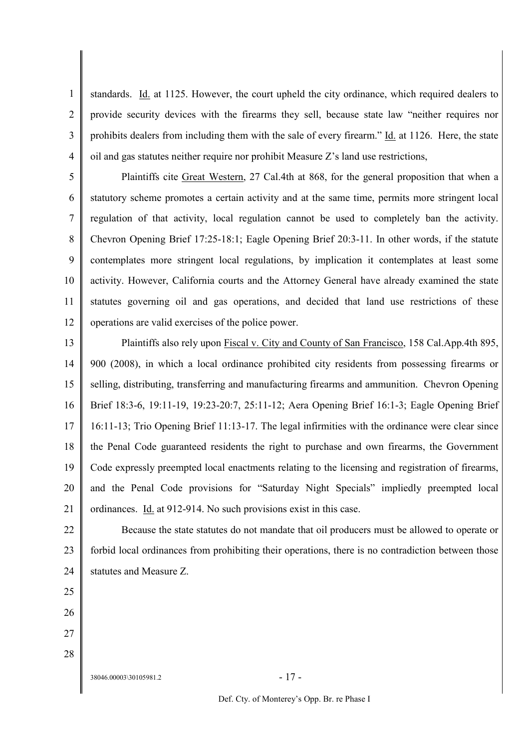1 2 3 4 standards. Id. at 1125. However, the court upheld the city ordinance, which required dealers to provide security devices with the firearms they sell, because state law "neither requires nor prohibits dealers from including them with the sale of every firearm." Id. at 1126. Here, the state oil and gas statutes neither require nor prohibit Measure Z's land use restrictions,

5 6 7 8 9 10 11 12 Plaintiffs cite Great Western, 27 Cal.4th at 868, for the general proposition that when a statutory scheme promotes a certain activity and at the same time, permits more stringent local regulation of that activity, local regulation cannot be used to completely ban the activity. Chevron Opening Brief 17:25-18:1; Eagle Opening Brief 20:3-11. In other words, if the statute contemplates more stringent local regulations, by implication it contemplates at least some activity. However, California courts and the Attorney General have already examined the state statutes governing oil and gas operations, and decided that land use restrictions of these operations are valid exercises of the police power.

13 14 15 16 17 18 19 20 21 Plaintiffs also rely upon Fiscal v. City and County of San Francisco, 158 Cal.App.4th 895, 900 (2008), in which a local ordinance prohibited city residents from possessing firearms or selling, distributing, transferring and manufacturing firearms and ammunition. Chevron Opening Brief 18:3-6, 19:11-19, 19:23-20:7, 25:11-12; Aera Opening Brief 16:1-3; Eagle Opening Brief 16:11-13; Trio Opening Brief 11:13-17. The legal infirmities with the ordinance were clear since the Penal Code guaranteed residents the right to purchase and own firearms, the Government Code expressly preempted local enactments relating to the licensing and registration of firearms, and the Penal Code provisions for "Saturday Night Specials" impliedly preempted local ordinances. Id. at 912-914. No such provisions exist in this case.

22 23 24 Because the state statutes do not mandate that oil producers must be allowed to operate or forbid local ordinances from prohibiting their operations, there is no contradiction between those statutes and Measure Z.

25

- 26
- 27

28

 $38046.00003\backslash30105981.2$  - 17 -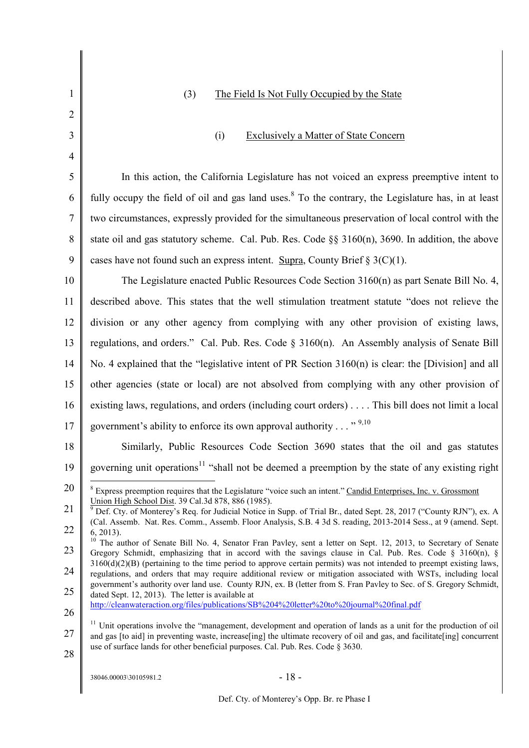| 1              | (3)<br>The Field Is Not Fully Occupied by the State                                                                                                                                                                                                       |
|----------------|-----------------------------------------------------------------------------------------------------------------------------------------------------------------------------------------------------------------------------------------------------------|
| $\overline{2}$ |                                                                                                                                                                                                                                                           |
| 3              | <b>Exclusively a Matter of State Concern</b><br>(i)                                                                                                                                                                                                       |
| $\overline{4}$ |                                                                                                                                                                                                                                                           |
| 5              | In this action, the California Legislature has not voiced an express preemptive intent to                                                                                                                                                                 |
| 6              | fully occupy the field of oil and gas land uses. <sup>8</sup> To the contrary, the Legislature has, in at least                                                                                                                                           |
| $\tau$         | two circumstances, expressly provided for the simultaneous preservation of local control with the                                                                                                                                                         |
| 8              | state oil and gas statutory scheme. Cal. Pub. Res. Code $\S$ § 3160(n), 3690. In addition, the above                                                                                                                                                      |
| 9              | cases have not found such an express intent. Supra, County Brief $\S 3(C)(1)$ .                                                                                                                                                                           |
| 10             | The Legislature enacted Public Resources Code Section 3160(n) as part Senate Bill No. 4,                                                                                                                                                                  |
| 11             | described above. This states that the well stimulation treatment statute "does not relieve the                                                                                                                                                            |
| 12             | division or any other agency from complying with any other provision of existing laws,                                                                                                                                                                    |
| 13             | regulations, and orders." Cal. Pub. Res. Code § 3160(n). An Assembly analysis of Senate Bill                                                                                                                                                              |
| 14             | No. 4 explained that the "legislative intent of PR Section $3160(n)$ is clear: the [Division] and all                                                                                                                                                     |
| 15             | other agencies (state or local) are not absolved from complying with any other provision of                                                                                                                                                               |
| 16             | existing laws, regulations, and orders (including court orders) This bill does not limit a local                                                                                                                                                          |
| 17             | government's ability to enforce its own approval authority " $9,10$                                                                                                                                                                                       |
| 18             | Similarly, Public Resources Code Section 3690 states that the oil and gas statutes                                                                                                                                                                        |
| 19             | governing unit operations <sup>11</sup> "shall not be deemed a preemption by the state of any existing right                                                                                                                                              |
| 20             | <sup>8</sup> Express preemption requires that the Legislature "voice such an intent." Candid Enterprises, Inc. v. Grossmont                                                                                                                               |
| 21             | Union High School Dist. 39 Cal.3d 878, 886 (1985).<br>Def. Cty. of Monterey's Req. for Judicial Notice in Supp. of Trial Br., dated Sept. 28, 2017 ("County RJN"), ex. A                                                                                  |
| 22             | (Cal. Assemb. Nat. Res. Comm., Assemb. Floor Analysis, S.B. 4 3d S. reading, 2013-2014 Sess., at 9 (amend. Sept.<br>$6, 2013$ ).                                                                                                                          |
| 23             | <sup>10</sup> The author of Senate Bill No. 4, Senator Fran Pavley, sent a letter on Sept. 12, 2013, to Secretary of Senate<br>Gregory Schmidt, emphasizing that in accord with the savings clause in Cal. Pub. Res. Code § 3160(n), §                    |
| 24             | $3160(d)(2)(B)$ (pertaining to the time period to approve certain permits) was not intended to preempt existing laws,<br>regulations, and orders that may require additional review or mitigation associated with WSTs, including local                   |
| 25             | government's authority over land use. County RJN, ex. B (letter from S. Fran Pavley to Sec. of S. Gregory Schmidt,<br>dated Sept. 12, 2013). The letter is available at                                                                                   |
| 26             | http://cleanwateraction.org/files/publications/SB%204%20letter%20to%20journal%20final.pdf                                                                                                                                                                 |
| 27             | <sup>11</sup> Unit operations involve the "management, development and operation of lands as a unit for the production of oil<br>and gas [to aid] in preventing waste, increase[ing] the ultimate recovery of oil and gas, and facilitate[ing] concurrent |
| 28             | use of surface lands for other beneficial purposes. Cal. Pub. Res. Code § 3630.                                                                                                                                                                           |
|                | $-18-$<br>38046.00003\30105981.2                                                                                                                                                                                                                          |
|                |                                                                                                                                                                                                                                                           |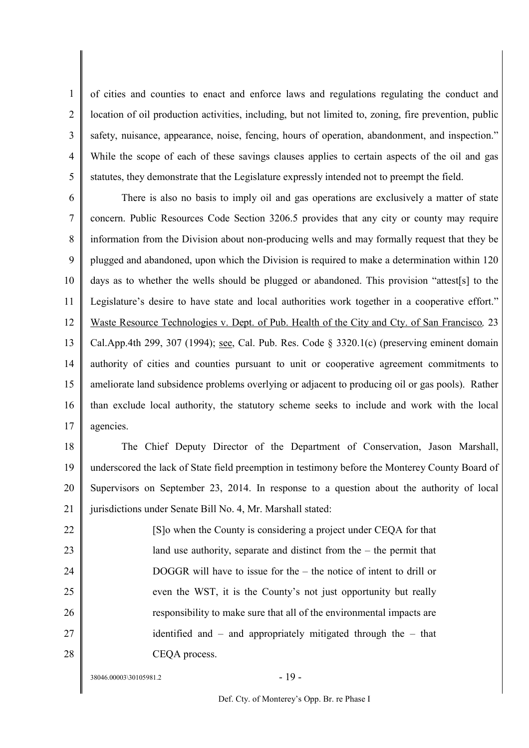1  $\overline{2}$ 3 4 5 of cities and counties to enact and enforce laws and regulations regulating the conduct and location of oil production activities, including, but not limited to, zoning, fire prevention, public safety, nuisance, appearance, noise, fencing, hours of operation, abandonment, and inspection." While the scope of each of these savings clauses applies to certain aspects of the oil and gas statutes, they demonstrate that the Legislature expressly intended not to preempt the field.

6 7 8 9 10 11 12 13 14 15 16 17 There is also no basis to imply oil and gas operations are exclusively a matter of state concern. Public Resources Code Section 3206.5 provides that any city or county may require information from the Division about non-producing wells and may formally request that they be plugged and abandoned, upon which the Division is required to make a determination within 120 days as to whether the wells should be plugged or abandoned. This provision "attest[s] to the Legislature's desire to have state and local authorities work together in a cooperative effort." Waste Resource Technologies v. Dept. of Pub. Health of the City and Cty. of San Francisco*,* 23 Cal.App.4th 299, 307 (1994); see, Cal. Pub. Res. Code § 3320.1(c) (preserving eminent domain authority of cities and counties pursuant to unit or cooperative agreement commitments to ameliorate land subsidence problems overlying or adjacent to producing oil or gas pools). Rather than exclude local authority, the statutory scheme seeks to include and work with the local agencies.

18 19 20 21 The Chief Deputy Director of the Department of Conservation, Jason Marshall, underscored the lack of State field preemption in testimony before the Monterey County Board of Supervisors on September 23, 2014. In response to a question about the authority of local jurisdictions under Senate Bill No. 4, Mr. Marshall stated:

22 23 24 25 26 27 28 [S]o when the County is considering a project under CEQA for that land use authority, separate and distinct from the – the permit that DOGGR will have to issue for the – the notice of intent to drill or even the WST, it is the County's not just opportunity but really responsibility to make sure that all of the environmental impacts are identified and – and appropriately mitigated through the – that CEQA process.

 $38046.00003\backslash30105981.2$  - 19 -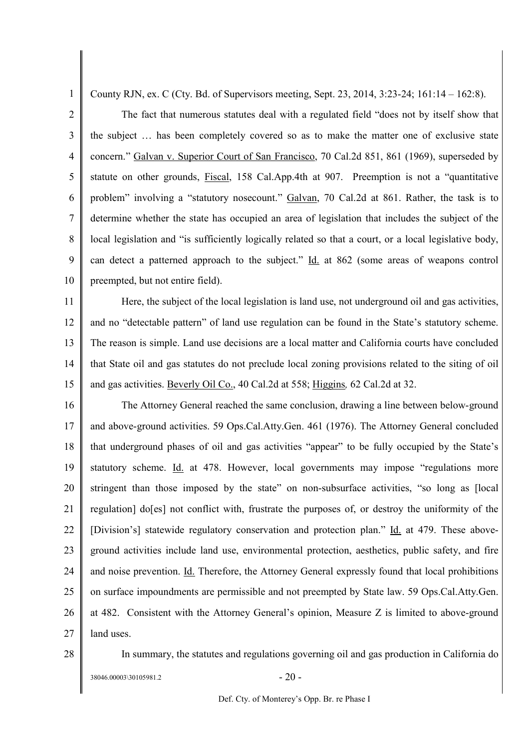County RJN, ex. C (Cty. Bd. of Supervisors meeting, Sept. 23, 2014, 3:23-24; 161:14 – 162:8).

2 3 4 5 6 7 8 9 10 The fact that numerous statutes deal with a regulated field "does not by itself show that the subject … has been completely covered so as to make the matter one of exclusive state concern." Galvan v. Superior Court of San Francisco, 70 Cal.2d 851, 861 (1969), superseded by statute on other grounds, Fiscal, 158 Cal.App.4th at 907. Preemption is not a "quantitative problem" involving a "statutory nosecount." Galvan, 70 Cal.2d at 861. Rather, the task is to determine whether the state has occupied an area of legislation that includes the subject of the local legislation and "is sufficiently logically related so that a court, or a local legislative body, can detect a patterned approach to the subject." Id. at 862 (some areas of weapons control preempted, but not entire field).

11 12 13 14 15 Here, the subject of the local legislation is land use, not underground oil and gas activities, and no "detectable pattern" of land use regulation can be found in the State's statutory scheme. The reason is simple. Land use decisions are a local matter and California courts have concluded that State oil and gas statutes do not preclude local zoning provisions related to the siting of oil and gas activities. Beverly Oil Co., 40 Cal.2d at 558; Higgins*,* 62 Cal.2d at 32.

16 17 18 19 20 21 22 23 24 25 26 27 The Attorney General reached the same conclusion, drawing a line between below-ground and above-ground activities. 59 Ops.Cal.Atty.Gen. 461 (1976). The Attorney General concluded that underground phases of oil and gas activities "appear" to be fully occupied by the State's statutory scheme. Id. at 478. However, local governments may impose "regulations more stringent than those imposed by the state" on non-subsurface activities, "so long as [local regulation] do[es] not conflict with, frustrate the purposes of, or destroy the uniformity of the [Division's] statewide regulatory conservation and protection plan." Id. at 479. These aboveground activities include land use, environmental protection, aesthetics, public safety, and fire and noise prevention. Id. Therefore, the Attorney General expressly found that local prohibitions on surface impoundments are permissible and not preempted by State law. 59 Ops.Cal.Atty.Gen. at 482. Consistent with the Attorney General's opinion, Measure Z is limited to above-ground land uses.

28

1

In summary, the statutes and regulations governing oil and gas production in California do

 $38046.00003\backslash30105981.2$  - 20 -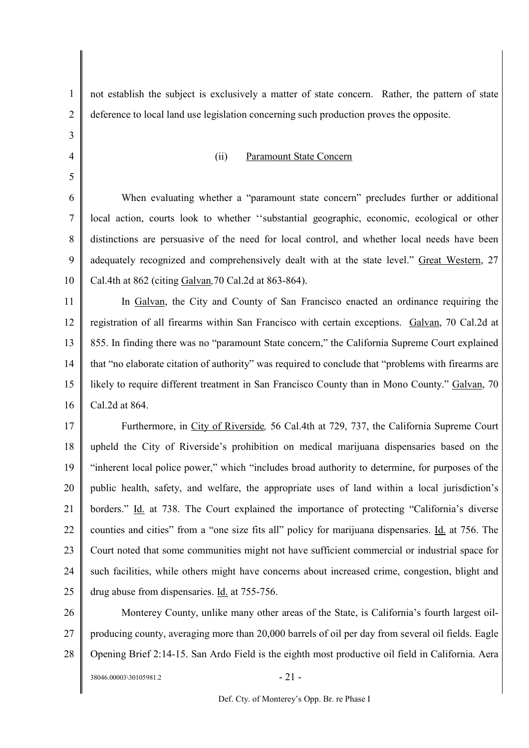| 1              | not establish the subject is exclusively a matter of state concern. Rather, the pattern of state    |
|----------------|-----------------------------------------------------------------------------------------------------|
| $\overline{2}$ | deference to local land use legislation concerning such production proves the opposite.             |
| 3              |                                                                                                     |
| 4              | <b>Paramount State Concern</b><br>(ii)                                                              |
| 5              |                                                                                                     |
| 6              | When evaluating whether a "paramount state concern" precludes further or additional                 |
| $\tau$         | local action, courts look to whether "substantial geographic, economic, ecological or other         |
| 8              | distinctions are persuasive of the need for local control, and whether local needs have been        |
| 9              | adequately recognized and comprehensively dealt with at the state level." Great Western, 27         |
| 10             | Cal.4th at 862 (citing Galvan, 70 Cal.2d at 863-864).                                               |
| 11             | In Galvan, the City and County of San Francisco enacted an ordinance requiring the                  |
| 12             | registration of all firearms within San Francisco with certain exceptions. Galvan, 70 Cal.2d at     |
| 13             | 855. In finding there was no "paramount State concern," the California Supreme Court explained      |
| 14             | that "no elaborate citation of authority" was required to conclude that "problems with firearms are |
| 15             | likely to require different treatment in San Francisco County than in Mono County." Galvan, 70      |
| 16             | Cal.2d at 864.                                                                                      |
| 17             | Furthermore, in City of Riverside, 56 Cal.4th at 729, 737, the California Supreme Court             |
| 18             | upheld the City of Riverside's prohibition on medical marijuana dispensaries based on the           |
| 19             | "inherent local police power," which "includes broad authority to determine, for purposes of the    |
| 20             | public health, safety, and welfare, the appropriate uses of land within a local jurisdiction's      |
| 21             | borders." Id. at 738. The Court explained the importance of protecting "California's diverse        |
| 22             | counties and cities" from a "one size fits all" policy for marijuana dispensaries. Id. at 756. The  |
| 23             | Court noted that some communities might not have sufficient commercial or industrial space for      |
| 24             | such facilities, while others might have concerns about increased crime, congestion, blight and     |
| 25             | drug abuse from dispensaries. Id. at 755-756.                                                       |
| 26             | Monterey County, unlike many other areas of the State, is California's fourth largest oil-          |
| 27             | producing county, averaging more than 20,000 barrels of oil per day from several oil fields. Eagle  |
| 28             | Opening Brief 2:14-15. San Ardo Field is the eighth most productive oil field in California. Aera   |
|                | $-21-$<br>38046.00003\30105981.2                                                                    |

 $\Big|$ 

┃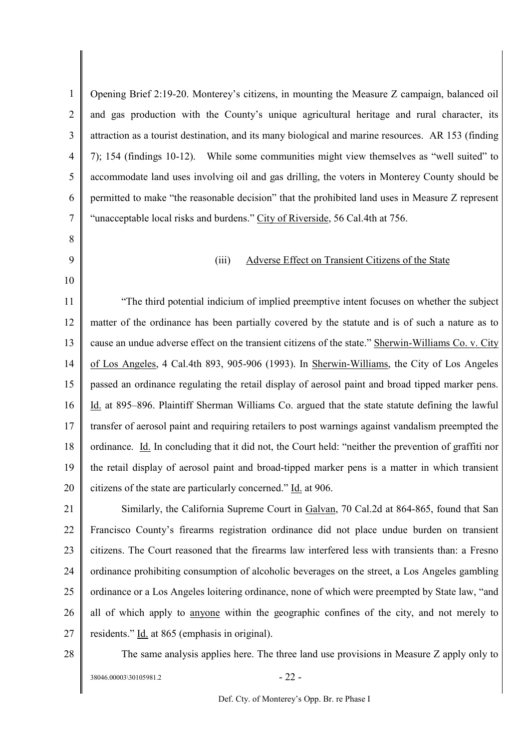1 2 3 4 5 6 7 8 9 10 11 12 13 14 15 16 17 18 19 20 21 22 23 24 25 26 27 28 Opening Brief 2:19-20. Monterey's citizens, in mounting the Measure Z campaign, balanced oil and gas production with the County's unique agricultural heritage and rural character, its attraction as a tourist destination, and its many biological and marine resources. AR 153 (finding 7); 154 (findings 10-12). While some communities might view themselves as "well suited" to accommodate land uses involving oil and gas drilling, the voters in Monterey County should be permitted to make "the reasonable decision" that the prohibited land uses in Measure Z represent "unacceptable local risks and burdens." City of Riverside, 56 Cal.4th at 756. (iii) Adverse Effect on Transient Citizens of the State "The third potential indicium of implied preemptive intent focuses on whether the subject matter of the ordinance has been partially covered by the statute and is of such a nature as to cause an undue adverse effect on the transient citizens of the state." Sherwin-Williams Co. v. City of Los Angeles, 4 Cal.4th 893, 905-906 (1993). In Sherwin-Williams, the City of Los Angeles passed an ordinance regulating the retail display of aerosol paint and broad tipped marker pens. Id. at 895–896. Plaintiff Sherman Williams Co. argued that the state statute defining the lawful transfer of aerosol paint and requiring retailers to post warnings against vandalism preempted the ordinance. Id. In concluding that it did not, the Court held: "neither the prevention of graffiti nor the retail display of aerosol paint and broad-tipped marker pens is a matter in which transient citizens of the state are particularly concerned." Id. at 906. Similarly, the California Supreme Court in Galvan, 70 Cal.2d at 864-865, found that San Francisco County's firearms registration ordinance did not place undue burden on transient citizens. The Court reasoned that the firearms law interfered less with transients than: a Fresno ordinance prohibiting consumption of alcoholic beverages on the street, a Los Angeles gambling ordinance or a Los Angeles loitering ordinance, none of which were preempted by State law, "and all of which apply to anyone within the geographic confines of the city, and not merely to residents." Id. at 865 (emphasis in original). The same analysis applies here. The three land use provisions in Measure Z apply only to

 $38046.00003\backslash30105981.2$  - 22 -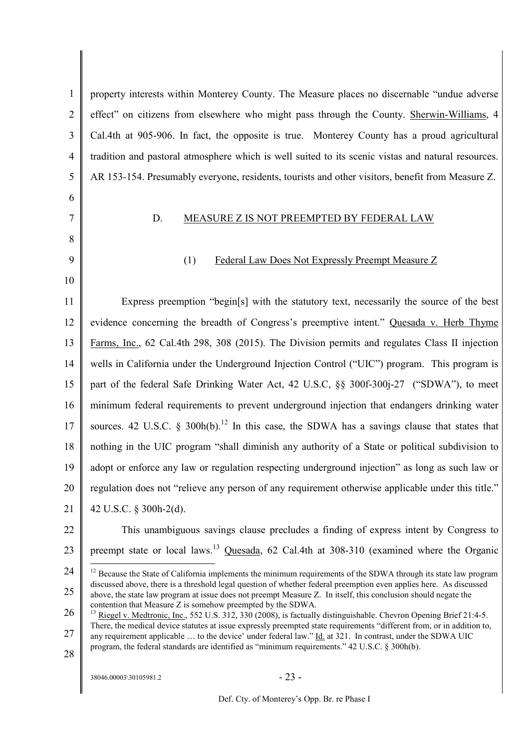1  $\mathfrak{D}$ 3 4 5 6 7 8 9 10 11 12 13 14 15 16 17 18 19 20 21 22 23 24 25 26 27 28  $38046.00003\backslash30105981.2$  - 23 property interests within Monterey County. The Measure places no discernable "undue adverse effect" on citizens from elsewhere who might pass through the County. Sherwin-Williams, 4 Cal.4th at 905-906. In fact, the opposite is true. Monterey County has a proud agricultural tradition and pastoral atmosphere which is well suited to its scenic vistas and natural resources. AR 153-154. Presumably everyone, residents, tourists and other visitors, benefit from Measure Z. D. MEASURE Z IS NOT PREEMPTED BY FEDERAL LAW (1) Federal Law Does Not Expressly Preempt Measure Z Express preemption "begin[s] with the statutory text, necessarily the source of the best evidence concerning the breadth of Congress's preemptive intent." Quesada v. Herb Thyme Farms, Inc., 62 Cal.4th 298, 308 (2015). The Division permits and regulates Class II injection wells in California under the Underground Injection Control ("UIC") program. This program is part of the federal Safe Drinking Water Act, 42 U.S.C, §§ 300f-300j-27 ("SDWA"), to meet minimum federal requirements to prevent underground injection that endangers drinking water sources. 42 U.S.C. § 300h(b).<sup>12</sup> In this case, the SDWA has a savings clause that states that nothing in the UIC program "shall diminish any authority of a State or political subdivision to adopt or enforce any law or regulation respecting underground injection" as long as such law or regulation does not "relieve any person of any requirement otherwise applicable under this title." 42 U.S.C. § 300h-2(d). This unambiguous savings clause precludes a finding of express intent by Congress to preempt state or local laws.<sup>13</sup> Quesada, 62 Cal.4th at 308-310 (examined where the Organic <sup>12</sup> Because the State of California implements the minimum requirements of the SDWA through its state law program discussed above, there is a threshold legal question of whether federal preemption even applies here. As discussed above, the state law program at issue does not preempt Measure Z. In itself, this conclusion should negate the contention that Measure Z is somehow preempted by the SDWA. <sup>13</sup> Riegel v. Medtronic, Inc., 552 U.S. 312, 330 (2008), is factually distinguishable. Chevron Opening Brief 21:4-5. There, the medical device statutes at issue expressly preempted state requirements "different from, or in addition to, any requirement applicable … to the device' under federal law." Id. at 321. In contrast, under the SDWA UIC program, the federal standards are identified as "minimum requirements." 42 U.S.C. § 300h(b).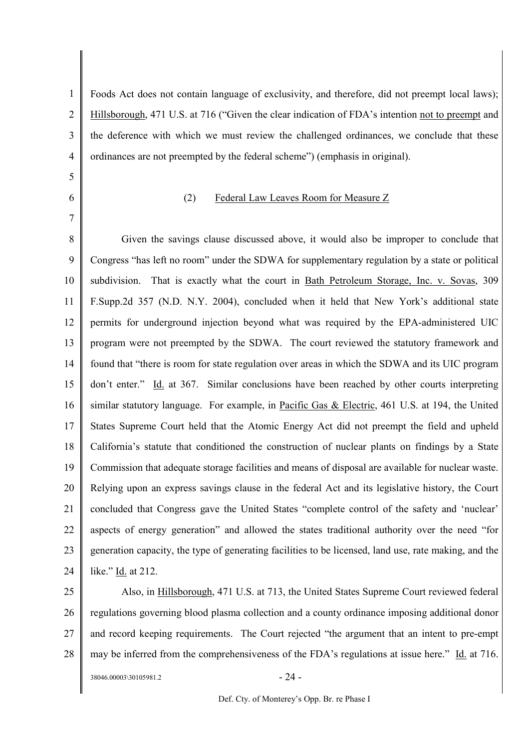1  $\overline{2}$ 3 4 Foods Act does not contain language of exclusivity, and therefore, did not preempt local laws); Hillsborough, 471 U.S. at 716 ("Given the clear indication of FDA's intention not to preempt and the deference with which we must review the challenged ordinances, we conclude that these ordinances are not preempted by the federal scheme") (emphasis in original).

- 5
- 6

7

### (2) Federal Law Leaves Room for Measure Z

8 9 10 11 12 13 14 15 16 17 18 19 20 21 22 23 24 Given the savings clause discussed above, it would also be improper to conclude that Congress "has left no room" under the SDWA for supplementary regulation by a state or political subdivision. That is exactly what the court in Bath Petroleum Storage, Inc. v. Sovas, 309 F.Supp.2d 357 (N.D. N.Y. 2004), concluded when it held that New York's additional state permits for underground injection beyond what was required by the EPA-administered UIC program were not preempted by the SDWA. The court reviewed the statutory framework and found that "there is room for state regulation over areas in which the SDWA and its UIC program don't enter." Id. at 367. Similar conclusions have been reached by other courts interpreting similar statutory language. For example, in Pacific Gas & Electric, 461 U.S. at 194, the United States Supreme Court held that the Atomic Energy Act did not preempt the field and upheld California's statute that conditioned the construction of nuclear plants on findings by a State Commission that adequate storage facilities and means of disposal are available for nuclear waste. Relying upon an express savings clause in the federal Act and its legislative history, the Court concluded that Congress gave the United States "complete control of the safety and 'nuclear' aspects of energy generation" and allowed the states traditional authority over the need "for generation capacity, the type of generating facilities to be licensed, land use, rate making, and the like." Id. at 212.

25 26 27 28 Also, in Hillsborough, 471 U.S. at 713, the United States Supreme Court reviewed federal regulations governing blood plasma collection and a county ordinance imposing additional donor and record keeping requirements. The Court rejected "the argument that an intent to pre-empt may be inferred from the comprehensiveness of the FDA's regulations at issue here." Id. at 716.

 $38046.00003\backslash30105981.2$  - 24 -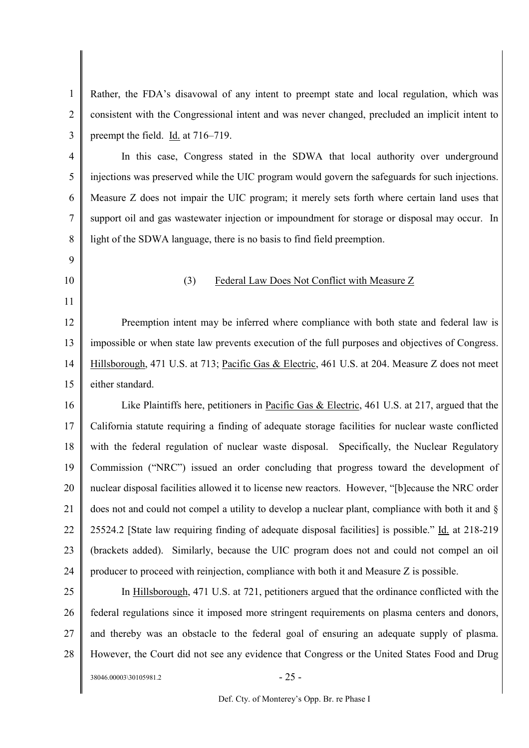1 2 3 Rather, the FDA's disavowal of any intent to preempt state and local regulation, which was consistent with the Congressional intent and was never changed, precluded an implicit intent to preempt the field. Id. at 716–719.

4 5 6 7 8 In this case, Congress stated in the SDWA that local authority over underground injections was preserved while the UIC program would govern the safeguards for such injections. Measure Z does not impair the UIC program; it merely sets forth where certain land uses that support oil and gas wastewater injection or impoundment for storage or disposal may occur. In light of the SDWA language, there is no basis to find field preemption.

- 9
- 10

11

### (3) Federal Law Does Not Conflict with Measure Z

12 13 14 15 Preemption intent may be inferred where compliance with both state and federal law is impossible or when state law prevents execution of the full purposes and objectives of Congress. Hillsborough, 471 U.S. at 713; Pacific Gas & Electric, 461 U.S. at 204. Measure Z does not meet either standard.

16 17 18 19 20 21 22 23 24 Like Plaintiffs here, petitioners in Pacific Gas & Electric, 461 U.S. at 217, argued that the California statute requiring a finding of adequate storage facilities for nuclear waste conflicted with the federal regulation of nuclear waste disposal. Specifically, the Nuclear Regulatory Commission ("NRC") issued an order concluding that progress toward the development of nuclear disposal facilities allowed it to license new reactors. However, "[b]ecause the NRC order does not and could not compel a utility to develop a nuclear plant, compliance with both it and § 25524.2 [State law requiring finding of adequate disposal facilities] is possible." Id. at 218-219 (brackets added). Similarly, because the UIC program does not and could not compel an oil producer to proceed with reinjection, compliance with both it and Measure Z is possible.

25 26 27 28 In Hillsborough, 471 U.S. at 721, petitioners argued that the ordinance conflicted with the federal regulations since it imposed more stringent requirements on plasma centers and donors, and thereby was an obstacle to the federal goal of ensuring an adequate supply of plasma. However, the Court did not see any evidence that Congress or the United States Food and Drug

 $38046.00003\backslash30105981.2$  - 25 -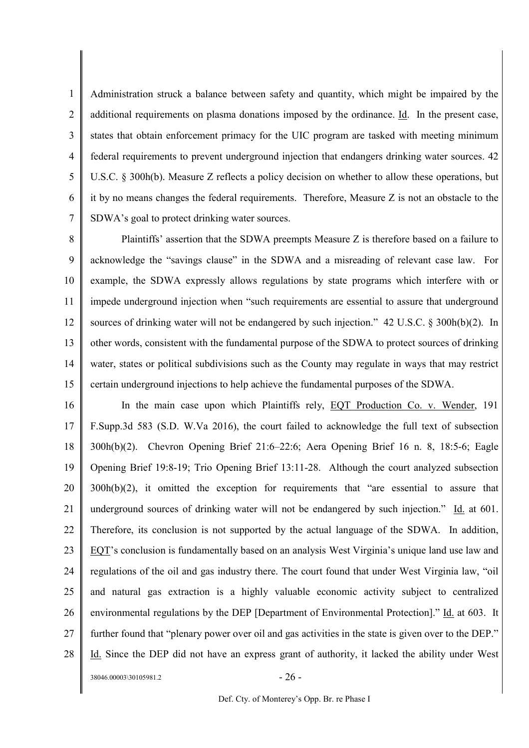1 2 3 4 5 6 7 Administration struck a balance between safety and quantity, which might be impaired by the additional requirements on plasma donations imposed by the ordinance. Id. In the present case, states that obtain enforcement primacy for the UIC program are tasked with meeting minimum federal requirements to prevent underground injection that endangers drinking water sources. 42 U.S.C. § 300h(b). Measure Z reflects a policy decision on whether to allow these operations, but it by no means changes the federal requirements. Therefore, Measure Z is not an obstacle to the SDWA's goal to protect drinking water sources.

8 9 10 11 12 13 14 15 Plaintiffs' assertion that the SDWA preempts Measure Z is therefore based on a failure to acknowledge the "savings clause" in the SDWA and a misreading of relevant case law. For example, the SDWA expressly allows regulations by state programs which interfere with or impede underground injection when "such requirements are essential to assure that underground sources of drinking water will not be endangered by such injection." 42 U.S.C. § 300h(b)(2). In other words, consistent with the fundamental purpose of the SDWA to protect sources of drinking water, states or political subdivisions such as the County may regulate in ways that may restrict certain underground injections to help achieve the fundamental purposes of the SDWA.

16 17 18 19 20 21 22 23 24 25 26 27 28 In the main case upon which Plaintiffs rely, EQT Production Co. v. Wender, 191 F.Supp.3d 583 (S.D. W.Va 2016), the court failed to acknowledge the full text of subsection 300h(b)(2). Chevron Opening Brief 21:6–22:6; Aera Opening Brief 16 n. 8, 18:5-6; Eagle Opening Brief 19:8-19; Trio Opening Brief 13:11-28. Although the court analyzed subsection 300h(b)(2), it omitted the exception for requirements that "are essential to assure that underground sources of drinking water will not be endangered by such injection." Id. at 601. Therefore, its conclusion is not supported by the actual language of the SDWA. In addition, EQT's conclusion is fundamentally based on an analysis West Virginia's unique land use law and regulations of the oil and gas industry there. The court found that under West Virginia law, "oil and natural gas extraction is a highly valuable economic activity subject to centralized environmental regulations by the DEP [Department of Environmental Protection]." Id. at 603. It further found that "plenary power over oil and gas activities in the state is given over to the DEP." Id. Since the DEP did not have an express grant of authority, it lacked the ability under West

 $38046.00003\backslash30105981.2$  - 26 -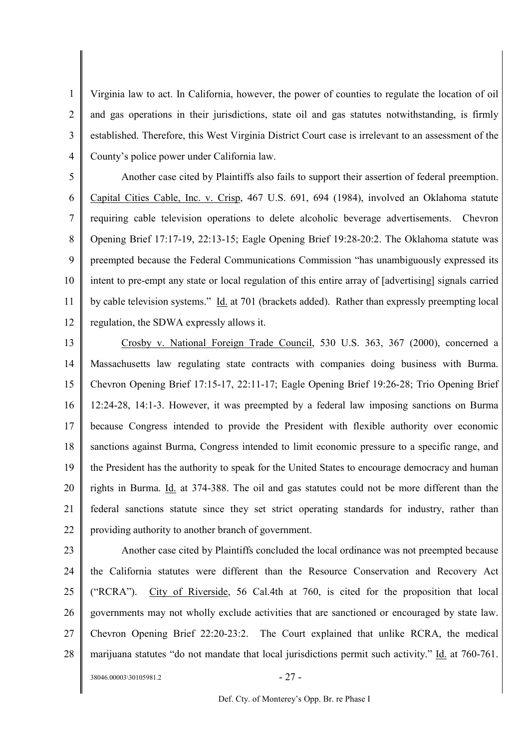1 2 3 4 Virginia law to act. In California, however, the power of counties to regulate the location of oil and gas operations in their jurisdictions, state oil and gas statutes notwithstanding, is firmly established. Therefore, this West Virginia District Court case is irrelevant to an assessment of the County's police power under California law.

5 6 7 8 9 10 11 12 Another case cited by Plaintiffs also fails to support their assertion of federal preemption. Capital Cities Cable, Inc. v. Crisp, 467 U.S. 691, 694 (1984), involved an Oklahoma statute requiring cable television operations to delete alcoholic beverage advertisements. Chevron Opening Brief 17:17-19, 22:13-15; Eagle Opening Brief 19:28-20:2. The Oklahoma statute was preempted because the Federal Communications Commission "has unambiguously expressed its intent to pre-empt any state or local regulation of this entire array of [advertising] signals carried by cable television systems." Id. at 701 (brackets added). Rather than expressly preempting local regulation, the SDWA expressly allows it.

13 14 15 16 17 18 19 20 21 22 Crosby v. National Foreign Trade Council, 530 U.S. 363, 367 (2000), concerned a Massachusetts law regulating state contracts with companies doing business with Burma. Chevron Opening Brief 17:15-17, 22:11-17; Eagle Opening Brief 19:26-28; Trio Opening Brief 12:24-28, 14:1-3. However, it was preempted by a federal law imposing sanctions on Burma because Congress intended to provide the President with flexible authority over economic sanctions against Burma, Congress intended to limit economic pressure to a specific range, and the President has the authority to speak for the United States to encourage democracy and human rights in Burma. Id. at 374-388. The oil and gas statutes could not be more different than the federal sanctions statute since they set strict operating standards for industry, rather than providing authority to another branch of government.

23 24 25 26 27 28 Another case cited by Plaintiffs concluded the local ordinance was not preempted because the California statutes were different than the Resource Conservation and Recovery Act ("RCRA"). City of Riverside, 56 Cal.4th at 760, is cited for the proposition that local governments may not wholly exclude activities that are sanctioned or encouraged by state law. Chevron Opening Brief 22:20-23:2. The Court explained that unlike RCRA, the medical marijuana statutes "do not mandate that local jurisdictions permit such activity." Id. at 760-761.

 $38046.00003\backslash30105981.2$  - 27 -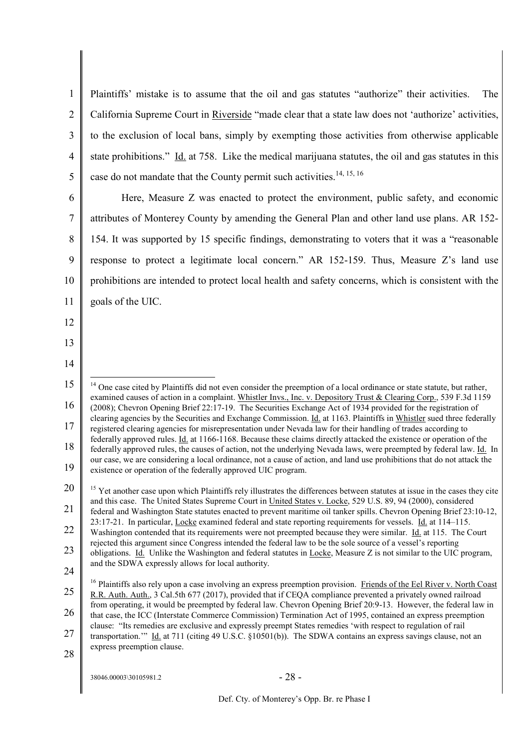1  $\overline{2}$ 3 4 5 Plaintiffs' mistake is to assume that the oil and gas statutes "authorize" their activities. The California Supreme Court in Riverside "made clear that a state law does not 'authorize' activities, to the exclusion of local bans, simply by exempting those activities from otherwise applicable state prohibitions." Id. at 758. Like the medical marijuana statutes, the oil and gas statutes in this case do not mandate that the County permit such activities.<sup>14, 15, 16</sup>

6

7 8 9 10 11 Here, Measure Z was enacted to protect the environment, public safety, and economic attributes of Monterey County by amending the General Plan and other land use plans. AR 152- 154. It was supported by 15 specific findings, demonstrating to voters that it was a "reasonable response to protect a legitimate local concern." AR 152-159. Thus, Measure Z's land use prohibitions are intended to protect local health and safety concerns, which is consistent with the goals of the UIC.

- 12
- 13
- 14

28

<sup>15</sup> 16 17 18 19 20 21  $14$  One case cited by Plaintiffs did not even consider the preemption of a local ordinance or state statute, but rather, examined causes of action in a complaint. Whistler Invs., Inc. v. Depository Trust & Clearing Corp., 539 F.3d 1159 (2008); Chevron Opening Brief 22:17-19. The Securities Exchange Act of 1934 provided for the registration of clearing agencies by the Securities and Exchange Commission. Id. at 1163. Plaintiffs in Whistler sued three federally registered clearing agencies for misrepresentation under Nevada law for their handling of trades according to federally approved rules. Id. at 1166-1168. Because these claims directly attacked the existence or operation of the federally approved rules, the causes of action, not the underlying Nevada laws, were preempted by federal law. Id. In our case, we are considering a local ordinance, not a cause of action, and land use prohibitions that do not attack the existence or operation of the federally approved UIC program. <sup>15</sup> Yet another case upon which Plaintiffs rely illustrates the differences between statutes at issue in the cases they cite and this case. The United States Supreme Court in United States v. Locke, 529 U.S. 89, 94 (2000), considered federal and Washington State statutes enacted to prevent maritime oil tanker spills. Chevron Opening Brief 23:10-12, 23:17-21. In particular, Locke examined federal and state reporting requirements for vessels. Id. at 114–115.

<sup>22</sup> 23 Washington contended that its requirements were not preempted because they were similar. Id. at 115. The Court rejected this argument since Congress intended the federal law to be the sole source of a vessel's reporting

<sup>24</sup> obligations. Id. Unlike the Washington and federal statutes in Locke, Measure Z is not similar to the UIC program, and the SDWA expressly allows for local authority.

<sup>25</sup> <sup>16</sup> Plaintiffs also rely upon a case involving an express preemption provision. Friends of the Eel River v. North Coast R.R. Auth. Auth., 3 Cal.5th 677 (2017), provided that if CEQA compliance prevented a privately owned railroad from operating, it would be preempted by federal law. Chevron Opening Brief 20:9-13. However, the federal law in

<sup>26</sup> that case, the ICC (Interstate Commerce Commission) Termination Act of 1995, contained an express preemption clause: "Its remedies are exclusive and expressly preempt States remedies 'with respect to regulation of rail

<sup>27</sup> transportation.'" Id. at 711 (citing 49 U.S.C. §10501(b)). The SDWA contains an express savings clause, not an express preemption clause.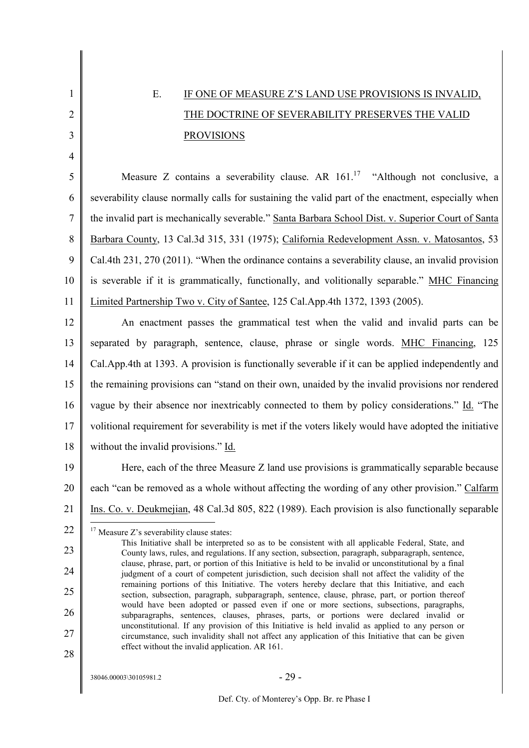# E. IF ONE OF MEASURE Z'S LAND USE PROVISIONS IS INVALID, THE DOCTRINE OF SEVERABILITY PRESERVES THE VALID **PROVISIONS**

5 6 7 8 9 10 11 Measure Z contains a severability clause. AR  $161$ ,<sup>17</sup> "Although not conclusive, a severability clause normally calls for sustaining the valid part of the enactment, especially when the invalid part is mechanically severable." Santa Barbara School Dist. v. Superior Court of Santa Barbara County, 13 Cal.3d 315, 331 (1975); California Redevelopment Assn. v. Matosantos, 53 Cal.4th 231, 270 (2011). "When the ordinance contains a severability clause, an invalid provision is severable if it is grammatically, functionally, and volitionally separable." MHC Financing Limited Partnership Two v. City of Santee, 125 Cal.App.4th 1372, 1393 (2005).

12 13 14 15 16 17 18 An enactment passes the grammatical test when the valid and invalid parts can be separated by paragraph, sentence, clause, phrase or single words. MHC Financing, 125 Cal.App.4th at 1393. A provision is functionally severable if it can be applied independently and the remaining provisions can "stand on their own, unaided by the invalid provisions nor rendered vague by their absence nor inextricably connected to them by policy considerations." Id. "The volitional requirement for severability is met if the voters likely would have adopted the initiative without the invalid provisions." Id.

19 20 21 Here, each of the three Measure Z land use provisions is grammatically separable because each "can be removed as a whole without affecting the wording of any other provision." Calfarm Ins. Co. v. Deukmejian, 48 Cal.3d 805, 822 (1989). Each provision is also functionally separable

22  $17$  Measure Z's severability clause states:

28

1

2

3

4

 $38046.00003\backslash30105981.2$  - 29 -

<sup>23</sup> 24 25 26 27 This Initiative shall be interpreted so as to be consistent with all applicable Federal, State, and County laws, rules, and regulations. If any section, subsection, paragraph, subparagraph, sentence, clause, phrase, part, or portion of this Initiative is held to be invalid or unconstitutional by a final judgment of a court of competent jurisdiction, such decision shall not affect the validity of the remaining portions of this Initiative. The voters hereby declare that this Initiative, and each section, subsection, paragraph, subparagraph, sentence, clause, phrase, part, or portion thereof would have been adopted or passed even if one or more sections, subsections, paragraphs, subparagraphs, sentences, clauses, phrases, parts, or portions were declared invalid or unconstitutional. If any provision of this Initiative is held invalid as applied to any person or circumstance, such invalidity shall not affect any application of this Initiative that can be given effect without the invalid application. AR 161.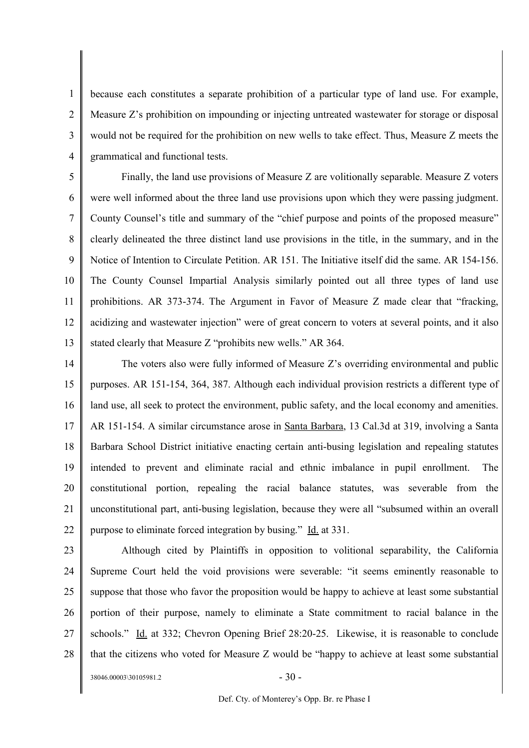1 2 3 4 because each constitutes a separate prohibition of a particular type of land use. For example, Measure Z's prohibition on impounding or injecting untreated wastewater for storage or disposal would not be required for the prohibition on new wells to take effect. Thus, Measure Z meets the grammatical and functional tests.

5 6 7 8 9 10 11 12 13 Finally, the land use provisions of Measure Z are volitionally separable. Measure Z voters were well informed about the three land use provisions upon which they were passing judgment. County Counsel's title and summary of the "chief purpose and points of the proposed measure" clearly delineated the three distinct land use provisions in the title, in the summary, and in the Notice of Intention to Circulate Petition. AR 151. The Initiative itself did the same. AR 154-156. The County Counsel Impartial Analysis similarly pointed out all three types of land use prohibitions. AR 373-374. The Argument in Favor of Measure Z made clear that "fracking, acidizing and wastewater injection" were of great concern to voters at several points, and it also stated clearly that Measure Z "prohibits new wells." AR 364.

14 15 16 17 18 19 20 21 22 The voters also were fully informed of Measure Z's overriding environmental and public purposes. AR 151-154, 364, 387. Although each individual provision restricts a different type of land use, all seek to protect the environment, public safety, and the local economy and amenities. AR 151-154. A similar circumstance arose in Santa Barbara, 13 Cal.3d at 319, involving a Santa Barbara School District initiative enacting certain anti-busing legislation and repealing statutes intended to prevent and eliminate racial and ethnic imbalance in pupil enrollment. The constitutional portion, repealing the racial balance statutes, was severable from the unconstitutional part, anti-busing legislation, because they were all "subsumed within an overall purpose to eliminate forced integration by busing." Id. at 331.

23 24 25 26 27 28 Although cited by Plaintiffs in opposition to volitional separability, the California Supreme Court held the void provisions were severable: "it seems eminently reasonable to suppose that those who favor the proposition would be happy to achieve at least some substantial portion of their purpose, namely to eliminate a State commitment to racial balance in the schools." Id. at 332; Chevron Opening Brief 28:20-25. Likewise, it is reasonable to conclude that the citizens who voted for Measure Z would be "happy to achieve at least some substantial

 $38046.00003\backslash30105981.2$  - 30 -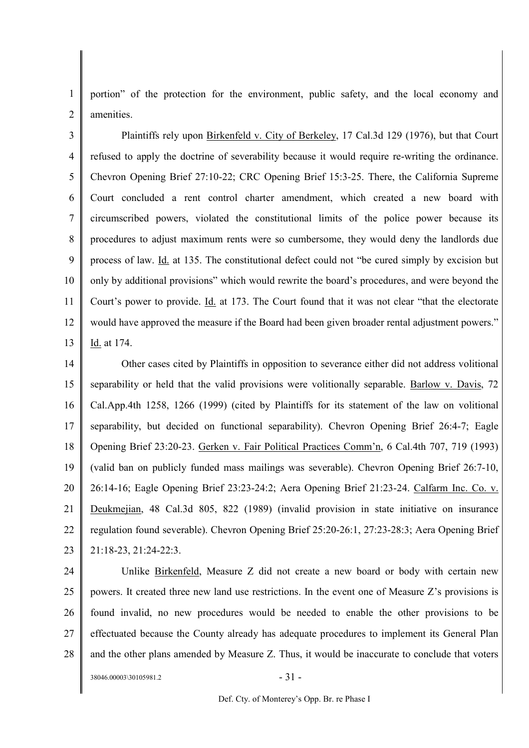1  $\overline{2}$ portion" of the protection for the environment, public safety, and the local economy and amenities.

3 4 5 6 7 8 9 10 11 12 13 Plaintiffs rely upon Birkenfeld v. City of Berkeley, 17 Cal.3d 129 (1976), but that Court refused to apply the doctrine of severability because it would require re-writing the ordinance. Chevron Opening Brief 27:10-22; CRC Opening Brief 15:3-25. There, the California Supreme Court concluded a rent control charter amendment, which created a new board with circumscribed powers, violated the constitutional limits of the police power because its procedures to adjust maximum rents were so cumbersome, they would deny the landlords due process of law. Id. at 135. The constitutional defect could not "be cured simply by excision but only by additional provisions" which would rewrite the board's procedures, and were beyond the Court's power to provide. Id. at 173. The Court found that it was not clear "that the electorate would have approved the measure if the Board had been given broader rental adjustment powers." Id. at 174.

14 15 16 17 18 19 20 21 22 23 Other cases cited by Plaintiffs in opposition to severance either did not address volitional separability or held that the valid provisions were volitionally separable. Barlow v. Davis, 72 Cal.App.4th 1258, 1266 (1999) (cited by Plaintiffs for its statement of the law on volitional separability, but decided on functional separability). Chevron Opening Brief 26:4-7; Eagle Opening Brief 23:20-23. Gerken v. Fair Political Practices Comm'n, 6 Cal.4th 707, 719 (1993) (valid ban on publicly funded mass mailings was severable). Chevron Opening Brief 26:7-10, 26:14-16; Eagle Opening Brief 23:23-24:2; Aera Opening Brief 21:23-24. Calfarm Inc. Co. v. Deukmejian, 48 Cal.3d 805, 822 (1989) (invalid provision in state initiative on insurance regulation found severable). Chevron Opening Brief 25:20-26:1, 27:23-28:3; Aera Opening Brief 21:18-23, 21:24-22:3.

24

25 26 27 28 Unlike Birkenfeld, Measure Z did not create a new board or body with certain new powers. It created three new land use restrictions. In the event one of Measure Z's provisions is found invalid, no new procedures would be needed to enable the other provisions to be effectuated because the County already has adequate procedures to implement its General Plan and the other plans amended by Measure Z. Thus, it would be inaccurate to conclude that voters

 $38046.00003\backslash30105981.2$  - 31 -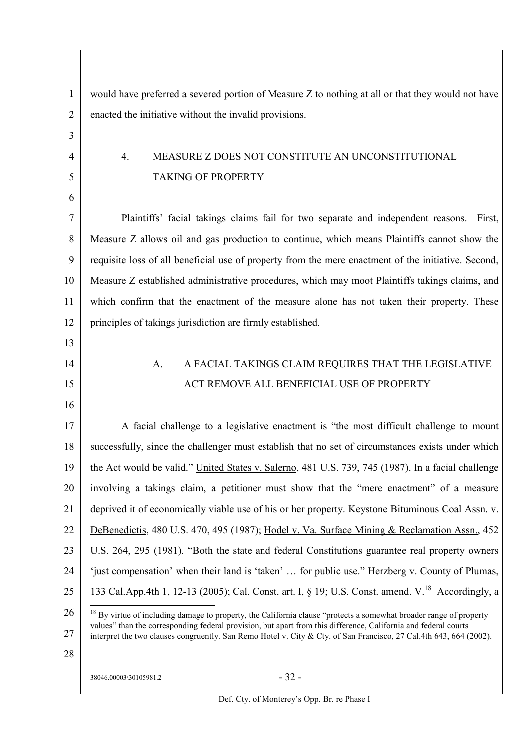| 1              | would have preferred a severed portion of Measure Z to nothing at all or that they would not have                                                                                                                                                                                                                                                                      |
|----------------|------------------------------------------------------------------------------------------------------------------------------------------------------------------------------------------------------------------------------------------------------------------------------------------------------------------------------------------------------------------------|
| $\overline{2}$ | enacted the initiative without the invalid provisions.                                                                                                                                                                                                                                                                                                                 |
| 3              |                                                                                                                                                                                                                                                                                                                                                                        |
| 4              | MEASURE Z DOES NOT CONSTITUTE AN UNCONSTITUTIONAL<br>4.                                                                                                                                                                                                                                                                                                                |
| 5              | <b>TAKING OF PROPERTY</b>                                                                                                                                                                                                                                                                                                                                              |
| 6              |                                                                                                                                                                                                                                                                                                                                                                        |
| 7              | Plaintiffs' facial takings claims fail for two separate and independent reasons.<br>First,                                                                                                                                                                                                                                                                             |
| 8              | Measure Z allows oil and gas production to continue, which means Plaintiffs cannot show the                                                                                                                                                                                                                                                                            |
| 9              | requisite loss of all beneficial use of property from the mere enactment of the initiative. Second,                                                                                                                                                                                                                                                                    |
| 10             | Measure Z established administrative procedures, which may moot Plaintiffs takings claims, and                                                                                                                                                                                                                                                                         |
| 11             | which confirm that the enactment of the measure alone has not taken their property. These                                                                                                                                                                                                                                                                              |
| 12             | principles of takings jurisdiction are firmly established.                                                                                                                                                                                                                                                                                                             |
| 13             |                                                                                                                                                                                                                                                                                                                                                                        |
| 14             | A FACIAL TAKINGS CLAIM REQUIRES THAT THE LEGISLATIVE<br>A.                                                                                                                                                                                                                                                                                                             |
| 15             | ACT REMOVE ALL BENEFICIAL USE OF PROPERTY                                                                                                                                                                                                                                                                                                                              |
| 16             |                                                                                                                                                                                                                                                                                                                                                                        |
| 17             | A facial challenge to a legislative enactment is "the most difficult challenge to mount                                                                                                                                                                                                                                                                                |
| 18             | successfully, since the challenger must establish that no set of circumstances exists under which                                                                                                                                                                                                                                                                      |
| 19             | the Act would be valid." United States v. Salerno, 481 U.S. 739, 745 (1987). In a facial challenge                                                                                                                                                                                                                                                                     |
| 20             | involving a takings claim, a petitioner must show that the "mere enactment" of a measure                                                                                                                                                                                                                                                                               |
| 21             | deprived it of economically viable use of his or her property. Keystone Bituminous Coal Assn. v.                                                                                                                                                                                                                                                                       |
| 22             | DeBenedictis, 480 U.S. 470, 495 (1987); Hodel v. Va. Surface Mining & Reclamation Assn., 452                                                                                                                                                                                                                                                                           |
| 23             | U.S. 264, 295 (1981). "Both the state and federal Constitutions guarantee real property owners                                                                                                                                                                                                                                                                         |
| 24             | 'just compensation' when their land is 'taken'  for public use." Herzberg v. County of Plumas,                                                                                                                                                                                                                                                                         |
| 25             | 133 Cal.App.4th 1, 12-13 (2005); Cal. Const. art. I, § 19; U.S. Const. amend. V. <sup>18</sup> Accordingly, a                                                                                                                                                                                                                                                          |
| 26<br>27       | <sup>18</sup> By virtue of including damage to property, the California clause "protects a somewhat broader range of property<br>values" than the corresponding federal provision, but apart from this difference, California and federal courts<br>interpret the two clauses congruently. San Remo Hotel v. City & Cty. of San Francisco, 27 Cal.4th 643, 664 (2002). |

28

 $38046.00003\backslash30105981.2$  - 32 -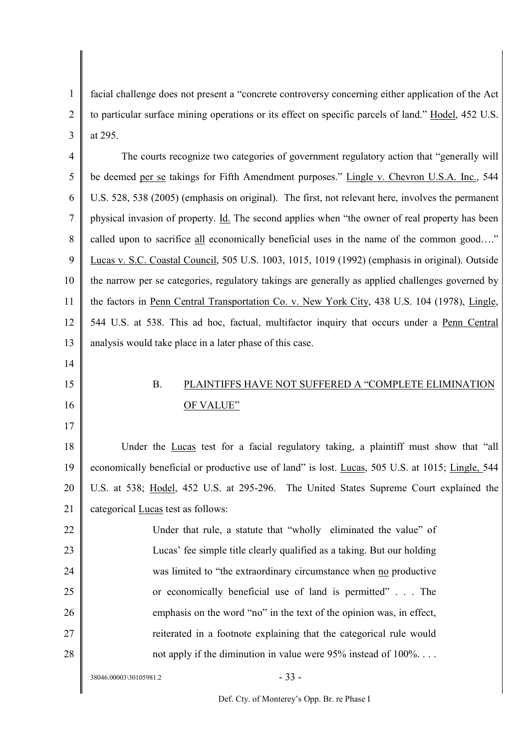1  $\mathfrak{D}$ 3 facial challenge does not present a "concrete controversy concerning either application of the Act to particular surface mining operations or its effect on specific parcels of land." Hodel, 452 U.S. at 295.

4 5 6 7 8 9 10 11 12 13 The courts recognize two categories of government regulatory action that "generally will be deemed per se takings for Fifth Amendment purposes." Lingle v. Chevron U.S.A. Inc., 544 U.S. 528, 538 (2005) (emphasis on original). The first, not relevant here, involves the permanent physical invasion of property. Id. The second applies when "the owner of real property has been called upon to sacrifice all economically beneficial uses in the name of the common good…." Lucas v. S.C. Coastal Council, 505 U.S. 1003, 1015, 1019 (1992) (emphasis in original). Outside the narrow per se categories, regulatory takings are generally as applied challenges governed by the factors in Penn Central Transportation Co. v. New York City, 438 U.S. 104 (1978), Lingle, 544 U.S. at 538. This ad hoc, factual, multifactor inquiry that occurs under a Penn Central analysis would take place in a later phase of this case.

- 14
- 15
- 16 17

# B. PLAINTIFFS HAVE NOT SUFFERED A "COMPLETE ELIMINATION OF VALUE"

18 19 20 21 Under the Lucas test for a facial regulatory taking, a plaintiff must show that "all economically beneficial or productive use of land" is lost. Lucas, 505 U.S. at 1015; Lingle, 544 U.S. at 538; Hodel, 452 U.S. at 295-296. The United States Supreme Court explained the categorical Lucas test as follows:

22 23 24 25 26 27 28 Under that rule, a statute that "wholly eliminated the value" of Lucas' fee simple title clearly qualified as a taking. But our holding was limited to "the extraordinary circumstance when no productive or economically beneficial use of land is permitted" . . . The emphasis on the word "no" in the text of the opinion was, in effect, reiterated in a footnote explaining that the categorical rule would not apply if the diminution in value were 95% instead of 100%...

 $38046.00003\backslash30105981.2$  - 33 -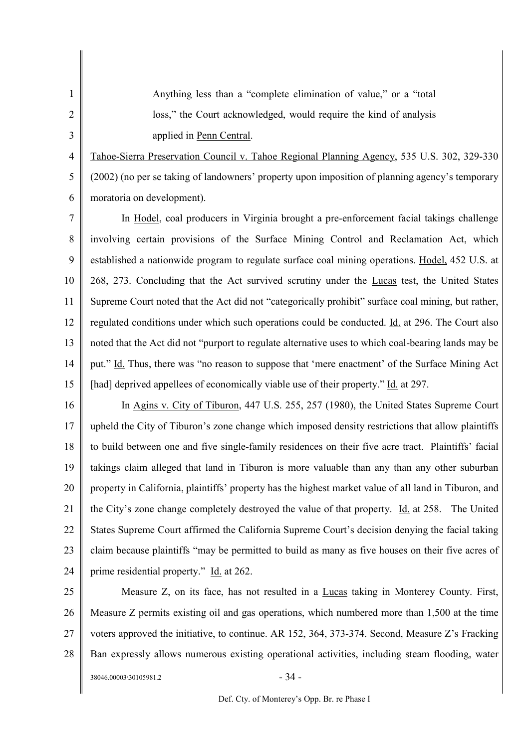Anything less than a "complete elimination of value," or a "total loss," the Court acknowledged, would require the kind of analysis applied in Penn Central.

4 5 6 Tahoe-Sierra Preservation Council v. Tahoe Regional Planning Agency, 535 U.S. 302, 329-330 (2002) (no per se taking of landowners' property upon imposition of planning agency's temporary moratoria on development).

7 8 9 10 11 12 13 14 15 In Hodel, coal producers in Virginia brought a pre-enforcement facial takings challenge involving certain provisions of the Surface Mining Control and Reclamation Act, which established a nationwide program to regulate surface coal mining operations. Hodel, 452 U.S. at 268, 273. Concluding that the Act survived scrutiny under the Lucas test, the United States Supreme Court noted that the Act did not "categorically prohibit" surface coal mining, but rather, regulated conditions under which such operations could be conducted. Id. at 296. The Court also noted that the Act did not "purport to regulate alternative uses to which coal-bearing lands may be put." Id. Thus, there was "no reason to suppose that 'mere enactment' of the Surface Mining Act [had] deprived appellees of economically viable use of their property." Id. at 297.

16 17 18 19 20 21 22 23 24 In Agins v. City of Tiburon, 447 U.S. 255, 257 (1980), the United States Supreme Court upheld the City of Tiburon's zone change which imposed density restrictions that allow plaintiffs to build between one and five single-family residences on their five acre tract. Plaintiffs' facial takings claim alleged that land in Tiburon is more valuable than any than any other suburban property in California, plaintiffs' property has the highest market value of all land in Tiburon, and the City's zone change completely destroyed the value of that property. Id. at 258. The United States Supreme Court affirmed the California Supreme Court's decision denying the facial taking claim because plaintiffs "may be permitted to build as many as five houses on their five acres of prime residential property." Id. at 262.

25 26 27 28  $38046.00003\backslash30105981.2$  - 34 -Measure Z, on its face, has not resulted in a Lucas taking in Monterey County. First, Measure Z permits existing oil and gas operations, which numbered more than 1,500 at the time voters approved the initiative, to continue. AR 152, 364, 373-374. Second, Measure Z's Fracking Ban expressly allows numerous existing operational activities, including steam flooding, water

1

2

3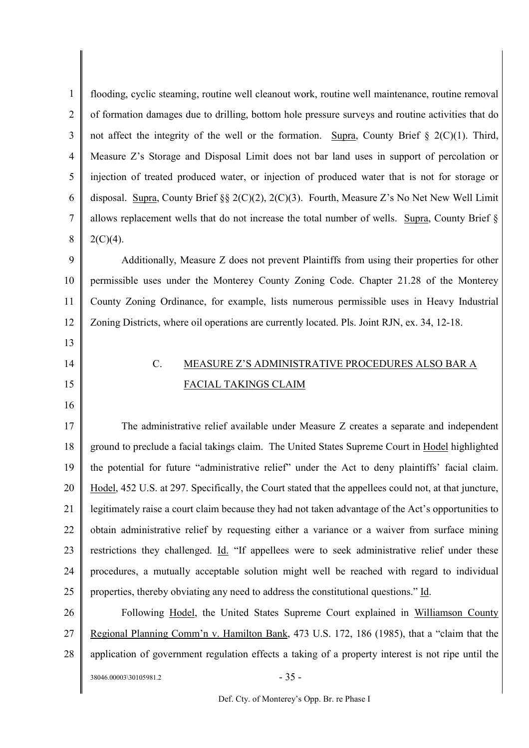1 2 3 4 5 6 7 8 9 10 11 12 13 14 15 16 17 18 19 20 21 22 23 24 25 26 27 28  $38046.00003\backslash30105981.2$  - 35 flooding, cyclic steaming, routine well cleanout work, routine well maintenance, routine removal of formation damages due to drilling, bottom hole pressure surveys and routine activities that do not affect the integrity of the well or the formation. Supra, County Brief  $\S$  2(C)(1). Third, Measure Z's Storage and Disposal Limit does not bar land uses in support of percolation or injection of treated produced water, or injection of produced water that is not for storage or disposal. Supra, County Brief §§ 2(C)(2), 2(C)(3). Fourth, Measure Z's No Net New Well Limit allows replacement wells that do not increase the total number of wells. Supra, County Brief §  $2(C)(4)$ . Additionally, Measure Z does not prevent Plaintiffs from using their properties for other permissible uses under the Monterey County Zoning Code. Chapter 21.28 of the Monterey County Zoning Ordinance, for example, lists numerous permissible uses in Heavy Industrial Zoning Districts, where oil operations are currently located. Pls. Joint RJN, ex. 34, 12-18. C. MEASURE Z'S ADMINISTRATIVE PROCEDURES ALSO BAR A FACIAL TAKINGS CLAIM The administrative relief available under Measure Z creates a separate and independent ground to preclude a facial takings claim. The United States Supreme Court in Hodel highlighted the potential for future "administrative relief" under the Act to deny plaintiffs' facial claim. Hodel, 452 U.S. at 297. Specifically, the Court stated that the appellees could not, at that juncture, legitimately raise a court claim because they had not taken advantage of the Act's opportunities to obtain administrative relief by requesting either a variance or a waiver from surface mining restrictions they challenged. Id. "If appellees were to seek administrative relief under these procedures, a mutually acceptable solution might well be reached with regard to individual properties, thereby obviating any need to address the constitutional questions." Id. Following Hodel, the United States Supreme Court explained in Williamson County Regional Planning Comm'n v. Hamilton Bank, 473 U.S. 172, 186 (1985), that a "claim that the application of government regulation effects a taking of a property interest is not ripe until the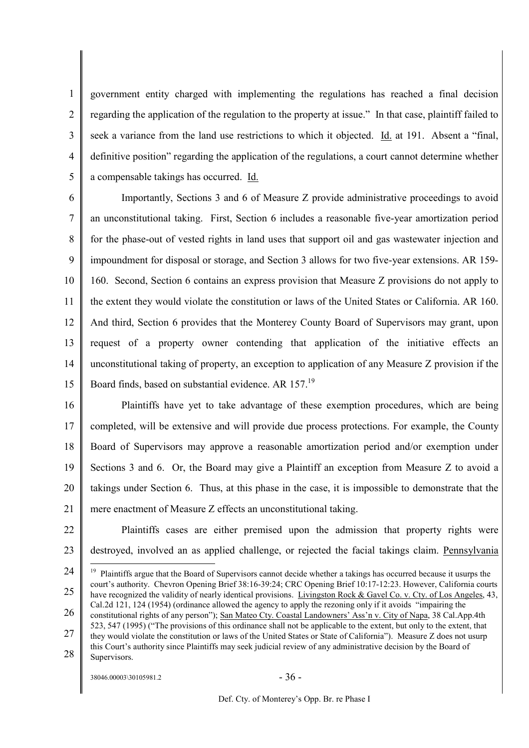1  $\overline{2}$ 3 4 5 government entity charged with implementing the regulations has reached a final decision regarding the application of the regulation to the property at issue." In that case, plaintiff failed to seek a variance from the land use restrictions to which it objected. Id. at 191. Absent a "final, definitive position" regarding the application of the regulations, a court cannot determine whether a compensable takings has occurred. Id.

6 7 8 9 10 11 12 13 14 15 Importantly, Sections 3 and 6 of Measure Z provide administrative proceedings to avoid an unconstitutional taking. First, Section 6 includes a reasonable five-year amortization period for the phase-out of vested rights in land uses that support oil and gas wastewater injection and impoundment for disposal or storage, and Section 3 allows for two five-year extensions. AR 159- 160. Second, Section 6 contains an express provision that Measure Z provisions do not apply to the extent they would violate the constitution or laws of the United States or California. AR 160. And third, Section 6 provides that the Monterey County Board of Supervisors may grant, upon request of a property owner contending that application of the initiative effects an unconstitutional taking of property, an exception to application of any Measure Z provision if the Board finds, based on substantial evidence. AR 157.<sup>19</sup>

16 17 18 19 20 21 Plaintiffs have yet to take advantage of these exemption procedures, which are being completed, will be extensive and will provide due process protections. For example, the County Board of Supervisors may approve a reasonable amortization period and/or exemption under Sections 3 and 6. Or, the Board may give a Plaintiff an exception from Measure Z to avoid a takings under Section 6. Thus, at this phase in the case, it is impossible to demonstrate that the mere enactment of Measure Z effects an unconstitutional taking.

22 23 Plaintiffs cases are either premised upon the admission that property rights were destroyed, involved an as applied challenge, or rejected the facial takings claim. Pennsylvania

- 26 constitutional rights of any person"); San Mateo Cty. Coastal Landowners' Ass'n v. City of Napa, 38 Cal.App.4th 523, 547 (1995) ("The provisions of this ordinance shall not be applicable to the extent, but only to the extent, that
- 27 28 they would violate the constitution or laws of the United States or State of California"). Measure Z does not usurp this Court's authority since Plaintiffs may seek judicial review of any administrative decision by the Board of Supervisors.

 $38046.00003\backslash30105981.2$  - 36 -

<sup>24</sup> 25  $19$  Plaintiffs argue that the Board of Supervisors cannot decide whether a takings has occurred because it usurps the court's authority. Chevron Opening Brief 38:16-39:24; CRC Opening Brief 10:17-12:23. However, California courts have recognized the validity of nearly identical provisions. Livingston Rock & Gavel Co. v. Cty. of Los Angeles, 43, Cal.2d 121, 124 (1954) (ordinance allowed the agency to apply the rezoning only if it avoids "impairing the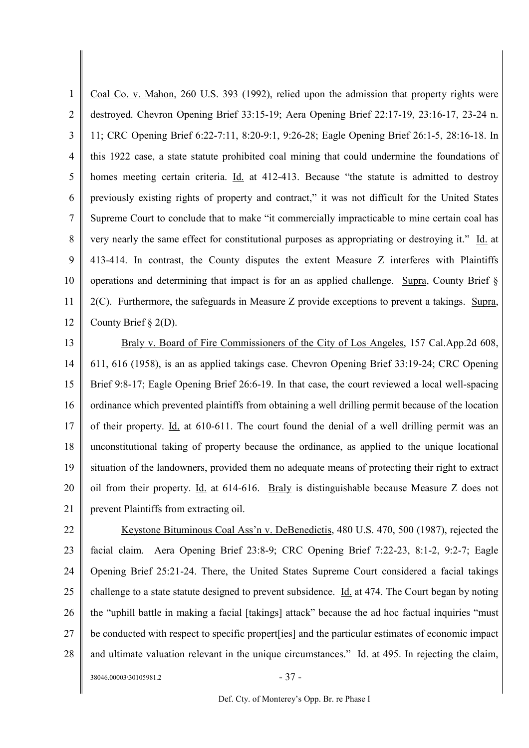1 2 3 4 5 6 7 8 9 10 11 12 Coal Co. v. Mahon, 260 U.S. 393 (1992), relied upon the admission that property rights were destroyed. Chevron Opening Brief 33:15-19; Aera Opening Brief 22:17-19, 23:16-17, 23-24 n. 11; CRC Opening Brief 6:22-7:11, 8:20-9:1, 9:26-28; Eagle Opening Brief 26:1-5, 28:16-18. In this 1922 case, a state statute prohibited coal mining that could undermine the foundations of homes meeting certain criteria. Id. at 412-413. Because "the statute is admitted to destroy previously existing rights of property and contract," it was not difficult for the United States Supreme Court to conclude that to make "it commercially impracticable to mine certain coal has very nearly the same effect for constitutional purposes as appropriating or destroying it." Id. at 413-414. In contrast, the County disputes the extent Measure Z interferes with Plaintiffs operations and determining that impact is for an as applied challenge. Supra, County Brief  $\S$ 2(C). Furthermore, the safeguards in Measure Z provide exceptions to prevent a takings. Supra, County Brief § 2(D).

13 14 15 16 17 18 19 20 21 Braly v. Board of Fire Commissioners of the City of Los Angeles, 157 Cal.App.2d 608, 611, 616 (1958), is an as applied takings case. Chevron Opening Brief 33:19-24; CRC Opening Brief 9:8-17; Eagle Opening Brief 26:6-19. In that case, the court reviewed a local well-spacing ordinance which prevented plaintiffs from obtaining a well drilling permit because of the location of their property. Id. at 610-611. The court found the denial of a well drilling permit was an unconstitutional taking of property because the ordinance, as applied to the unique locational situation of the landowners, provided them no adequate means of protecting their right to extract oil from their property. Id. at 614-616. Braly is distinguishable because Measure Z does not prevent Plaintiffs from extracting oil.

22 23 24 25 26 27 28 Keystone Bituminous Coal Ass'n v. DeBenedictis, 480 U.S. 470, 500 (1987), rejected the facial claim. Aera Opening Brief 23:8-9; CRC Opening Brief 7:22-23, 8:1-2, 9:2-7; Eagle Opening Brief 25:21-24. There, the United States Supreme Court considered a facial takings challenge to a state statute designed to prevent subsidence. Id. at 474. The Court began by noting the "uphill battle in making a facial [takings] attack" because the ad hoc factual inquiries "must be conducted with respect to specific propert[ies] and the particular estimates of economic impact and ultimate valuation relevant in the unique circumstances." Id. at 495. In rejecting the claim,

 $38046.00003\backslash30105981.2$  - 37 -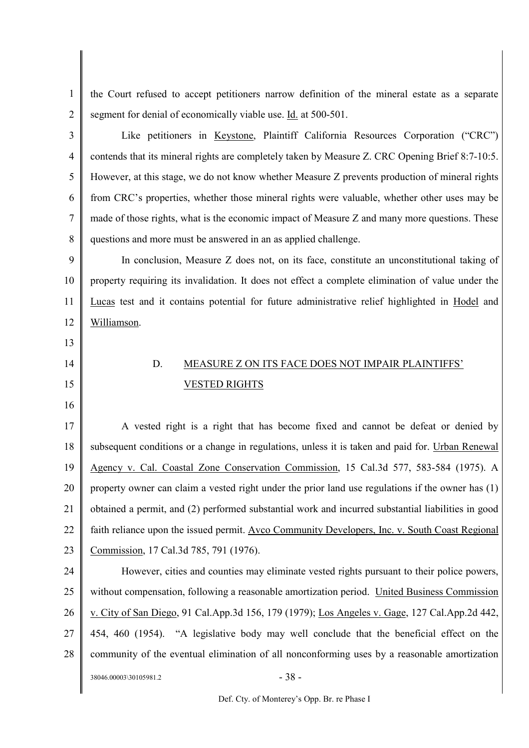1 2 the Court refused to accept petitioners narrow definition of the mineral estate as a separate segment for denial of economically viable use. Id. at 500-501.

3 4 5 6 7 8 Like petitioners in Keystone, Plaintiff California Resources Corporation ("CRC") contends that its mineral rights are completely taken by Measure Z. CRC Opening Brief 8:7-10:5. However, at this stage, we do not know whether Measure Z prevents production of mineral rights from CRC's properties, whether those mineral rights were valuable, whether other uses may be made of those rights, what is the economic impact of Measure Z and many more questions. These questions and more must be answered in an as applied challenge.

9 10 11 12 In conclusion, Measure Z does not, on its face, constitute an unconstitutional taking of property requiring its invalidation. It does not effect a complete elimination of value under the Lucas test and it contains potential for future administrative relief highlighted in Hodel and Williamson.

- 13
- 14

15

# D. MEASURE Z ON ITS FACE DOES NOT IMPAIR PLAINTIFFS' VESTED RIGHTS

16

17 18 19 20 21 22 23 A vested right is a right that has become fixed and cannot be defeat or denied by subsequent conditions or a change in regulations, unless it is taken and paid for. Urban Renewal Agency v. Cal. Coastal Zone Conservation Commission, 15 Cal.3d 577, 583-584 (1975). A property owner can claim a vested right under the prior land use regulations if the owner has (1) obtained a permit, and (2) performed substantial work and incurred substantial liabilities in good faith reliance upon the issued permit. Avco Community Developers, Inc. v. South Coast Regional Commission, 17 Cal.3d 785, 791 (1976).

24 25 26 27 28  $38046.00003\backslash30105981.2$  - 38 -However, cities and counties may eliminate vested rights pursuant to their police powers, without compensation, following a reasonable amortization period. United Business Commission v. City of San Diego, 91 Cal.App.3d 156, 179 (1979); Los Angeles v. Gage, 127 Cal.App.2d 442, 454, 460 (1954). "A legislative body may well conclude that the beneficial effect on the community of the eventual elimination of all nonconforming uses by a reasonable amortization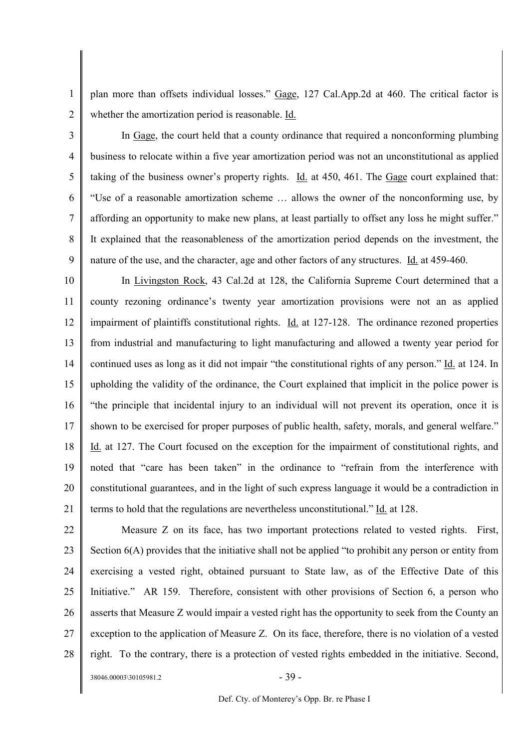1 2 plan more than offsets individual losses." Gage, 127 Cal.App.2d at 460. The critical factor is whether the amortization period is reasonable. Id.

3

5

9

4 6 7 8 In Gage, the court held that a county ordinance that required a nonconforming plumbing business to relocate within a five year amortization period was not an unconstitutional as applied taking of the business owner's property rights. Id. at 450, 461. The Gage court explained that: "Use of a reasonable amortization scheme … allows the owner of the nonconforming use, by affording an opportunity to make new plans, at least partially to offset any loss he might suffer." It explained that the reasonableness of the amortization period depends on the investment, the nature of the use, and the character, age and other factors of any structures. Id. at 459-460.

10 11 12 13 14 15 16 17 18 19 20 21 In Livingston Rock, 43 Cal.2d at 128, the California Supreme Court determined that a county rezoning ordinance's twenty year amortization provisions were not an as applied impairment of plaintiffs constitutional rights. Id. at 127-128. The ordinance rezoned properties from industrial and manufacturing to light manufacturing and allowed a twenty year period for continued uses as long as it did not impair "the constitutional rights of any person." Id. at 124. In upholding the validity of the ordinance, the Court explained that implicit in the police power is "the principle that incidental injury to an individual will not prevent its operation, once it is shown to be exercised for proper purposes of public health, safety, morals, and general welfare." Id. at 127. The Court focused on the exception for the impairment of constitutional rights, and noted that "care has been taken" in the ordinance to "refrain from the interference with constitutional guarantees, and in the light of such express language it would be a contradiction in terms to hold that the regulations are nevertheless unconstitutional." Id. at 128.

22 23 24 25 26 27 28 Measure Z on its face, has two important protections related to vested rights. First, Section 6(A) provides that the initiative shall not be applied "to prohibit any person or entity from exercising a vested right, obtained pursuant to State law, as of the Effective Date of this Initiative." AR 159. Therefore, consistent with other provisions of Section 6, a person who asserts that Measure Z would impair a vested right has the opportunity to seek from the County an exception to the application of Measure Z. On its face, therefore, there is no violation of a vested right. To the contrary, there is a protection of vested rights embedded in the initiative. Second,

 $38046.00003\backslash30105981.2$  - 39 -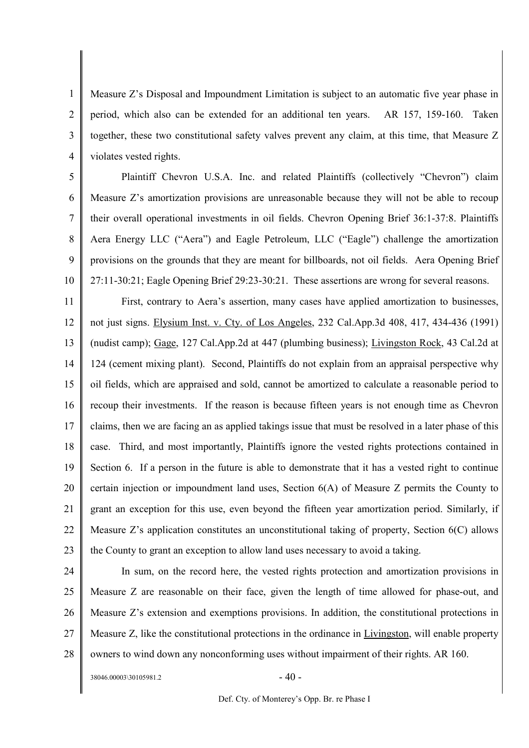1 2 3 4 Measure Z's Disposal and Impoundment Limitation is subject to an automatic five year phase in period, which also can be extended for an additional ten years. AR 157, 159-160. Taken together, these two constitutional safety valves prevent any claim, at this time, that Measure Z violates vested rights.

5 6 7 8 9 10 Plaintiff Chevron U.S.A. Inc. and related Plaintiffs (collectively "Chevron") claim Measure Z's amortization provisions are unreasonable because they will not be able to recoup their overall operational investments in oil fields. Chevron Opening Brief 36:1-37:8. Plaintiffs Aera Energy LLC ("Aera") and Eagle Petroleum, LLC ("Eagle") challenge the amortization provisions on the grounds that they are meant for billboards, not oil fields. Aera Opening Brief 27:11-30:21; Eagle Opening Brief 29:23-30:21. These assertions are wrong for several reasons.

11 12 13 14 15 16 17 18 19 20 21 22 23 First, contrary to Aera's assertion, many cases have applied amortization to businesses, not just signs. Elysium Inst. v. Cty. of Los Angeles, 232 Cal.App.3d 408, 417, 434-436 (1991) (nudist camp); Gage, 127 Cal.App.2d at 447 (plumbing business); Livingston Rock, 43 Cal.2d at 124 (cement mixing plant). Second, Plaintiffs do not explain from an appraisal perspective why oil fields, which are appraised and sold, cannot be amortized to calculate a reasonable period to recoup their investments. If the reason is because fifteen years is not enough time as Chevron claims, then we are facing an as applied takings issue that must be resolved in a later phase of this case. Third, and most importantly, Plaintiffs ignore the vested rights protections contained in Section 6. If a person in the future is able to demonstrate that it has a vested right to continue certain injection or impoundment land uses, Section 6(A) of Measure Z permits the County to grant an exception for this use, even beyond the fifteen year amortization period. Similarly, if Measure Z's application constitutes an unconstitutional taking of property, Section 6(C) allows the County to grant an exception to allow land uses necessary to avoid a taking.

24

25 26 27 28 In sum, on the record here, the vested rights protection and amortization provisions in Measure Z are reasonable on their face, given the length of time allowed for phase-out, and Measure Z's extension and exemptions provisions. In addition, the constitutional protections in Measure Z, like the constitutional protections in the ordinance in Livingston, will enable property owners to wind down any nonconforming uses without impairment of their rights. AR 160.

 $38046.00003\backslash30105981.2$  - 40 -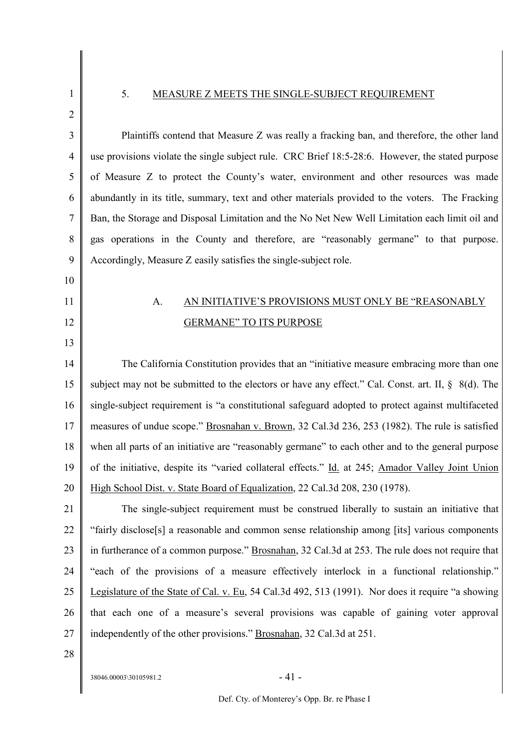### 5. MEASURE Z MEETS THE SINGLE-SUBJECT REQUIREMENT

1

- 2 3 4 5 6 7 8 9 10 11 12 13 14 15 16 17 18 19 20 21 22 23 24 25 Plaintiffs contend that Measure Z was really a fracking ban, and therefore, the other land use provisions violate the single subject rule. CRC Brief 18:5-28:6. However, the stated purpose of Measure Z to protect the County's water, environment and other resources was made abundantly in its title, summary, text and other materials provided to the voters. The Fracking Ban, the Storage and Disposal Limitation and the No Net New Well Limitation each limit oil and gas operations in the County and therefore, are "reasonably germane" to that purpose. Accordingly, Measure Z easily satisfies the single-subject role. A. AN INITIATIVE'S PROVISIONS MUST ONLY BE "REASONABLY GERMANE" TO ITS PURPOSE The California Constitution provides that an "initiative measure embracing more than one subject may not be submitted to the electors or have any effect." Cal. Const. art. II,  $\S$  8(d). The single-subject requirement is "a constitutional safeguard adopted to protect against multifaceted measures of undue scope." Brosnahan v. Brown, 32 Cal.3d 236, 253 (1982). The rule is satisfied when all parts of an initiative are "reasonably germane" to each other and to the general purpose of the initiative, despite its "varied collateral effects." Id. at 245; Amador Valley Joint Union High School Dist. v. State Board of Equalization, 22 Cal.3d 208, 230 (1978). The single-subject requirement must be construed liberally to sustain an initiative that "fairly disclose[s] a reasonable and common sense relationship among [its] various components in furtherance of a common purpose." Brosnahan, 32 Cal.3d at 253. The rule does not require that "each of the provisions of a measure effectively interlock in a functional relationship." Legislature of the State of Cal. v. Eu, 54 Cal.3d 492, 513 (1991). Nor does it require "a showing
- 27 28

26

 $38046.00003\backslash30105981.2$  - 41 -

that each one of a measure's several provisions was capable of gaining voter approval

independently of the other provisions." Brosnahan, 32 Cal.3d at 251.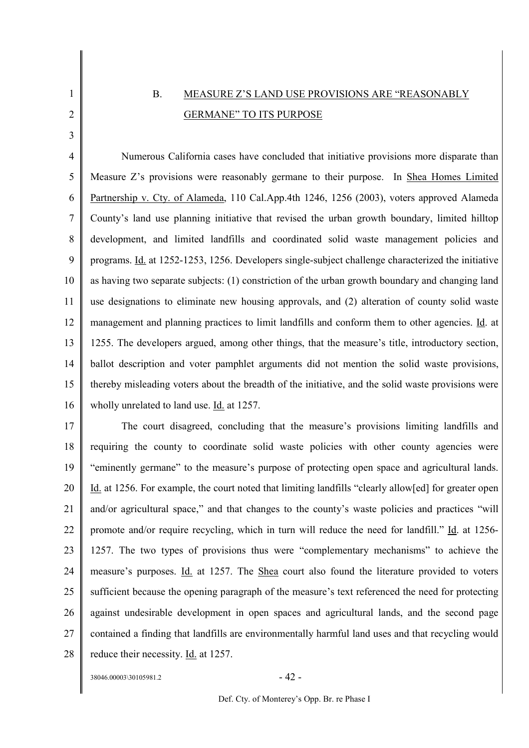# 1

2

3

# B. MEASURE Z'S LAND USE PROVISIONS ARE "REASONABLY GERMANE" TO ITS PURPOSE

4 5 6 7 8 9 10 11 12 13 14 15 16 Numerous California cases have concluded that initiative provisions more disparate than Measure Z's provisions were reasonably germane to their purpose. In Shea Homes Limited Partnership v. Cty. of Alameda, 110 Cal.App.4th 1246, 1256 (2003), voters approved Alameda County's land use planning initiative that revised the urban growth boundary, limited hilltop development, and limited landfills and coordinated solid waste management policies and programs. Id. at 1252-1253, 1256. Developers single-subject challenge characterized the initiative as having two separate subjects: (1) constriction of the urban growth boundary and changing land use designations to eliminate new housing approvals, and (2) alteration of county solid waste management and planning practices to limit landfills and conform them to other agencies. Id. at 1255. The developers argued, among other things, that the measure's title, introductory section, ballot description and voter pamphlet arguments did not mention the solid waste provisions, thereby misleading voters about the breadth of the initiative, and the solid waste provisions were wholly unrelated to land use. Id. at 1257.

17 18 19 20 21 22 23 24 25 26 27 28 The court disagreed, concluding that the measure's provisions limiting landfills and requiring the county to coordinate solid waste policies with other county agencies were "eminently germane" to the measure's purpose of protecting open space and agricultural lands. Id. at 1256. For example, the court noted that limiting landfills "clearly allow[ed] for greater open and/or agricultural space," and that changes to the county's waste policies and practices "will promote and/or require recycling, which in turn will reduce the need for landfill." Id. at 1256- 1257. The two types of provisions thus were "complementary mechanisms" to achieve the measure's purposes. Id. at 1257. The Shea court also found the literature provided to voters sufficient because the opening paragraph of the measure's text referenced the need for protecting against undesirable development in open spaces and agricultural lands, and the second page contained a finding that landfills are environmentally harmful land uses and that recycling would reduce their necessity. Id. at 1257.

 $38046.00003\backslash30105981.2$  - 42 -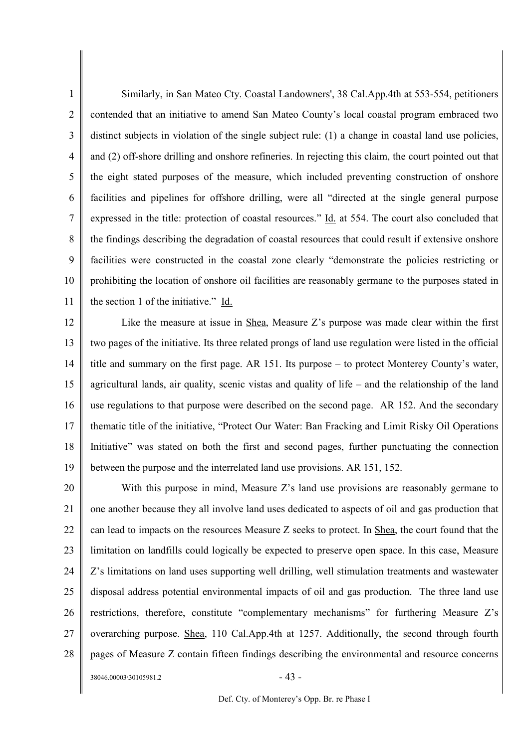1 2 3 4 5 6 7 8 9 10 11 Similarly, in San Mateo Cty. Coastal Landowners', 38 Cal.App.4th at 553-554, petitioners contended that an initiative to amend San Mateo County's local coastal program embraced two distinct subjects in violation of the single subject rule: (1) a change in coastal land use policies, and (2) off-shore drilling and onshore refineries. In rejecting this claim, the court pointed out that the eight stated purposes of the measure, which included preventing construction of onshore facilities and pipelines for offshore drilling, were all "directed at the single general purpose expressed in the title: protection of coastal resources." Id. at 554. The court also concluded that the findings describing the degradation of coastal resources that could result if extensive onshore facilities were constructed in the coastal zone clearly "demonstrate the policies restricting or prohibiting the location of onshore oil facilities are reasonably germane to the purposes stated in the section 1 of the initiative." Id.

12 13 14 15 16 17 18 19 Like the measure at issue in Shea, Measure Z's purpose was made clear within the first two pages of the initiative. Its three related prongs of land use regulation were listed in the official title and summary on the first page. AR 151. Its purpose – to protect Monterey County's water, agricultural lands, air quality, scenic vistas and quality of life – and the relationship of the land use regulations to that purpose were described on the second page. AR 152. And the secondary thematic title of the initiative, "Protect Our Water: Ban Fracking and Limit Risky Oil Operations Initiative" was stated on both the first and second pages, further punctuating the connection between the purpose and the interrelated land use provisions. AR 151, 152.

20 21 22 23 24 25 26 27 28 With this purpose in mind, Measure Z's land use provisions are reasonably germane to one another because they all involve land uses dedicated to aspects of oil and gas production that can lead to impacts on the resources Measure Z seeks to protect. In Shea, the court found that the limitation on landfills could logically be expected to preserve open space. In this case, Measure Z's limitations on land uses supporting well drilling, well stimulation treatments and wastewater disposal address potential environmental impacts of oil and gas production. The three land use restrictions, therefore, constitute "complementary mechanisms" for furthering Measure Z's overarching purpose. Shea, 110 Cal.App.4th at 1257. Additionally, the second through fourth pages of Measure Z contain fifteen findings describing the environmental and resource concerns

 $38046.00003\backslash30105981.2$  - 43 -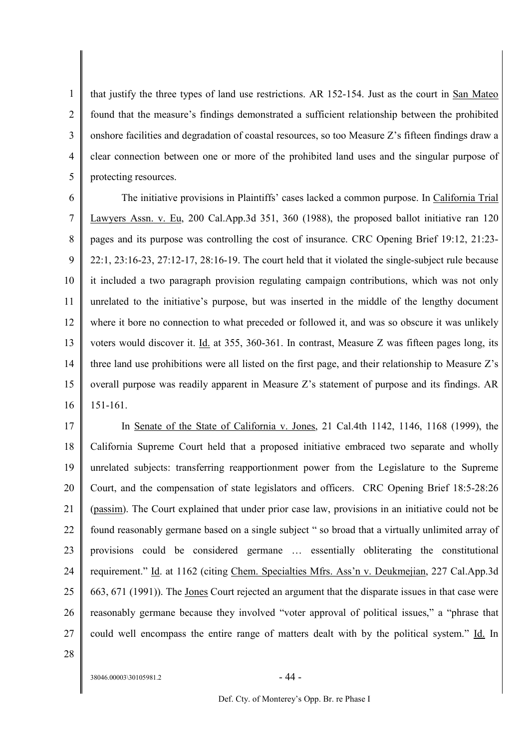1 2 3 4 5 that justify the three types of land use restrictions. AR 152-154. Just as the court in San Mateo found that the measure's findings demonstrated a sufficient relationship between the prohibited onshore facilities and degradation of coastal resources, so too Measure Z's fifteen findings draw a clear connection between one or more of the prohibited land uses and the singular purpose of protecting resources.

6 7 8 9 10 11 12 13 14 15 16 The initiative provisions in Plaintiffs' cases lacked a common purpose. In California Trial Lawyers Assn. v. Eu, 200 Cal.App.3d 351, 360 (1988), the proposed ballot initiative ran 120 pages and its purpose was controlling the cost of insurance. CRC Opening Brief 19:12, 21:23- 22:1, 23:16-23, 27:12-17, 28:16-19. The court held that it violated the single-subject rule because it included a two paragraph provision regulating campaign contributions, which was not only unrelated to the initiative's purpose, but was inserted in the middle of the lengthy document where it bore no connection to what preceded or followed it, and was so obscure it was unlikely voters would discover it. Id. at 355, 360-361. In contrast, Measure Z was fifteen pages long, its three land use prohibitions were all listed on the first page, and their relationship to Measure Z's overall purpose was readily apparent in Measure Z's statement of purpose and its findings. AR 151-161.

17 18 19 20 21 22 23 24 25 26 27 28 In Senate of the State of California v. Jones, 21 Cal.4th 1142, 1146, 1168 (1999), the California Supreme Court held that a proposed initiative embraced two separate and wholly unrelated subjects: transferring reapportionment power from the Legislature to the Supreme Court, and the compensation of state legislators and officers. CRC Opening Brief 18:5-28:26 (passim). The Court explained that under prior case law, provisions in an initiative could not be found reasonably germane based on a single subject " so broad that a virtually unlimited array of provisions could be considered germane … essentially obliterating the constitutional requirement." Id. at 1162 (citing Chem. Specialties Mfrs. Ass'n v. Deukmejian, 227 Cal.App.3d 663, 671 (1991)). The Jones Court rejected an argument that the disparate issues in that case were reasonably germane because they involved "voter approval of political issues," a "phrase that could well encompass the entire range of matters dealt with by the political system." Id. In

 $38046.00003\backslash30105981.2$  - 44 -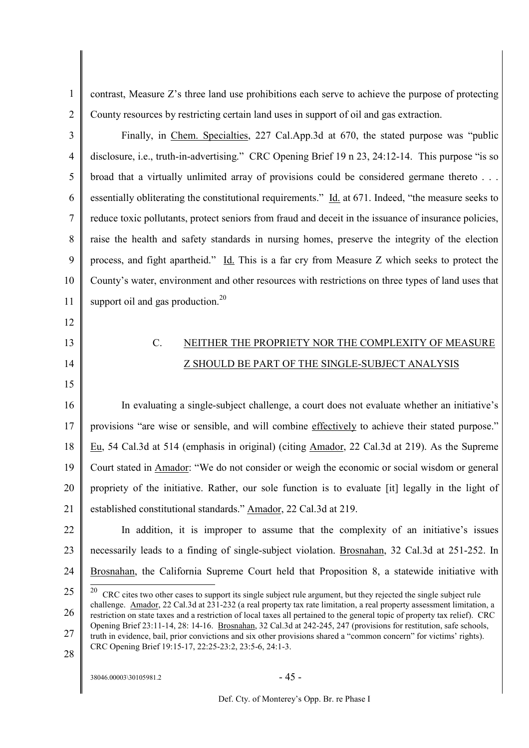2

1

contrast, Measure Z's three land use prohibitions each serve to achieve the purpose of protecting County resources by restricting certain land uses in support of oil and gas extraction.

3 4 5 6 7 8 9 10 11 Finally, in Chem. Specialties, 227 Cal.App.3d at 670, the stated purpose was "public disclosure, i.e., truth-in-advertising." CRC Opening Brief 19 n 23, 24:12-14. This purpose "is so broad that a virtually unlimited array of provisions could be considered germane thereto . . . essentially obliterating the constitutional requirements." Id. at 671. Indeed, "the measure seeks to reduce toxic pollutants, protect seniors from fraud and deceit in the issuance of insurance policies, raise the health and safety standards in nursing homes, preserve the integrity of the election process, and fight apartheid." Id. This is a far cry from Measure Z which seeks to protect the County's water, environment and other resources with restrictions on three types of land uses that support oil and gas production.<sup>20</sup>

- 12
- 13 14

15

# C. NEITHER THE PROPRIETY NOR THE COMPLEXITY OF MEASURE Z SHOULD BE PART OF THE SINGLE-SUBJECT ANALYSIS

16 17 18 19 20 21 In evaluating a single-subject challenge, a court does not evaluate whether an initiative's provisions "are wise or sensible, and will combine effectively to achieve their stated purpose." Eu, 54 Cal.3d at 514 (emphasis in original) (citing Amador, 22 Cal.3d at 219). As the Supreme Court stated in Amador: "We do not consider or weigh the economic or social wisdom or general propriety of the initiative. Rather, our sole function is to evaluate [it] legally in the light of established constitutional standards." Amador, 22 Cal.3d at 219.

22 23 24 In addition, it is improper to assume that the complexity of an initiative's issues necessarily leads to a finding of single-subject violation. Brosnahan, 32 Cal.3d at 251-252. In Brosnahan, the California Supreme Court held that Proposition 8, a statewide initiative with

28

<sup>25</sup> 26 27  $20$  CRC cites two other cases to support its single subject rule argument, but they rejected the single subject rule challenge. Amador, 22 Cal.3d at 231-232 (a real property tax rate limitation, a real property assessment limitation, a restriction on state taxes and a restriction of local taxes all pertained to the general topic of property tax relief). CRC Opening Brief 23:11-14, 28: 14-16. Brosnahan, 32 Cal.3d at 242-245, 247 (provisions for restitution, safe schools,

truth in evidence, bail, prior convictions and six other provisions shared a "common concern" for victims' rights). CRC Opening Brief 19:15-17, 22:25-23:2, 23:5-6, 24:1-3.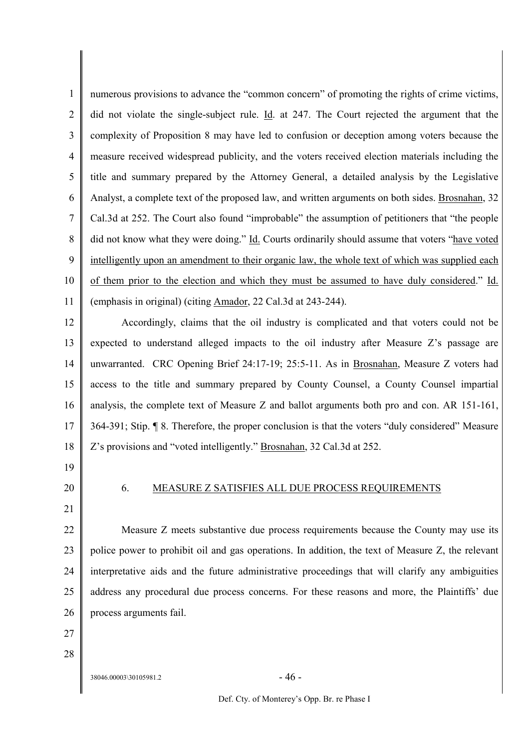1  $\overline{2}$ 3 4 5 6 7 8 9 10 11 numerous provisions to advance the "common concern" of promoting the rights of crime victims, did not violate the single-subject rule. Id. at 247. The Court rejected the argument that the complexity of Proposition 8 may have led to confusion or deception among voters because the measure received widespread publicity, and the voters received election materials including the title and summary prepared by the Attorney General, a detailed analysis by the Legislative Analyst, a complete text of the proposed law, and written arguments on both sides. Brosnahan, 32 Cal.3d at 252. The Court also found "improbable" the assumption of petitioners that "the people did not know what they were doing." Id. Courts ordinarily should assume that voters "have voted intelligently upon an amendment to their organic law, the whole text of which was supplied each of them prior to the election and which they must be assumed to have duly considered." Id. (emphasis in original) (citing Amador, 22 Cal.3d at 243-244).

12 13 14 15 16 17 18 Accordingly, claims that the oil industry is complicated and that voters could not be expected to understand alleged impacts to the oil industry after Measure Z's passage are unwarranted. CRC Opening Brief 24:17-19; 25:5-11. As in Brosnahan, Measure Z voters had access to the title and summary prepared by County Counsel, a County Counsel impartial analysis, the complete text of Measure Z and ballot arguments both pro and con. AR 151-161, 364-391; Stip. ¶ 8. Therefore, the proper conclusion is that the voters "duly considered" Measure Z's provisions and "voted intelligently." Brosnahan, 32 Cal.3d at 252.

- 19
- 20

### 6. MEASURE Z SATISFIES ALL DUE PROCESS REQUIREMENTS

21

22 23 24 25 26 Measure Z meets substantive due process requirements because the County may use its police power to prohibit oil and gas operations. In addition, the text of Measure Z, the relevant interpretative aids and the future administrative proceedings that will clarify any ambiguities address any procedural due process concerns. For these reasons and more, the Plaintiffs' due process arguments fail.

27 28

 $38046.00003\backslash30105981.2$  - 46 -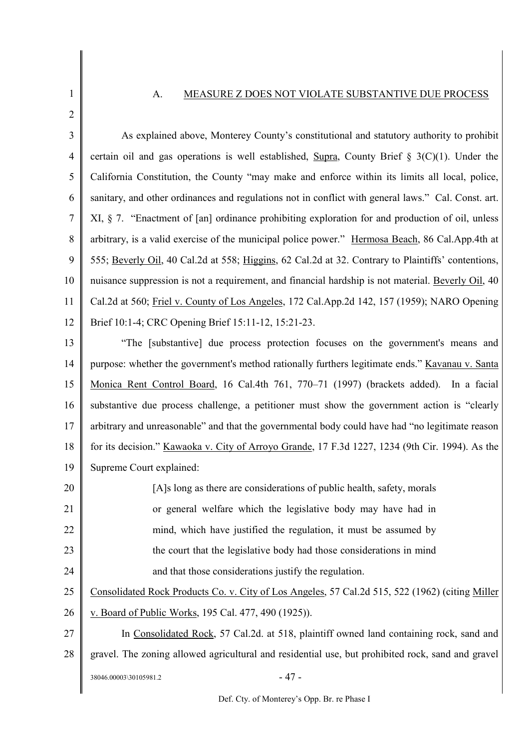### A. MEASURE Z DOES NOT VIOLATE SUBSTANTIVE DUE PROCESS

1 2

3 4 5 6 7 8 9 10 11 12 As explained above, Monterey County's constitutional and statutory authority to prohibit certain oil and gas operations is well established, Supra, County Brief  $\S$  3(C)(1). Under the California Constitution, the County "may make and enforce within its limits all local, police, sanitary, and other ordinances and regulations not in conflict with general laws." Cal. Const. art. XI, § 7. "Enactment of [an] ordinance prohibiting exploration for and production of oil, unless arbitrary, is a valid exercise of the municipal police power." Hermosa Beach, 86 Cal.App.4th at 555; Beverly Oil, 40 Cal.2d at 558; Higgins, 62 Cal.2d at 32. Contrary to Plaintiffs' contentions, nuisance suppression is not a requirement, and financial hardship is not material. Beverly Oil, 40 Cal.2d at 560; Friel v. County of Los Angeles, 172 Cal.App.2d 142, 157 (1959); NARO Opening Brief 10:1-4; CRC Opening Brief 15:11-12, 15:21-23.

13 14 15 16 17 18 19 "The [substantive] due process protection focuses on the government's means and purpose: whether the government's method rationally furthers legitimate ends." Kavanau v. Santa Monica Rent Control Board, 16 Cal.4th 761, 770–71 (1997) (brackets added). In a facial substantive due process challenge, a petitioner must show the government action is "clearly arbitrary and unreasonable" and that the governmental body could have had "no legitimate reason for its decision." Kawaoka v. City of Arroyo Grande, 17 F.3d 1227, 1234 (9th Cir. 1994). As the Supreme Court explained:

20 21 22 23 24 [A]s long as there are considerations of public health, safety, morals or general welfare which the legislative body may have had in mind, which have justified the regulation, it must be assumed by the court that the legislative body had those considerations in mind and that those considerations justify the regulation.

25 Consolidated Rock Products Co. v. City of Los Angeles, 57 Cal.2d 515, 522 (1962) (citing Miller

26 v. Board of Public Works, 195 Cal. 477, 490 (1925)).

27 28  $38046.00003\backslash30105981.2$  - 47 -In Consolidated Rock, 57 Cal.2d. at 518, plaintiff owned land containing rock, sand and gravel. The zoning allowed agricultural and residential use, but prohibited rock, sand and gravel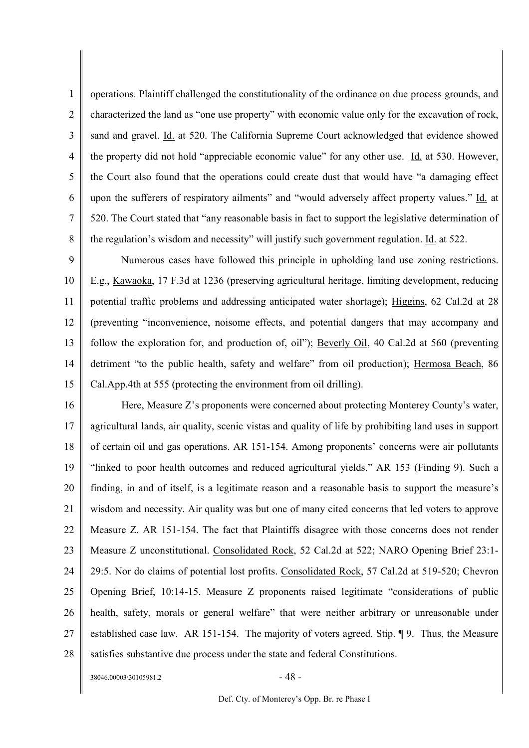1 2 3 4 5 6 7 8 operations. Plaintiff challenged the constitutionality of the ordinance on due process grounds, and characterized the land as "one use property" with economic value only for the excavation of rock, sand and gravel. Id. at 520. The California Supreme Court acknowledged that evidence showed the property did not hold "appreciable economic value" for any other use. Id. at 530. However, the Court also found that the operations could create dust that would have "a damaging effect upon the sufferers of respiratory ailments" and "would adversely affect property values." Id. at 520. The Court stated that "any reasonable basis in fact to support the legislative determination of the regulation's wisdom and necessity" will justify such government regulation. Id. at 522.

9 10 11 12 13 14 15 Numerous cases have followed this principle in upholding land use zoning restrictions. E.g., Kawaoka, 17 F.3d at 1236 (preserving agricultural heritage, limiting development, reducing potential traffic problems and addressing anticipated water shortage); Higgins, 62 Cal.2d at 28 (preventing "inconvenience, noisome effects, and potential dangers that may accompany and follow the exploration for, and production of, oil"); Beverly Oil, 40 Cal.2d at 560 (preventing detriment "to the public health, safety and welfare" from oil production); Hermosa Beach, 86 Cal.App.4th at 555 (protecting the environment from oil drilling).

16 17 18 19 20 21 22 23 24 25 26 27 28 Here, Measure Z's proponents were concerned about protecting Monterey County's water, agricultural lands, air quality, scenic vistas and quality of life by prohibiting land uses in support of certain oil and gas operations. AR 151-154. Among proponents' concerns were air pollutants "linked to poor health outcomes and reduced agricultural yields." AR 153 (Finding 9). Such a finding, in and of itself, is a legitimate reason and a reasonable basis to support the measure's wisdom and necessity. Air quality was but one of many cited concerns that led voters to approve Measure Z. AR 151-154. The fact that Plaintiffs disagree with those concerns does not render Measure Z unconstitutional. Consolidated Rock, 52 Cal.2d at 522; NARO Opening Brief 23:1- 29:5. Nor do claims of potential lost profits. Consolidated Rock, 57 Cal.2d at 519-520; Chevron Opening Brief, 10:14-15. Measure Z proponents raised legitimate "considerations of public health, safety, morals or general welfare" that were neither arbitrary or unreasonable under established case law. AR 151-154. The majority of voters agreed. Stip. ¶ 9. Thus, the Measure satisfies substantive due process under the state and federal Constitutions.

 $38046.00003\backslash30105981.2$  - 48 -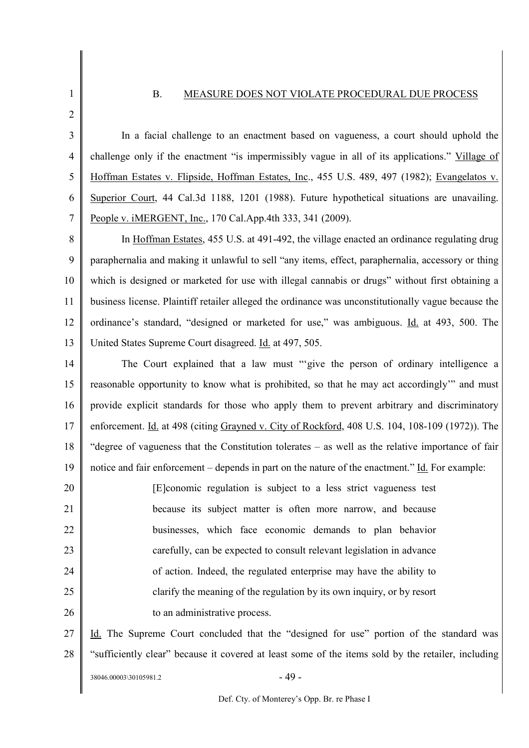### B. MEASURE DOES NOT VIOLATE PROCEDURAL DUE PROCESS

1 2

3 4 5 6 7 In a facial challenge to an enactment based on vagueness, a court should uphold the challenge only if the enactment "is impermissibly vague in all of its applications." Village of Hoffman Estates v. Flipside, Hoffman Estates, Inc., 455 U.S. 489, 497 (1982); Evangelatos v. Superior Court, 44 Cal.3d 1188, 1201 (1988). Future hypothetical situations are unavailing. People v. iMERGENT, Inc., 170 Cal.App.4th 333, 341 (2009).

8 9 10 11 12 13 In Hoffman Estates, 455 U.S. at 491-492, the village enacted an ordinance regulating drug paraphernalia and making it unlawful to sell "any items, effect, paraphernalia, accessory or thing which is designed or marketed for use with illegal cannabis or drugs" without first obtaining a business license. Plaintiff retailer alleged the ordinance was unconstitutionally vague because the ordinance's standard, "designed or marketed for use," was ambiguous. Id. at 493, 500. The United States Supreme Court disagreed. Id. at 497, 505.

14 15 16 17 18 19 The Court explained that a law must "'give the person of ordinary intelligence a reasonable opportunity to know what is prohibited, so that he may act accordingly'" and must provide explicit standards for those who apply them to prevent arbitrary and discriminatory enforcement. Id. at 498 (citing Grayned v. City of Rockford, 408 U.S. 104, 108-109 (1972)). The "degree of vagueness that the Constitution tolerates – as well as the relative importance of fair notice and fair enforcement – depends in part on the nature of the enactment." Id. For example:

20 21 22 23 24 25 26 [E]conomic regulation is subject to a less strict vagueness test because its subject matter is often more narrow, and because businesses, which face economic demands to plan behavior carefully, can be expected to consult relevant legislation in advance of action. Indeed, the regulated enterprise may have the ability to clarify the meaning of the regulation by its own inquiry, or by resort to an administrative process.

27 28 Id. The Supreme Court concluded that the "designed for use" portion of the standard was "sufficiently clear" because it covered at least some of the items sold by the retailer, including

 $38046.00003\backslash30105981.2$  - 49 -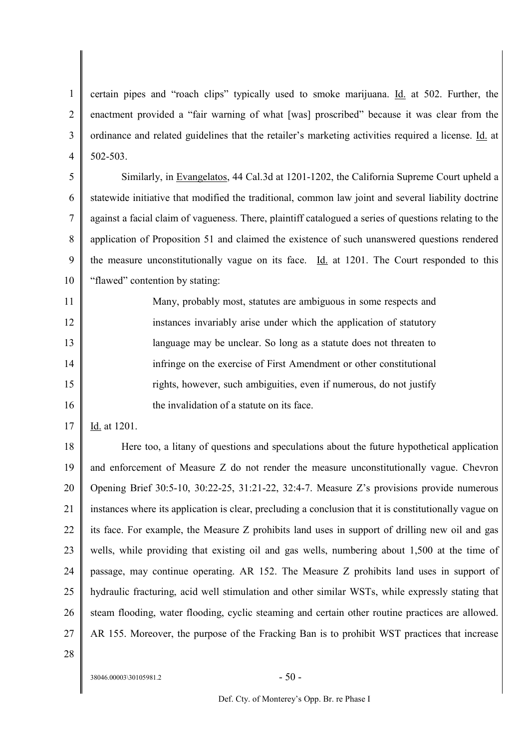1 2 3 4 certain pipes and "roach clips" typically used to smoke marijuana. Id. at 502. Further, the enactment provided a "fair warning of what [was] proscribed" because it was clear from the ordinance and related guidelines that the retailer's marketing activities required a license. Id. at 502-503.

5 6 7 8 9 10 Similarly, in Evangelatos, 44 Cal.3d at 1201-1202, the California Supreme Court upheld a statewide initiative that modified the traditional, common law joint and several liability doctrine against a facial claim of vagueness. There, plaintiff catalogued a series of questions relating to the application of Proposition 51 and claimed the existence of such unanswered questions rendered the measure unconstitutionally vague on its face. Id. at 1201. The Court responded to this "flawed" contention by stating:

11 12 13 14 15 16 Many, probably most, statutes are ambiguous in some respects and instances invariably arise under which the application of statutory language may be unclear. So long as a statute does not threaten to infringe on the exercise of First Amendment or other constitutional rights, however, such ambiguities, even if numerous, do not justify the invalidation of a statute on its face.

17 Id. at 1201.

18 19 20 21 22 23 24 25 26 27 Here too, a litany of questions and speculations about the future hypothetical application and enforcement of Measure Z do not render the measure unconstitutionally vague. Chevron Opening Brief 30:5-10, 30:22-25, 31:21-22, 32:4-7. Measure Z's provisions provide numerous instances where its application is clear, precluding a conclusion that it is constitutionally vague on its face. For example, the Measure Z prohibits land uses in support of drilling new oil and gas wells, while providing that existing oil and gas wells, numbering about 1,500 at the time of passage, may continue operating. AR 152. The Measure Z prohibits land uses in support of hydraulic fracturing, acid well stimulation and other similar WSTs, while expressly stating that steam flooding, water flooding, cyclic steaming and certain other routine practices are allowed. AR 155. Moreover, the purpose of the Fracking Ban is to prohibit WST practices that increase

28

 $38046.00003\backslash30105981.2$  - 50 -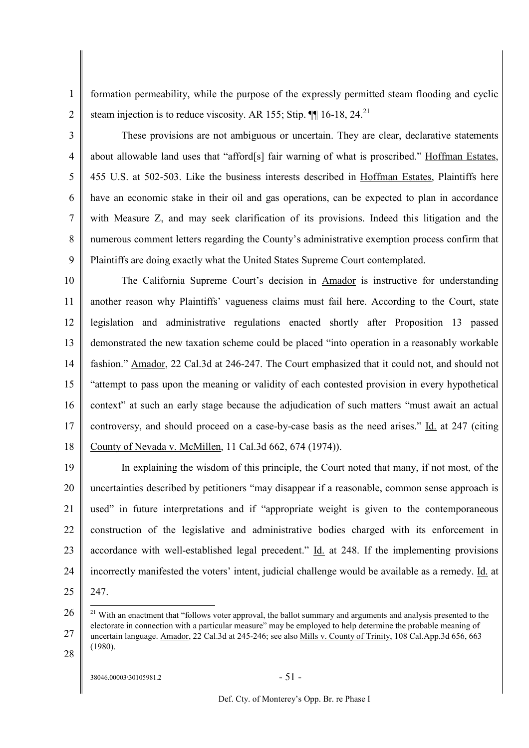1 2 formation permeability, while the purpose of the expressly permitted steam flooding and cyclic steam injection is to reduce viscosity. AR 155; Stip.  $\P$  16-18, 24.<sup>21</sup>

3 4 5 6 7 8 9 These provisions are not ambiguous or uncertain. They are clear, declarative statements about allowable land uses that "afford[s] fair warning of what is proscribed." Hoffman Estates, 455 U.S. at 502-503. Like the business interests described in Hoffman Estates, Plaintiffs here have an economic stake in their oil and gas operations, can be expected to plan in accordance with Measure Z, and may seek clarification of its provisions. Indeed this litigation and the numerous comment letters regarding the County's administrative exemption process confirm that Plaintiffs are doing exactly what the United States Supreme Court contemplated.

10 11 12 13 14 15 16 17 18 The California Supreme Court's decision in Amador is instructive for understanding another reason why Plaintiffs' vagueness claims must fail here. According to the Court, state legislation and administrative regulations enacted shortly after Proposition 13 passed demonstrated the new taxation scheme could be placed "into operation in a reasonably workable fashion." Amador, 22 Cal.3d at 246-247. The Court emphasized that it could not, and should not "attempt to pass upon the meaning or validity of each contested provision in every hypothetical context" at such an early stage because the adjudication of such matters "must await an actual controversy, and should proceed on a case-by-case basis as the need arises." Id. at 247 (citing County of Nevada v. McMillen, 11 Cal.3d 662, 674 (1974)).

19 20 21 22 23 24 In explaining the wisdom of this principle, the Court noted that many, if not most, of the uncertainties described by petitioners "may disappear if a reasonable, common sense approach is used" in future interpretations and if "appropriate weight is given to the contemporaneous construction of the legislative and administrative bodies charged with its enforcement in accordance with well-established legal precedent." Id. at 248. If the implementing provisions incorrectly manifested the voters' intent, judicial challenge would be available as a remedy. Id. at

25 247.

28

<sup>26</sup> 27 <sup>21</sup> With an enactment that "follows voter approval, the ballot summary and arguments and analysis presented to the electorate in connection with a particular measure" may be employed to help determine the probable meaning of uncertain language. Amador, 22 Cal.3d at 245-246; see also Mills v. County of Trinity, 108 Cal.App.3d 656, 663 (1980).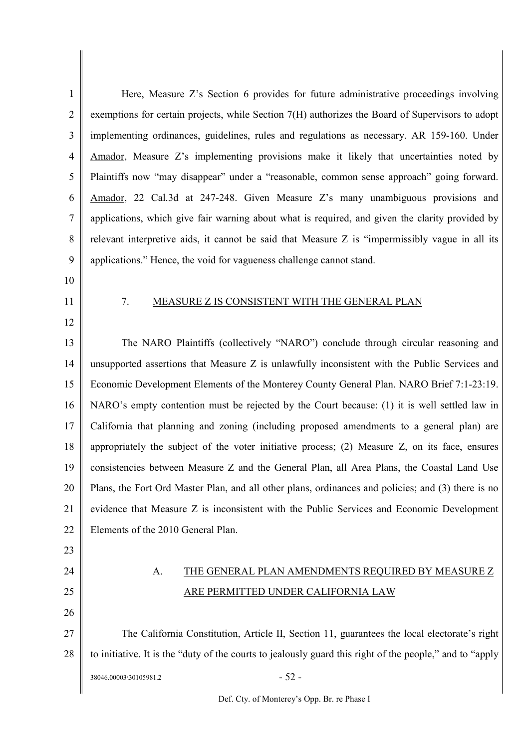| 1              | Here, Measure Z's Section 6 provides for future administrative proceedings involving                     |
|----------------|----------------------------------------------------------------------------------------------------------|
| $\overline{2}$ | exemptions for certain projects, while Section 7(H) authorizes the Board of Supervisors to adopt         |
| 3              | implementing ordinances, guidelines, rules and regulations as necessary. AR 159-160. Under               |
| $\overline{4}$ | Amador, Measure Z's implementing provisions make it likely that uncertainties noted by                   |
| 5              | Plaintiffs now "may disappear" under a "reasonable, common sense approach" going forward.                |
| 6              | Amador, 22 Cal.3d at 247-248. Given Measure Z's many unambiguous provisions and                          |
| 7              | applications, which give fair warning about what is required, and given the clarity provided by          |
| 8              | relevant interpretive aids, it cannot be said that Measure Z is "impermissibly vague in all its          |
| 9              | applications." Hence, the void for vagueness challenge cannot stand.                                     |
| 10             |                                                                                                          |
| 11             | MEASURE Z IS CONSISTENT WITH THE GENERAL PLAN<br>7.                                                      |
| 12             |                                                                                                          |
| 13             | The NARO Plaintiffs (collectively "NARO") conclude through circular reasoning and                        |
| 14             | unsupported assertions that Measure Z is unlawfully inconsistent with the Public Services and            |
| 15             | Economic Development Elements of the Monterey County General Plan. NARO Brief 7:1-23:19.                 |
| 16             | NARO's empty contention must be rejected by the Court because: (1) it is well settled law in             |
| 17             | California that planning and zoning (including proposed amendments to a general plan) are                |
| 18             | appropriately the subject of the voter initiative process; (2) Measure Z, on its face, ensures           |
| 19             | consistencies between Measure Z and the General Plan, all Area Plans, the Coastal Land Use               |
| 20             | Plans, the Fort Ord Master Plan, and all other plans, ordinances and policies; and (3) there is no       |
| 21             | evidence that Measure Z is inconsistent with the Public Services and Economic Development                |
| 22             | Elements of the 2010 General Plan.                                                                       |
| 23             |                                                                                                          |
| 24             | THE GENERAL PLAN AMENDMENTS REQUIRED BY MEASURE Z<br>A.                                                  |
| 25             | ARE PERMITTED UNDER CALIFORNIA LAW                                                                       |
| 26             |                                                                                                          |
| 27             | The California Constitution, Article II, Section 11, guarantees the local electorate's right             |
| 28             | to initiative. It is the "duty of the courts to jealously guard this right of the people," and to "apply |
|                | $-52-$<br>38046.00003\30105981.2                                                                         |
|                |                                                                                                          |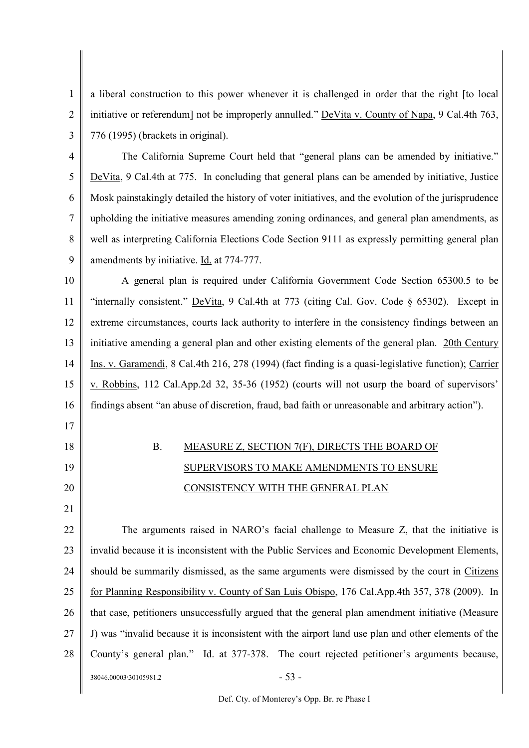1 2 3 a liberal construction to this power whenever it is challenged in order that the right [to local initiative or referendum] not be improperly annulled." DeVita v. County of Napa, 9 Cal.4th 763, 776 (1995) (brackets in original).

4 5 6 7 8 9 The California Supreme Court held that "general plans can be amended by initiative." DeVita, 9 Cal.4th at 775. In concluding that general plans can be amended by initiative, Justice Mosk painstakingly detailed the history of voter initiatives, and the evolution of the jurisprudence upholding the initiative measures amending zoning ordinances, and general plan amendments, as well as interpreting California Elections Code Section 9111 as expressly permitting general plan amendments by initiative. Id. at 774-777.

10 11 12 13 14 15 16 17 A general plan is required under California Government Code Section 65300.5 to be "internally consistent." DeVita, 9 Cal.4th at 773 (citing Cal. Gov. Code § 65302). Except in extreme circumstances, courts lack authority to interfere in the consistency findings between an initiative amending a general plan and other existing elements of the general plan. 20th Century Ins. v. Garamendi, 8 Cal.4th 216, 278 (1994) (fact finding is a quasi-legislative function); Carrier v. Robbins, 112 Cal.App.2d 32, 35-36 (1952) (courts will not usurp the board of supervisors' findings absent "an abuse of discretion, fraud, bad faith or unreasonable and arbitrary action").

# B. MEASURE Z, SECTION 7(F), DIRECTS THE BOARD OF SUPERVISORS TO MAKE AMENDMENTS TO ENSURE CONSISTENCY WITH THE GENERAL PLAN

18

19

20

21

22 23 24 25 26 27 28  $38046.00003\backslash30105981.2$  - 53 -The arguments raised in NARO's facial challenge to Measure Z, that the initiative is invalid because it is inconsistent with the Public Services and Economic Development Elements, should be summarily dismissed, as the same arguments were dismissed by the court in Citizens for Planning Responsibility v. County of San Luis Obispo, 176 Cal.App.4th 357, 378 (2009). In that case, petitioners unsuccessfully argued that the general plan amendment initiative (Measure J) was "invalid because it is inconsistent with the airport land use plan and other elements of the County's general plan." Id. at 377-378. The court rejected petitioner's arguments because,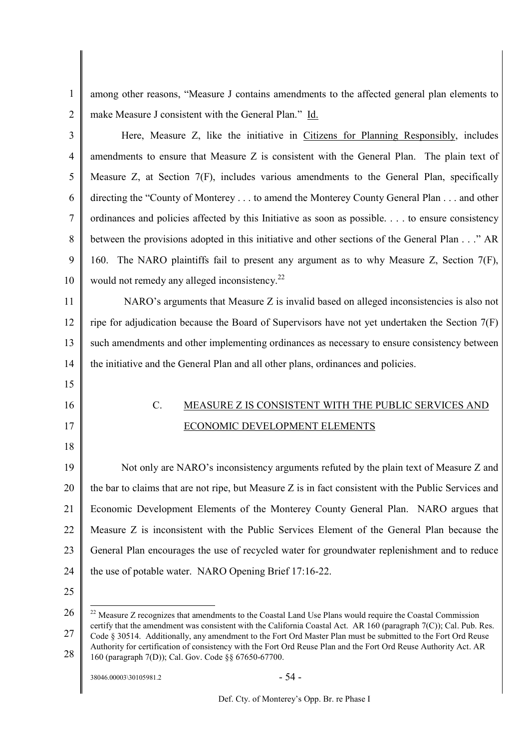1 2 among other reasons, "Measure J contains amendments to the affected general plan elements to make Measure J consistent with the General Plan." Id.

| $\overline{3}$ | Here, Measure Z, like the initiative in Citizens for Planning Responsibly, includes                   |
|----------------|-------------------------------------------------------------------------------------------------------|
| 4              | amendments to ensure that Measure Z is consistent with the General Plan. The plain text of            |
| 5              | Measure Z, at Section 7(F), includes various amendments to the General Plan, specifically             |
| 6              | directing the "County of Monterey to amend the Monterey County General Plan and other                 |
| $\tau$         | ordinances and policies affected by this Initiative as soon as possible to ensure consistency         |
| 8              | between the provisions adopted in this initiative and other sections of the General Plan" AR          |
| 9              | 160. The NARO plaintiffs fail to present any argument as to why Measure Z, Section 7(F),              |
| 10             | would not remedy any alleged inconsistency. <sup>22</sup>                                             |
| 11             | NARO's arguments that Measure Z is invalid based on alleged inconsistencies is also not               |
| 12             | ripe for adjudication because the Board of Supervisors have not yet undertaken the Section $7(F)$     |
| 13             | such amendments and other implementing ordinances as necessary to ensure consistency between          |
| 14             | the initiative and the General Plan and all other plans, ordinances and policies.                     |
| 15             |                                                                                                       |
| 16             | $C$ .<br>MEASURE Z IS CONSISTENT WITH THE PUBLIC SERVICES AND                                         |
| 17             | ECONOMIC DEVELOPMENT ELEMENTS                                                                         |
| 18             |                                                                                                       |
| 19             | Not only are NARO's inconsistency arguments refuted by the plain text of Measure Z and                |
| 20             | the bar to claims that are not ripe, but Measure Z is in fact consistent with the Public Services and |
| 21             | Economic Development Elements of the Monterey County General Plan. NARO argues that                   |
| 22             | Measure Z is inconsistent with the Public Services Element of the General Plan because the            |
| 23             | General Plan encourages the use of recycled water for groundwater replenishment and to reduce         |
| 24             | the use of potable water. NARO Opening Brief 17:16-22.                                                |
| 25             |                                                                                                       |
|                |                                                                                                       |

<sup>26</sup> 27 28 <sup>22</sup> Measure Z recognizes that amendments to the Coastal Land Use Plans would require the Coastal Commission certify that the amendment was consistent with the California Coastal Act. AR 160 (paragraph 7(C)); Cal. Pub. Res. Code § 30514. Additionally, any amendment to the Fort Ord Master Plan must be submitted to the Fort Ord Reuse Authority for certification of consistency with the Fort Ord Reuse Plan and the Fort Ord Reuse Authority Act. AR 160 (paragraph 7(D)); Cal. Gov. Code §§ 67650-67700.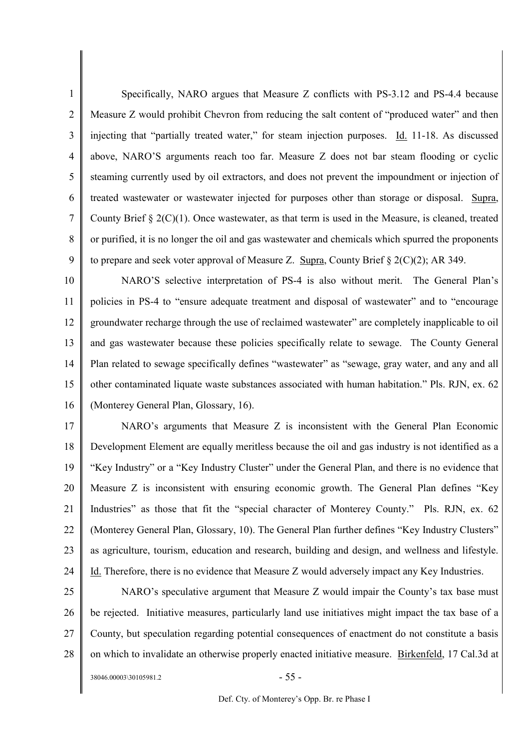1 2 3 4 5 6 7 8 9 Specifically, NARO argues that Measure Z conflicts with PS-3.12 and PS-4.4 because Measure Z would prohibit Chevron from reducing the salt content of "produced water" and then injecting that "partially treated water," for steam injection purposes. Id. 11-18. As discussed above, NARO'S arguments reach too far. Measure Z does not bar steam flooding or cyclic steaming currently used by oil extractors, and does not prevent the impoundment or injection of treated wastewater or wastewater injected for purposes other than storage or disposal. Supra, County Brief § 2(C)(1). Once wastewater, as that term is used in the Measure, is cleaned, treated or purified, it is no longer the oil and gas wastewater and chemicals which spurred the proponents to prepare and seek voter approval of Measure Z. Supra, County Brief § 2(C)(2); AR 349.

10 11 12 13 14 15 16 NARO'S selective interpretation of PS-4 is also without merit. The General Plan's policies in PS-4 to "ensure adequate treatment and disposal of wastewater" and to "encourage groundwater recharge through the use of reclaimed wastewater" are completely inapplicable to oil and gas wastewater because these policies specifically relate to sewage. The County General Plan related to sewage specifically defines "wastewater" as "sewage, gray water, and any and all other contaminated liquate waste substances associated with human habitation." Pls. RJN, ex. 62 (Monterey General Plan, Glossary, 16).

17 18 19 20 21 22 23 24 NARO's arguments that Measure Z is inconsistent with the General Plan Economic Development Element are equally meritless because the oil and gas industry is not identified as a "Key Industry" or a "Key Industry Cluster" under the General Plan, and there is no evidence that Measure Z is inconsistent with ensuring economic growth. The General Plan defines "Key Industries" as those that fit the "special character of Monterey County." Pls. RJN, ex. 62 (Monterey General Plan, Glossary, 10). The General Plan further defines "Key Industry Clusters" as agriculture, tourism, education and research, building and design, and wellness and lifestyle. Id. Therefore, there is no evidence that Measure Z would adversely impact any Key Industries.

25 26 27 28 NARO's speculative argument that Measure Z would impair the County's tax base must be rejected. Initiative measures, particularly land use initiatives might impact the tax base of a County, but speculation regarding potential consequences of enactment do not constitute a basis on which to invalidate an otherwise properly enacted initiative measure. Birkenfeld, 17 Cal.3d at

 $38046.00003\backslash30105981.2$  - 55 -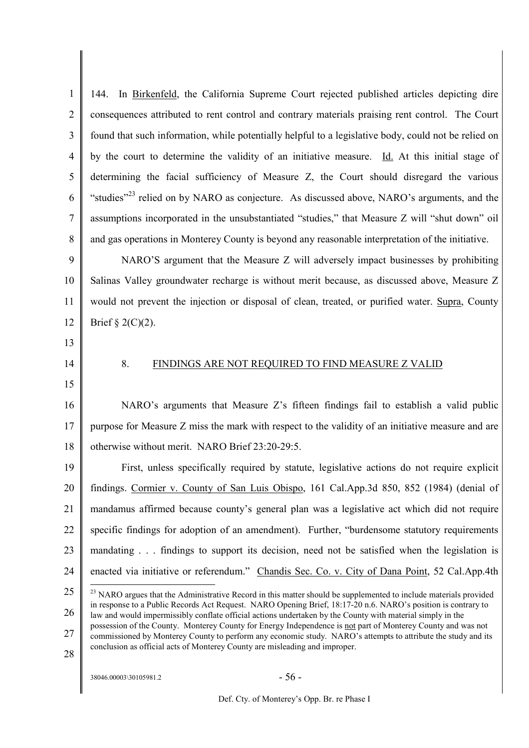| $\mathbf{1}$   | In Birkenfeld, the California Supreme Court rejected published articles depicting dire<br>144.                                                                                                                                |
|----------------|-------------------------------------------------------------------------------------------------------------------------------------------------------------------------------------------------------------------------------|
| $\overline{2}$ | consequences attributed to rent control and contrary materials praising rent control. The Court                                                                                                                               |
| 3              | found that such information, while potentially helpful to a legislative body, could not be relied on                                                                                                                          |
| 4              | by the court to determine the validity of an initiative measure. Id. At this initial stage of                                                                                                                                 |
| 5              | determining the facial sufficiency of Measure Z, the Court should disregard the various                                                                                                                                       |
| 6              | "studies" <sup>23</sup> relied on by NARO as conjecture. As discussed above, NARO's arguments, and the                                                                                                                        |
| 7              | assumptions incorporated in the unsubstantiated "studies," that Measure Z will "shut down" oil                                                                                                                                |
| 8              | and gas operations in Monterey County is beyond any reasonable interpretation of the initiative.                                                                                                                              |
| 9              | NARO'S argument that the Measure Z will adversely impact businesses by prohibiting                                                                                                                                            |
| 10             | Salinas Valley groundwater recharge is without merit because, as discussed above, Measure Z                                                                                                                                   |
| 11             | would not prevent the injection or disposal of clean, treated, or purified water. Supra, County                                                                                                                               |
| 12             | Brief $\S 2(C)(2)$ .                                                                                                                                                                                                          |
| 13             |                                                                                                                                                                                                                               |
| 14             | 8.<br>FINDINGS ARE NOT REQUIRED TO FIND MEASURE Z VALID                                                                                                                                                                       |
| 15             |                                                                                                                                                                                                                               |
| 16             | NARO's arguments that Measure Z's fifteen findings fail to establish a valid public                                                                                                                                           |
| 17             | purpose for Measure Z miss the mark with respect to the validity of an initiative measure and are                                                                                                                             |
| 18             | otherwise without merit. NARO Brief 23:20-29:5.                                                                                                                                                                               |
| 19             | First, unless specifically required by statute, legislative actions do not require explicit                                                                                                                                   |
| 20             | findings. Cormier v. County of San Luis Obispo, 161 Cal.App.3d 850, 852 (1984) (denial of                                                                                                                                     |
| 21             | mandamus affirmed because county's general plan was a legislative act which did not require                                                                                                                                   |
| 22             | specific findings for adoption of an amendment). Further, "burdensome statutory requirements                                                                                                                                  |
| 23             | mandating findings to support its decision, need not be satisfied when the legislation is                                                                                                                                     |
| 24             | enacted via initiative or referendum." Chandis Sec. Co. v. City of Dana Point, 52 Cal.App.4th                                                                                                                                 |
| 25             | <sup>23</sup> NARO argues that the Administrative Record in this matter should be supplemented to include materials provided                                                                                                  |
| 26             | in response to a Public Records Act Request. NARO Opening Brief, 18:17-20 n.6. NARO's position is contrary to<br>law and would impermissibly conflate official actions undertaken by the County with material simply in the   |
| 27             | possession of the County. Monterey County for Energy Independence is not part of Monterey County and was not<br>commissioned by Monterey County to perform any economic study. NARO's attempts to attribute the study and its |
| 2Q             | conclusion as official acts of Monterey County are misleading and improper.                                                                                                                                                   |

28

 $\overline{\phantom{a}}$ 

 $38046.00003\backslash30105981.2$  - 56 -